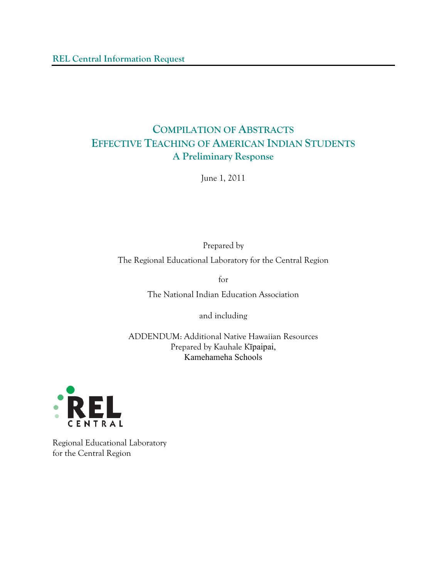# **COMPILATION OF ABSTRACTS EFFECTIVE TEACHING OF AMERICAN INDIAN STUDENTS A Preliminary Response**

June 1, 2011

Prepared by

The Regional Educational Laboratory for the Central Region

for

The National Indian Education Association

and including

ADDENDUM: Additional Native Hawaiian Resources Prepared by Kauhale Kīpaipai, Kamehameha Schools



Regional Educational Laboratory for the Central Region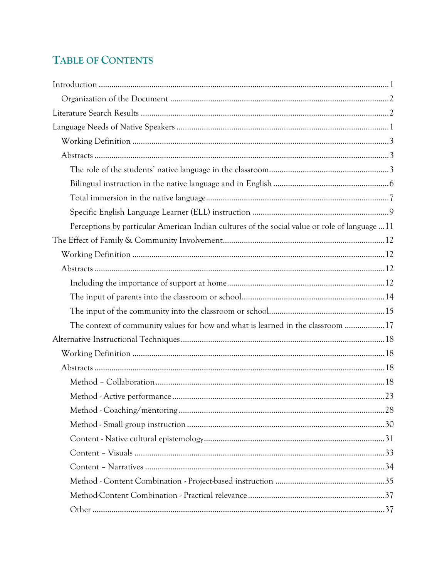# TABLE OF CONTENTS

| Perceptions by particular American Indian cultures of the social value or role of language  11 |  |
|------------------------------------------------------------------------------------------------|--|
|                                                                                                |  |
|                                                                                                |  |
|                                                                                                |  |
|                                                                                                |  |
|                                                                                                |  |
|                                                                                                |  |
| The context of community values for how and what is learned in the classroom 17                |  |
|                                                                                                |  |
|                                                                                                |  |
|                                                                                                |  |
|                                                                                                |  |
|                                                                                                |  |
|                                                                                                |  |
|                                                                                                |  |
|                                                                                                |  |
|                                                                                                |  |
|                                                                                                |  |
|                                                                                                |  |
|                                                                                                |  |
|                                                                                                |  |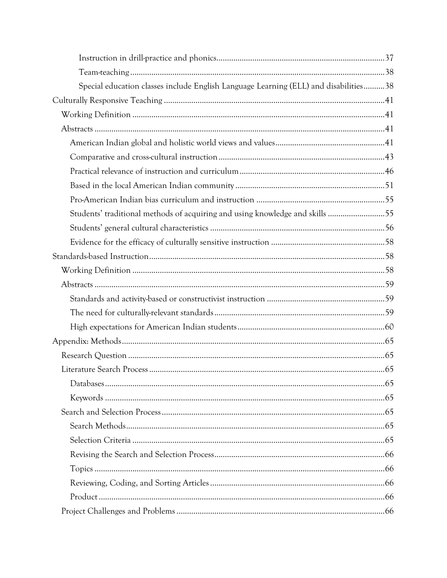| Special education classes include English Language Learning (ELL) and disabilities38 |  |
|--------------------------------------------------------------------------------------|--|
|                                                                                      |  |
|                                                                                      |  |
|                                                                                      |  |
|                                                                                      |  |
|                                                                                      |  |
|                                                                                      |  |
|                                                                                      |  |
|                                                                                      |  |
| Students' traditional methods of acquiring and using knowledge and skills 55         |  |
|                                                                                      |  |
|                                                                                      |  |
|                                                                                      |  |
|                                                                                      |  |
|                                                                                      |  |
|                                                                                      |  |
|                                                                                      |  |
|                                                                                      |  |
|                                                                                      |  |
|                                                                                      |  |
|                                                                                      |  |
|                                                                                      |  |
|                                                                                      |  |
|                                                                                      |  |
|                                                                                      |  |
|                                                                                      |  |
|                                                                                      |  |
|                                                                                      |  |
|                                                                                      |  |
|                                                                                      |  |
|                                                                                      |  |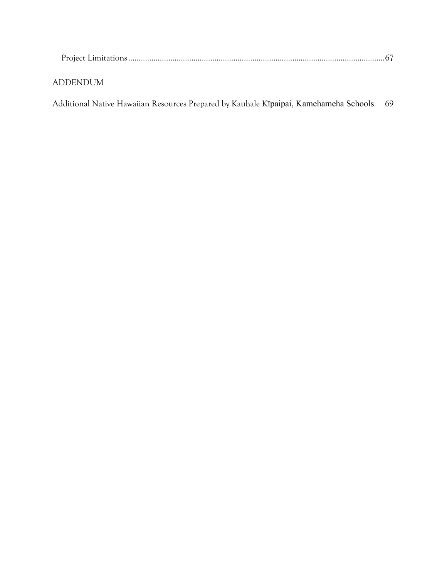| ADDENDUM- |  |
|-----------|--|
|           |  |

Additional Native Hawaiian Resources Prepared by Kauhale Kīpaipai, Kamehameha Schools 69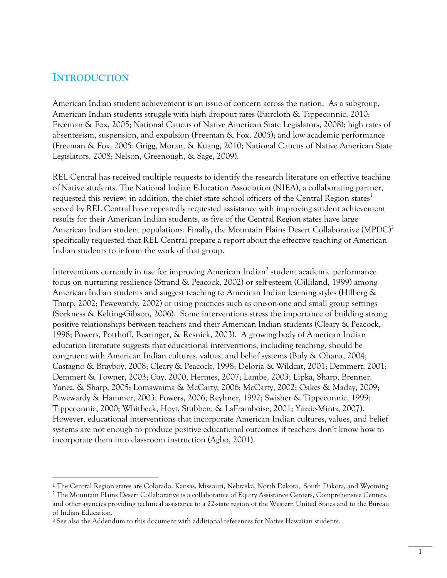# **INTRODUCTION**

 $\overline{a}$ 

American Indian student achievement is an issue of concern across the nation. As a subgroup, American Indian students struggle with high dropout rates (Faircloth & Tippeconnic, 2010; Freeman & Fox, 2005; National Caucus of Native American State Legislators, 2008); high rates of absenteeism, suspension, and expulsion (Freeman & Fox, 2005); and low academic performance (Freeman & Fox, 2005; Grigg, Moran, & Kuang, 2010; National Caucus of Native American State Legislators, 2008; Nelson, Greenough, & Sage, 2009).

REL Central has received multiple requests to identify the research literature on effective teaching of Native students. The National Indian Education Association (NIEA), a collaborating partner, requested this review; in addition, the chief state school officers of the Central Region states<sup>1</sup> served by REL Central have repeatedly requested assistance with improving student achievement results for their American Indian students, as five of the Central Region states have large American Indian student populations. Finally, the Mountain Plains Desert Collaborative  $(MPDC)^2$ specifically requested that REL Central prepare a report about the effective teaching of American Indian students to inform the work of that group.

Interventions currently in use for improving American Indian<sup>3</sup> student academic performance focus on nurturing resilience (Strand & Peacock, 2002) or self-esteem (Gilliland, 1999) among American Indian students and suggest teaching to American Indian learning styles (Hilberg & Tharp, 2002; Pewewardy, 2002) or using practices such as one-on-one and small group settings (Sorkness & Kelting-Gibson, 2006). Some interventions stress the importance of building strong positive relationships between teachers and their American Indian students (Cleary & Peacock, 1998; Powers, Potthoff, Bearinger, & Resnick, 2003). A growing body of American Indian education literature suggests that educational interventions, including teaching, should be congruent with American Indian cultures, values, and belief systems (Buly & Ohana, 2004; Castagno & Brayboy, 2008; Cleary & Peacock, 1998; Deloria & Wildcat, 2001; Demmert, 2001; Demmert & Towner, 2003; Gay, 2000; Hermes, 2007; Lambe, 2003; Lipka, Sharp, Brenner, Yanez, & Sharp, 2005; Lomawaima & McCarty, 2006; McCarty, 2002; Oakes & Maday, 2009; Pewewardy & Hammer, 2003; Powers, 2006; Reyhner, 1992; Swisher & Tippeconnic, 1999; Tippeconnic, 2000; Whitbeck, Hoyt, Stubben, & LaFramboise, 2001; Yazzie-Mintz, 2007). However, educational interventions that incorporate American Indian cultures, values, and belief systems are not enough to produce positive educational outcomes if teachers don't know how to incorporate them into classroom instruction (Agbo, 2001).

<sup>1</sup> The Central Region states are Colorado. Kansas, Missouri, Nebraska, North Dakota,. South Dakota, and Wyoming

<sup>&</sup>lt;sup>2</sup> The Mountain Plains Desert Collaborative is a collaborative of Equity Assistance Centers, Comprehensive Centers, and other agencies providing technical assistance to a 22-state region of the Western United States and to the Bureau of Indian Education.

<sup>3</sup> See also the Addendum to this document with additional references for Native Hawaiian students.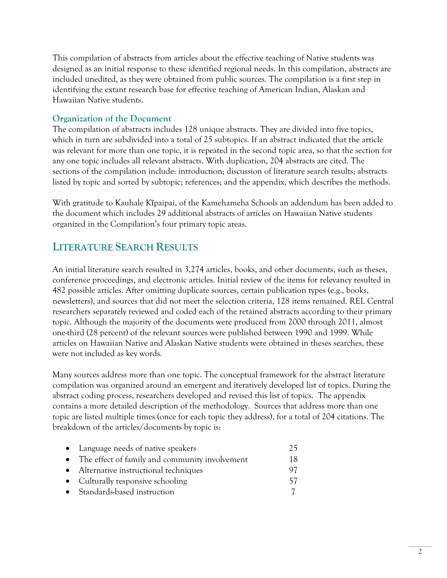This compilation of abstracts from articles about the effective teaching of Native students was designed as an initial response to these identified regional needs. In this compilation, abstracts are included unedited, as they were obtained from public sources. The compilation is a first step in identifying the extant research base for effective teaching of American Indian, Alaskan and Hawaiian Native students.

## **Organization of the Document**

The compilation of abstracts includes 128 unique abstracts. They are divided into five topics, which in turn are subdivided into a total of 25 subtopics. If an abstract indicated that the article was relevant for more than one topic, it is repeated in the second topic area, so that the section for any one topic includes all relevant abstracts. With duplication, 204 abstracts are cited. The sections of the compilation include: introduction; discussion of literature search results; abstracts listed by topic and sorted by subtopic; references; and the appendix, which describes the methods.

With gratitude to Kauhale Kīpaipai, of the Kamehameha Schools an addendum has been added to the document which includes 29 additional abstracts of articles on Hawaiian Native students organized in the Compilation's four primary topic areas.

# **LITERATURE SEARCH RESULTS**

An initial literature search resulted in 3,274 articles, books, and other documents, such as theses, conference proceedings, and electronic articles. Initial review of the items for relevancy resulted in 482 possible articles. After omitting duplicate sources, certain publication types (e.g., books, newsletters), and sources that did not meet the selection criteria, 128 items remained. REL Central researchers separately reviewed and coded each of the retained abstracts according to their primary topic. Although the majority of the documents were produced from 2000 through 2011, almost one-third (28 percent) of the relevant sources were published between 1990 and 1999. While articles on Hawaiian Native and Alaskan Native students were obtained in theses searches, these were not included as key words.

Many sources address more than one topic. The conceptual framework for the abstract literature compilation was organized around an emergent and iteratively developed list of topics. During the abstract coding process, researchers developed and revised this list of topics. The appendix contains a more detailed description of the methodology. Sources that address more than one topic are listed multiple times (once for each topic they address), for a total of 204 citations. The breakdown of the articles/documents by topic is:

| • Language needs of native speakers              | 25  |
|--------------------------------------------------|-----|
| • The effect of family and community involvement | 18. |
| • Alternative instructional techniques           | 97. |
| • Culturally responsive schooling                | 57. |
| • Standards-based instruction                    |     |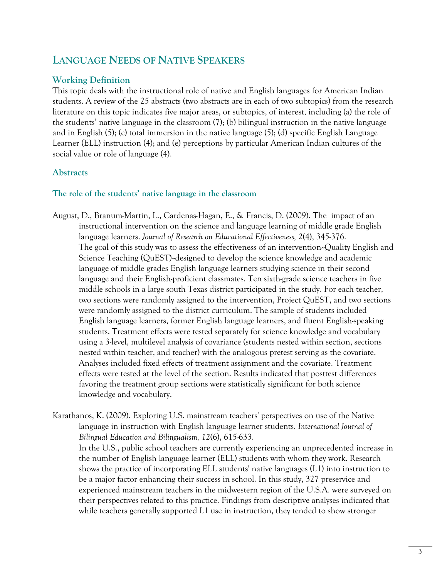# **LANGUAGE NEEDS OF NATIVE SPEAKERS**

## **Working Definition**

This topic deals with the instructional role of native and English languages for American Indian students. A review of the 25 abstracts (two abstracts are in each of two subtopics) from the research literature on this topic indicates five major areas, or subtopics, of interest, including (a) the role of the students' native language in the classroom (7); (b) bilingual instruction in the native language and in English (5); (c) total immersion in the native language (5); (d) specific English Language Learner (ELL) instruction (4); and (e) perceptions by particular American Indian cultures of the social value or role of language (4).

## **Abstracts**

### **The role of the students' native language in the classroom**

August, D., Branum-Martin, L., Cardenas-Hagan, E., & Francis, D. (2009). The impact of an instructional intervention on the science and language learning of middle grade English language learners. *Journal of Research on Educational Effectiveness, 2*(4), 345-376. The goal of this study was to assess the effectiveness of an intervention--Quality English and Science Teaching (QuEST)-designed to develop the science knowledge and academic language of middle grades English language learners studying science in their second language and their English-proficient classmates. Ten sixth-grade science teachers in five middle schools in a large south Texas district participated in the study. For each teacher, two sections were randomly assigned to the intervention, Project QuEST, and two sections were randomly assigned to the district curriculum. The sample of students included English language learners, former English language learners, and fluent English-speaking students. Treatment effects were tested separately for science knowledge and vocabulary using a 3-level, multilevel analysis of covariance (students nested within section, sections nested within teacher, and teacher) with the analogous pretest serving as the covariate. Analyses included fixed effects of treatment assignment and the covariate. Treatment effects were tested at the level of the section. Results indicated that posttest differences favoring the treatment group sections were statistically significant for both science knowledge and vocabulary.

Karathanos, K. (2009). Exploring U.S. mainstream teachers' perspectives on use of the Native language in instruction with English language learner students. *International Journal of Bilingual Education and Bilingualism, 12*(6), 615-633.

 In the U.S., public school teachers are currently experiencing an unprecedented increase in the number of English language learner (ELL) students with whom they work. Research shows the practice of incorporating ELL students' native languages (L1) into instruction to be a major factor enhancing their success in school. In this study, 327 preservice and experienced mainstream teachers in the midwestern region of the U.S.A. were surveyed on their perspectives related to this practice. Findings from descriptive analyses indicated that while teachers generally supported L1 use in instruction, they tended to show stronger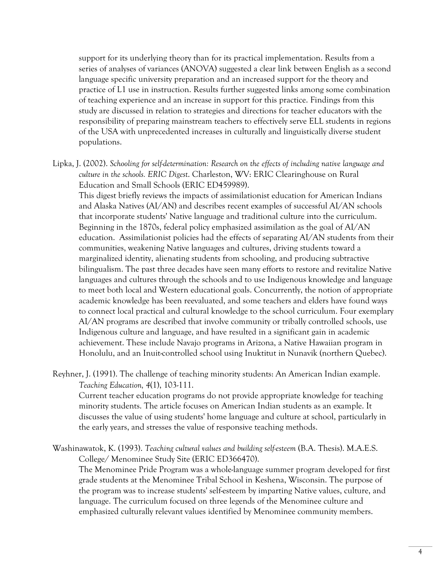support for its underlying theory than for its practical implementation. Results from a series of analyses of variances (ANOVA) suggested a clear link between English as a second language specific university preparation and an increased support for the theory and practice of L1 use in instruction. Results further suggested links among some combination of teaching experience and an increase in support for this practice. Findings from this study are discussed in relation to strategies and directions for teacher educators with the responsibility of preparing mainstream teachers to effectively serve ELL students in regions of the USA with unprecedented increases in culturally and linguistically diverse student populations.

Lipka, J. (2002). *Schooling for self-determination: Research on the effects of including native language and culture in the schools. ERIC Digest*. Charleston, WV: ERIC Clearinghouse on Rural Education and Small Schools (ERIC ED459989).

 This digest briefly reviews the impacts of assimilationist education for American Indians and Alaska Natives (AI/AN) and describes recent examples of successful AI/AN schools that incorporate students' Native language and traditional culture into the curriculum. Beginning in the 1870s, federal policy emphasized assimilation as the goal of AI/AN education. Assimilationist policies had the effects of separating AI/AN students from their communities, weakening Native languages and cultures, driving students toward a marginalized identity, alienating students from schooling, and producing subtractive bilingualism. The past three decades have seen many efforts to restore and revitalize Native languages and cultures through the schools and to use Indigenous knowledge and language to meet both local and Western educational goals. Concurrently, the notion of appropriate academic knowledge has been reevaluated, and some teachers and elders have found ways to connect local practical and cultural knowledge to the school curriculum. Four exemplary AI/AN programs are described that involve community or tribally controlled schools, use Indigenous culture and language, and have resulted in a significant gain in academic achievement. These include Navajo programs in Arizona, a Native Hawaiian program in Honolulu, and an Inuit-controlled school using Inuktitut in Nunavik (northern Quebec).

Reyhner, J. (1991). The challenge of teaching minority students: An American Indian example. *Teaching Education, 4*(1), 103-111.

 Current teacher education programs do not provide appropriate knowledge for teaching minority students. The article focuses on American Indian students as an example. It discusses the value of using students' home language and culture at school, particularly in the early years, and stresses the value of responsive teaching methods.

Washinawatok, K. (1993). *Teaching cultural values and building self-esteem* (B.A. Thesis). M.A.E.S. College/ Menominee Study Site (ERIC ED366470). The Menominee Pride Program was a whole-language summer program developed for first

grade students at the Menominee Tribal School in Keshena, Wisconsin. The purpose of the program was to increase students' self-esteem by imparting Native values, culture, and language. The curriculum focused on three legends of the Menominee culture and emphasized culturally relevant values identified by Menominee community members.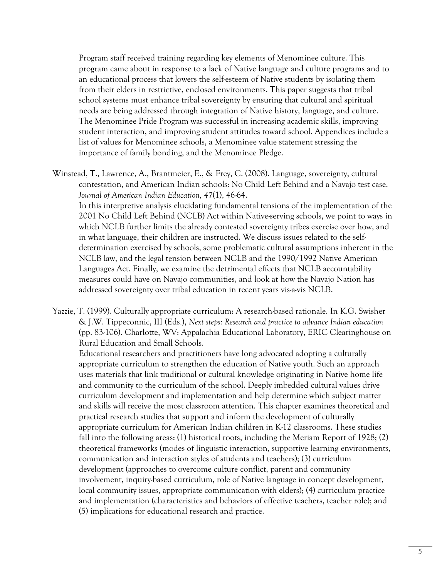Program staff received training regarding key elements of Menominee culture. This program came about in response to a lack of Native language and culture programs and to an educational process that lowers the self-esteem of Native students by isolating them from their elders in restrictive, enclosed environments. This paper suggests that tribal school systems must enhance tribal sovereignty by ensuring that cultural and spiritual needs are being addressed through integration of Native history, language, and culture. The Menominee Pride Program was successful in increasing academic skills, improving student interaction, and improving student attitudes toward school. Appendices include a list of values for Menominee schools, a Menominee value statement stressing the importance of family bonding, and the Menominee Pledge.

Winstead, T., Lawrence, A., Brantmeier, E., & Frey, C. (2008). Language, sovereignty, cultural contestation, and American Indian schools: No Child Left Behind and a Navajo test case. *Journal of American Indian Education, 47*(1), 46-64.

 In this interpretive analysis elucidating fundamental tensions of the implementation of the 2001 No Child Left Behind (NCLB) Act within Native-serving schools, we point to ways in which NCLB further limits the already contested sovereignty tribes exercise over how, and in what language, their children are instructed. We discuss issues related to the selfdetermination exercised by schools, some problematic cultural assumptions inherent in the NCLB law, and the legal tension between NCLB and the 1990/1992 Native American Languages Act. Finally, we examine the detrimental effects that NCLB accountability measures could have on Navajo communities, and look at how the Navajo Nation has addressed sovereignty over tribal education in recent years vis-a-vis NCLB.

Yazzie, T. (1999). Culturally appropriate curriculum: A research-based rationale*.* In K.G. Swisher & J.W. Tippeconnic, III (Eds.), *Next steps: Research and practice to advance Indian education* (pp. 83-106). Charlotte, WV: Appalachia Educational Laboratory, ERIC Clearinghouse on Rural Education and Small Schools.

 Educational researchers and practitioners have long advocated adopting a culturally appropriate curriculum to strengthen the education of Native youth. Such an approach uses materials that link traditional or cultural knowledge originating in Native home life and community to the curriculum of the school. Deeply imbedded cultural values drive curriculum development and implementation and help determine which subject matter and skills will receive the most classroom attention. This chapter examines theoretical and practical research studies that support and inform the development of culturally appropriate curriculum for American Indian children in K-12 classrooms. These studies fall into the following areas: (1) historical roots, including the Meriam Report of 1928; (2) theoretical frameworks (modes of linguistic interaction, supportive learning environments, communication and interaction styles of students and teachers); (3) curriculum development (approaches to overcome culture conflict, parent and community involvement, inquiry-based curriculum, role of Native language in concept development, local community issues, appropriate communication with elders); (4) curriculum practice and implementation (characteristics and behaviors of effective teachers, teacher role); and (5) implications for educational research and practice.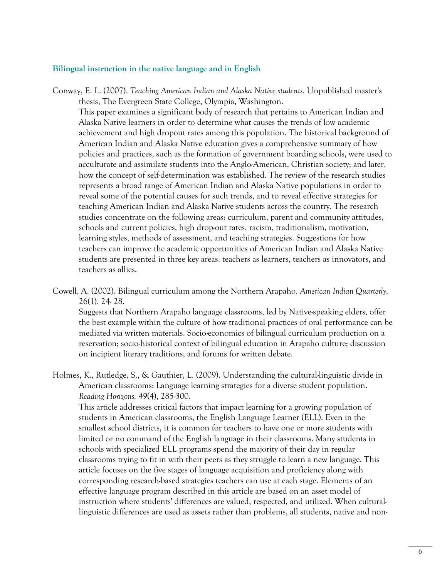#### **Bilingual instruction in the native language and in English**

- Conway, E. L. (2007). *Teaching American Indian and Alaska Native students.* Unpublished master's thesis, The Evergreen State College, Olympia, Washington. This paper examines a significant body of research that pertains to American Indian and Alaska Native learners in order to determine what causes the trends of low academic achievement and high dropout rates among this population. The historical background of American Indian and Alaska Native education gives a comprehensive summary of how policies and practices, such as the formation of government boarding schools, were used to acculturate and assimilate students into the Anglo-American, Christian society; and later, how the concept of self-determination was established. The review of the research studies represents a broad range of American Indian and Alaska Native populations in order to reveal some of the potential causes for such trends, and to reveal effective strategies for teaching American Indian and Alaska Native students across the country. The research studies concentrate on the following areas: curriculum, parent and community attitudes, schools and current policies, high drop-out rates, racism, traditionalism, motivation, learning styles, methods of assessment, and teaching strategies. Suggestions for how teachers can improve the academic opportunities of American Indian and Alaska Native students are presented in three key areas: teachers as learners, teachers as innovators, and teachers as allies.
- Cowell, A. (2002). Bilingual curriculum among the Northern Arapaho. *American Indian Quarterly*, 26(1), 24- 28.

 Suggests that Northern Arapaho language classrooms, led by Native-speaking elders, offer the best example within the culture of how traditional practices of oral performance can be mediated via written materials. Socio-economics of bilingual curriculum production on a reservation; socio-historical context of bilingual education in Arapaho culture; discussion on incipient literary traditions; and forums for written debate.

Holmes, K., Rutledge, S., & Gauthier, L. (2009). Understanding the cultural-linguistic divide in American classrooms: Language learning strategies for a diverse student population. *Reading Horizons, 49*(4), 285-300.

 This article addresses critical factors that impact learning for a growing population of students in American classrooms, the English Language Learner (ELL). Even in the smallest school districts, it is common for teachers to have one or more students with limited or no command of the English language in their classrooms. Many students in schools with specialized ELL programs spend the majority of their day in regular classrooms trying to fit in with their peers as they struggle to learn a new language. This article focuses on the five stages of language acquisition and proficiency along with corresponding research-based strategies teachers can use at each stage. Elements of an effective language program described in this article are based on an asset model of instruction where students' differences are valued, respected, and utilized. When culturallinguistic differences are used as assets rather than problems, all students, native and non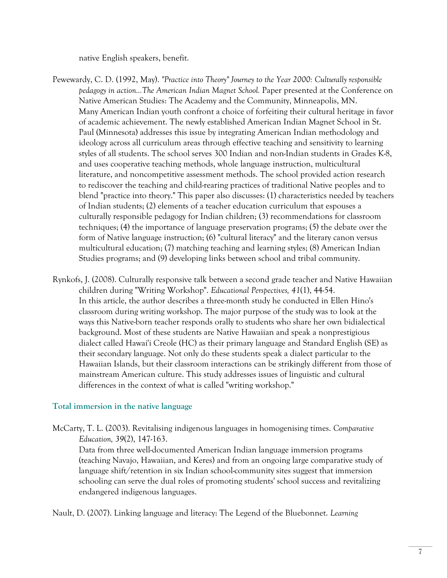native English speakers, benefit.

- Pewewardy, C. D. (1992, May). *"Practice into Theory" Journey to the Year 2000: Culturally responsible pedagogy in action...The American Indian Magnet School.* Paper presented at the Conference on Native American Studies: The Academy and the Community, Minneapolis, MN. Many American Indian youth confront a choice of forfeiting their cultural heritage in favor of academic achievement. The newly established American Indian Magnet School in St. Paul (Minnesota) addresses this issue by integrating American Indian methodology and ideology across all curriculum areas through effective teaching and sensitivity to learning styles of all students. The school serves 300 Indian and non-Indian students in Grades K-8, and uses cooperative teaching methods, whole language instruction, multicultural literature, and noncompetitive assessment methods. The school provided action research to rediscover the teaching and child-rearing practices of traditional Native peoples and to blend "practice into theory." This paper also discusses: (1) characteristics needed by teachers of Indian students; (2) elements of a teacher education curriculum that espouses a culturally responsible pedagogy for Indian children; (3) recommendations for classroom techniques; (4) the importance of language preservation programs; (5) the debate over the form of Native language instruction; (6) "cultural literacy" and the literary canon versus multicultural education; (7) matching teaching and learning styles; (8) American Indian Studies programs; and (9) developing links between school and tribal community.
- Rynkofs, J. (2008). Culturally responsive talk between a second grade teacher and Native Hawaiian children during "Writing Workshop". *Educational Perspectives, 41*(1), 44-54. In this article, the author describes a three-month study he conducted in Ellen Hino's classroom during writing workshop. The major purpose of the study was to look at the ways this Native-born teacher responds orally to students who share her own bidialectical background. Most of these students are Native Hawaiian and speak a nonprestigious dialect called Hawai'i Creole (HC) as their primary language and Standard English (SE) as their secondary language. Not only do these students speak a dialect particular to the Hawaiian Islands, but their classroom interactions can be strikingly different from those of mainstream American culture. This study addresses issues of linguistic and cultural differences in the context of what is called "writing workshop."

## **Total immersion in the native language**

McCarty, T. L. (2003). Revitalising indigenous languages in homogenising times. *Comparative Education, 39*(2), 147-163.

 Data from three well-documented American Indian language immersion programs (teaching Navajo, Hawaiian, and Keres) and from an ongoing large comparative study of language shift/retention in six Indian school-community sites suggest that immersion schooling can serve the dual roles of promoting students' school success and revitalizing endangered indigenous languages.

Nault, D. (2007). Linking language and literacy: The Legend of the Bluebonnet. *Learning*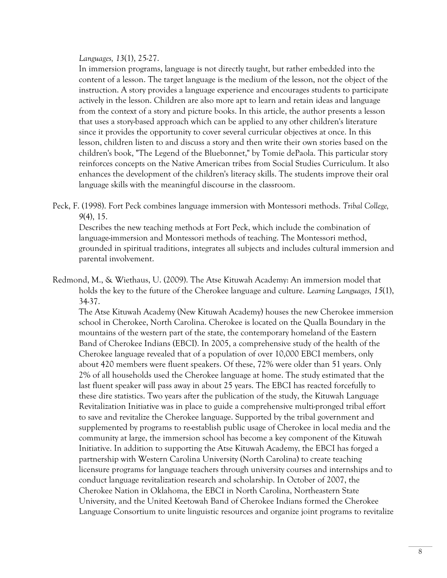#### *Languages, 13*(1), 25-27.

 In immersion programs, language is not directly taught, but rather embedded into the content of a lesson. The target language is the medium of the lesson, not the object of the instruction. A story provides a language experience and encourages students to participate actively in the lesson. Children are also more apt to learn and retain ideas and language from the context of a story and picture books. In this article, the author presents a lesson that uses a story-based approach which can be applied to any other children's literature since it provides the opportunity to cover several curricular objectives at once. In this lesson, children listen to and discuss a story and then write their own stories based on the children's book, "The Legend of the Bluebonnet," by Tomie dePaola. This particular story reinforces concepts on the Native American tribes from Social Studies Curriculum. It also enhances the development of the children's literacy skills. The students improve their oral language skills with the meaningful discourse in the classroom.

Peck, F. (1998). Fort Peck combines language immersion with Montessori methods. *Tribal College, 9*(4), 15.

 Describes the new teaching methods at Fort Peck, which include the combination of language-immersion and Montessori methods of teaching. The Montessori method, grounded in spiritual traditions, integrates all subjects and includes cultural immersion and parental involvement.

Redmond, M., & Wiethaus, U. (2009). The Atse Kituwah Academy: An immersion model that holds the key to the future of the Cherokee language and culture. *Learning Languages, 15*(1), 34-37.

 The Atse Kituwah Academy (New Kituwah Academy) houses the new Cherokee immersion school in Cherokee, North Carolina. Cherokee is located on the Qualla Boundary in the mountains of the western part of the state, the contemporary homeland of the Eastern Band of Cherokee Indians (EBCI). In 2005, a comprehensive study of the health of the Cherokee language revealed that of a population of over 10,000 EBCI members, only about 420 members were fluent speakers. Of these, 72% were older than 51 years. Only 2% of all households used the Cherokee language at home. The study estimated that the last fluent speaker will pass away in about 25 years. The EBCI has reacted forcefully to these dire statistics. Two years after the publication of the study, the Kituwah Language Revitalization Initiative was in place to guide a comprehensive multi-pronged tribal effort to save and revitalize the Cherokee language. Supported by the tribal government and supplemented by programs to re-establish public usage of Cherokee in local media and the community at large, the immersion school has become a key component of the Kituwah Initiative. In addition to supporting the Atse Kituwah Academy, the EBCI has forged a partnership with Western Carolina University (North Carolina) to create teaching licensure programs for language teachers through university courses and internships and to conduct language revitalization research and scholarship. In October of 2007, the Cherokee Nation in Oklahoma, the EBCI in North Carolina, Northeastern State University, and the United Keetowah Band of Cherokee Indians formed the Cherokee Language Consortium to unite linguistic resources and organize joint programs to revitalize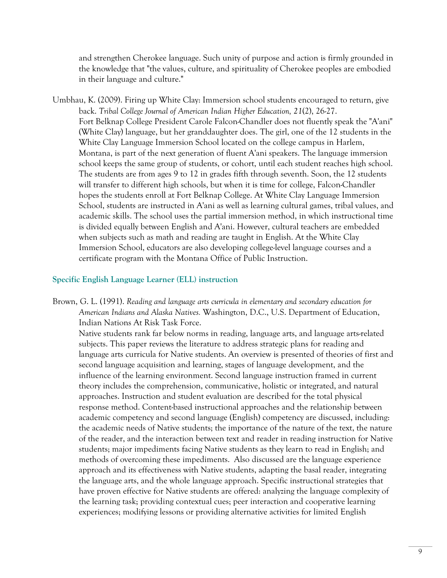and strengthen Cherokee language. Such unity of purpose and action is firmly grounded in the knowledge that "the values, culture, and spirituality of Cherokee peoples are embodied in their language and culture."

Umbhau, K. (2009). Firing up White Clay: Immersion school students encouraged to return, give back. *Tribal College Journal of American Indian Higher Education, 21*(2), 26-27. Fort Belknap College President Carole Falcon-Chandler does not fluently speak the "A'ani" (White Clay) language, but her granddaughter does. The girl, one of the 12 students in the White Clay Language Immersion School located on the college campus in Harlem, Montana, is part of the next generation of fluent A'ani speakers. The language immersion school keeps the same group of students, or cohort, until each student reaches high school. The students are from ages 9 to 12 in grades fifth through seventh. Soon, the 12 students will transfer to different high schools, but when it is time for college, Falcon-Chandler hopes the students enroll at Fort Belknap College. At White Clay Language Immersion School, students are instructed in A'ani as well as learning cultural games, tribal values, and academic skills. The school uses the partial immersion method, in which instructional time is divided equally between English and A'ani. However, cultural teachers are embedded when subjects such as math and reading are taught in English. At the White Clay Immersion School, educators are also developing college-level language courses and a certificate program with the Montana Office of Public Instruction.

#### **Specific English Language Learner (ELL) instruction**

Brown, G. L. (1991). *Reading and language arts curricula in elementary and secondary education for American Indians and Alaska Natives.* Washington, D.C., U.S. Department of Education, Indian Nations At Risk Task Force.

 Native students rank far below norms in reading, language arts, and language arts-related subjects. This paper reviews the literature to address strategic plans for reading and language arts curricula for Native students. An overview is presented of theories of first and second language acquisition and learning, stages of language development, and the influence of the learning environment. Second language instruction framed in current theory includes the comprehension, communicative, holistic or integrated, and natural approaches. Instruction and student evaluation are described for the total physical response method. Content-based instructional approaches and the relationship between academic competency and second language (English) competency are discussed, including: the academic needs of Native students; the importance of the nature of the text, the nature of the reader, and the interaction between text and reader in reading instruction for Native students; major impediments facing Native students as they learn to read in English; and methods of overcoming these impediments. Also discussed are the language experience approach and its effectiveness with Native students, adapting the basal reader, integrating the language arts, and the whole language approach. Specific instructional strategies that have proven effective for Native students are offered: analyzing the language complexity of the learning task; providing contextual cues; peer interaction and cooperative learning experiences; modifying lessons or providing alternative activities for limited English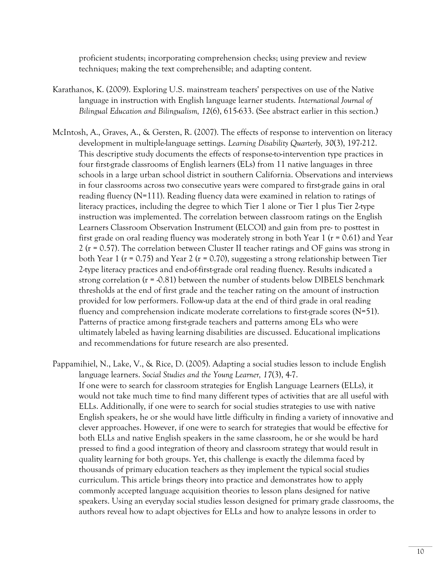proficient students; incorporating comprehension checks; using preview and review techniques; making the text comprehensible; and adapting content.

- Karathanos, K. (2009). Exploring U.S. mainstream teachers' perspectives on use of the Native language in instruction with English language learner students. *International Journal of Bilingual Education and Bilingualism, 12*(6), 615-633. (See abstract earlier in this section.)
- McIntosh, A., Graves, A., & Gersten, R. (2007). The effects of response to intervention on literacy development in multiple-language settings. *Learning Disability Quarterly, 30*(3), 197-212. This descriptive study documents the effects of response-to-intervention type practices in four first-grade classrooms of English learners (ELs) from 11 native languages in three schools in a large urban school district in southern California. Observations and interviews in four classrooms across two consecutive years were compared to first-grade gains in oral reading fluency (N=111). Reading fluency data were examined in relation to ratings of literacy practices, including the degree to which Tier 1 alone or Tier 1 plus Tier 2-type instruction was implemented. The correlation between classroom ratings on the English Learners Classroom Observation Instrument (ELCOI) and gain from pre- to posttest in first grade on oral reading fluency was moderately strong in both Year 1 ( $r = 0.61$ ) and Year 2 (r = 0.57). The correlation between Cluster II teacher ratings and OF gains was strong in both Year 1 (r = 0.75) and Year 2 (r = 0.70), suggesting a strong relationship between Tier 2-type literacy practices and end-of-first-grade oral reading fluency. Results indicated a strong correlation  $(r = 0.81)$  between the number of students below DIBELS benchmark thresholds at the end of first grade and the teacher rating on the amount of instruction provided for low performers. Follow-up data at the end of third grade in oral reading fluency and comprehension indicate moderate correlations to first-grade scores  $(N=51)$ . Patterns of practice among first-grade teachers and patterns among ELs who were ultimately labeled as having learning disabilities are discussed. Educational implications and recommendations for future research are also presented.
- Pappamihiel, N., Lake, V., & Rice, D. (2005). Adapting a social studies lesson to include English language learners. *Social Studies and the Young Learner, 17*(3), 4-7. If one were to search for classroom strategies for English Language Learners (ELLs), it would not take much time to find many different types of activities that are all useful with ELLs. Additionally, if one were to search for social studies strategies to use with native English speakers, he or she would have little difficulty in finding a variety of innovative and clever approaches. However, if one were to search for strategies that would be effective for both ELLs and native English speakers in the same classroom, he or she would be hard pressed to find a good integration of theory and classroom strategy that would result in quality learning for both groups. Yet, this challenge is exactly the dilemma faced by thousands of primary education teachers as they implement the typical social studies curriculum. This article brings theory into practice and demonstrates how to apply commonly accepted language acquisition theories to lesson plans designed for native speakers. Using an everyday social studies lesson designed for primary grade classrooms, the authors reveal how to adapt objectives for ELLs and how to analyze lessons in order to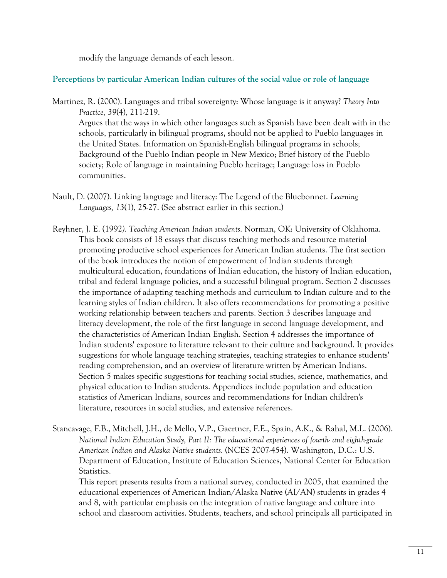modify the language demands of each lesson.

### **Perceptions by particular American Indian cultures of the social value or role of language**

Martinez, R. (2000). Languages and tribal sovereignty: Whose language is it anyway? *Theory Into Practice, 39*(4), 211-219.

 Argues that the ways in which other languages such as Spanish have been dealt with in the schools, particularly in bilingual programs, should not be applied to Pueblo languages in the United States. Information on Spanish-English bilingual programs in schools; Background of the Pueblo Indian people in New Mexico; Brief history of the Pueblo society; Role of language in maintaining Pueblo heritage; Language loss in Pueblo communities.

- Nault, D. (2007). Linking language and literacy: The Legend of the Bluebonnet. *Learning Languages, 13*(1), 25-27. (See abstract earlier in this section.)
- Reyhner, J. E. (1992*). Teaching American Indian students*. Norman, OK: University of Oklahoma. This book consists of 18 essays that discuss teaching methods and resource material promoting productive school experiences for American Indian students. The first section of the book introduces the notion of empowerment of Indian students through multicultural education, foundations of Indian education, the history of Indian education, tribal and federal language policies, and a successful bilingual program. Section 2 discusses the importance of adapting teaching methods and curriculum to Indian culture and to the learning styles of Indian children. It also offers recommendations for promoting a positive working relationship between teachers and parents. Section 3 describes language and literacy development, the role of the first language in second language development, and the characteristics of American Indian English. Section 4 addresses the importance of Indian students' exposure to literature relevant to their culture and background. It provides suggestions for whole language teaching strategies, teaching strategies to enhance students' reading comprehension, and an overview of literature written by American Indians. Section 5 makes specific suggestions for teaching social studies, science, mathematics, and physical education to Indian students. Appendices include population and education statistics of American Indians, sources and recommendations for Indian children's literature, resources in social studies, and extensive references.
- Stancavage, F.B., Mitchell, J.H., de Mello, V.P., Gaertner, F.E., Spain, A.K., & Rahal, M.L. (2006). *National Indian Education Study, Part II: The educational experiences of fourth- and eighth-grade American Indian and Alaska Native students.* (NCES 2007-454). Washington, D.C.: U.S. Department of Education, Institute of Education Sciences, National Center for Education Statistics.

 This report presents results from a national survey, conducted in 2005, that examined the educational experiences of American Indian/Alaska Native (AI/AN) students in grades 4 and 8, with particular emphasis on the integration of native language and culture into school and classroom activities. Students, teachers, and school principals all participated in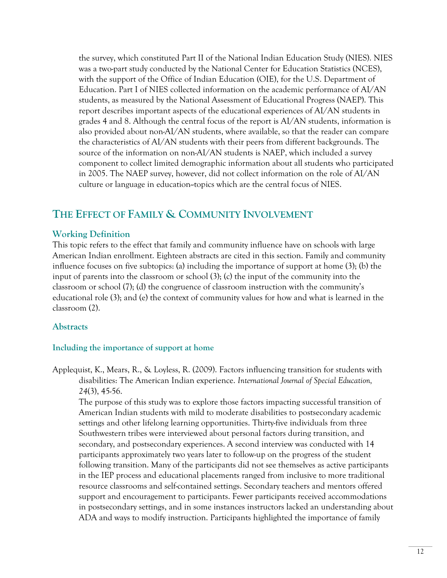the survey, which constituted Part II of the National Indian Education Study (NIES). NIES was a two-part study conducted by the National Center for Education Statistics (NCES), with the support of the Office of Indian Education (OIE), for the U.S. Department of Education. Part I of NIES collected information on the academic performance of AI/AN students, as measured by the National Assessment of Educational Progress (NAEP). This report describes important aspects of the educational experiences of AI/AN students in grades 4 and 8. Although the central focus of the report is AI/AN students, information is also provided about non-AI/AN students, where available, so that the reader can compare the characteristics of AI/AN students with their peers from different backgrounds. The source of the information on non-AI/AN students is NAEP, which included a survey component to collect limited demographic information about all students who participated in 2005. The NAEP survey, however, did not collect information on the role of AI/AN culture or language in education--topics which are the central focus of NIES.

# **THE EFFECT OF FAMILY & COMMUNITY INVOLVEMENT**

## **Working Definition**

This topic refers to the effect that family and community influence have on schools with large American Indian enrollment. Eighteen abstracts are cited in this section. Family and community influence focuses on five subtopics: (a) including the importance of support at home (3); (b) the input of parents into the classroom or school (3); (c) the input of the community into the classroom or school (7); (d) the congruence of classroom instruction with the community's educational role (3); and (e) the context of community values for how and what is learned in the classroom (2).

## **Abstracts**

## **Including the importance of support at home**

Applequist, K., Mears, R., & Loyless, R. (2009). Factors influencing transition for students with disabilities: The American Indian experience. *International Journal of Special Education, 24*(3), 45-56.

 The purpose of this study was to explore those factors impacting successful transition of American Indian students with mild to moderate disabilities to postsecondary academic settings and other lifelong learning opportunities. Thirty-five individuals from three Southwestern tribes were interviewed about personal factors during transition, and secondary, and postsecondary experiences. A second interview was conducted with 14 participants approximately two years later to follow-up on the progress of the student following transition. Many of the participants did not see themselves as active participants in the IEP process and educational placements ranged from inclusive to more traditional resource classrooms and self-contained settings. Secondary teachers and mentors offered support and encouragement to participants. Fewer participants received accommodations in postsecondary settings, and in some instances instructors lacked an understanding about ADA and ways to modify instruction. Participants highlighted the importance of family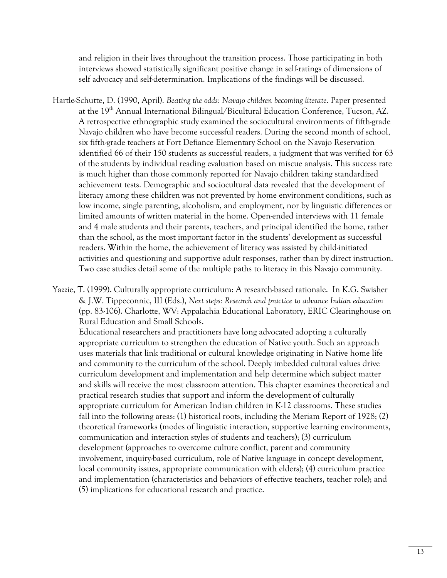and religion in their lives throughout the transition process. Those participating in both interviews showed statistically significant positive change in self-ratings of dimensions of self advocacy and self-determination. Implications of the findings will be discussed.

Hartle-Schutte, D. (1990, April). *Beating the odds: Navajo children becoming literate*. Paper presented at the 19<sup>th</sup> Annual International Bilingual/Bicultural Education Conference, Tucson, AZ. A retrospective ethnographic study examined the sociocultural environments of fifth-grade Navajo children who have become successful readers. During the second month of school, six fifth-grade teachers at Fort Defiance Elementary School on the Navajo Reservation identified 66 of their 150 students as successful readers, a judgment that was verified for 63 of the students by individual reading evaluation based on miscue analysis. This success rate is much higher than those commonly reported for Navajo children taking standardized achievement tests. Demographic and sociocultural data revealed that the development of literacy among these children was not prevented by home environment conditions, such as low income, single parenting, alcoholism, and employment, nor by linguistic differences or limited amounts of written material in the home. Open-ended interviews with 11 female and 4 male students and their parents, teachers, and principal identified the home, rather than the school, as the most important factor in the students' development as successful readers. Within the home, the achievement of literacy was assisted by child-initiated activities and questioning and supportive adult responses, rather than by direct instruction. Two case studies detail some of the multiple paths to literacy in this Navajo community.

Yazzie, T. (1999). Culturally appropriate curriculum: A research-based rationale. In K.G. Swisher & J.W. Tippeconnic, III (Eds.), *Next steps: Research and practice to advance Indian education* (pp. 83-106). Charlotte, WV: Appalachia Educational Laboratory, ERIC Clearinghouse on Rural Education and Small Schools.

 Educational researchers and practitioners have long advocated adopting a culturally appropriate curriculum to strengthen the education of Native youth. Such an approach uses materials that link traditional or cultural knowledge originating in Native home life and community to the curriculum of the school. Deeply imbedded cultural values drive curriculum development and implementation and help determine which subject matter and skills will receive the most classroom attention. This chapter examines theoretical and practical research studies that support and inform the development of culturally appropriate curriculum for American Indian children in K-12 classrooms. These studies fall into the following areas: (1) historical roots, including the Meriam Report of 1928; (2) theoretical frameworks (modes of linguistic interaction, supportive learning environments, communication and interaction styles of students and teachers); (3) curriculum development (approaches to overcome culture conflict, parent and community involvement, inquiry-based curriculum, role of Native language in concept development, local community issues, appropriate communication with elders); (4) curriculum practice and implementation (characteristics and behaviors of effective teachers, teacher role); and (5) implications for educational research and practice.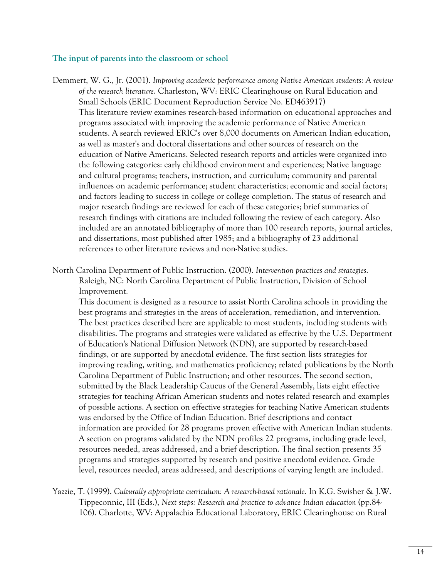#### **The input of parents into the classroom or school**

- Demmert, W. G., Jr. (2001). *Improving academic performance among Native American students: A review of the research literature*. Charleston, WV: ERIC Clearinghouse on Rural Education and Small Schools (ERIC Document Reproduction Service No. ED463917) This literature review examines research-based information on educational approaches and programs associated with improving the academic performance of Native American students. A search reviewed ERIC's over 8,000 documents on American Indian education, as well as master's and doctoral dissertations and other sources of research on the education of Native Americans. Selected research reports and articles were organized into the following categories: early childhood environment and experiences; Native language and cultural programs; teachers, instruction, and curriculum; community and parental influences on academic performance; student characteristics; economic and social factors; and factors leading to success in college or college completion. The status of research and major research findings are reviewed for each of these categories; brief summaries of research findings with citations are included following the review of each category. Also included are an annotated bibliography of more than 100 research reports, journal articles, and dissertations, most published after 1985; and a bibliography of 23 additional references to other literature reviews and non-Native studies.
- North Carolina Department of Public Instruction. (2000). *Intervention practices and strategies*. Raleigh, NC: North Carolina Department of Public Instruction, Division of School Improvement.

 This document is designed as a resource to assist North Carolina schools in providing the best programs and strategies in the areas of acceleration, remediation, and intervention. The best practices described here are applicable to most students, including students with disabilities. The programs and strategies were validated as effective by the U.S. Department of Education's National Diffusion Network (NDN), are supported by research-based findings, or are supported by anecdotal evidence. The first section lists strategies for improving reading, writing, and mathematics proficiency; related publications by the North Carolina Department of Public Instruction; and other resources. The second section, submitted by the Black Leadership Caucus of the General Assembly, lists eight effective strategies for teaching African American students and notes related research and examples of possible actions. A section on effective strategies for teaching Native American students was endorsed by the Office of Indian Education. Brief descriptions and contact information are provided for 28 programs proven effective with American Indian students. A section on programs validated by the NDN profiles 22 programs, including grade level, resources needed, areas addressed, and a brief description. The final section presents 35 programs and strategies supported by research and positive anecdotal evidence. Grade level, resources needed, areas addressed, and descriptions of varying length are included.

Yazzie, T. (1999). *Culturally appropriate curriculum: A research-based rationale.* In K.G. Swisher & J.W. Tippeconnic, III (Eds.), *Next steps: Research and practice to advance Indian education* (pp.84- 106). Charlotte, WV: Appalachia Educational Laboratory, ERIC Clearinghouse on Rural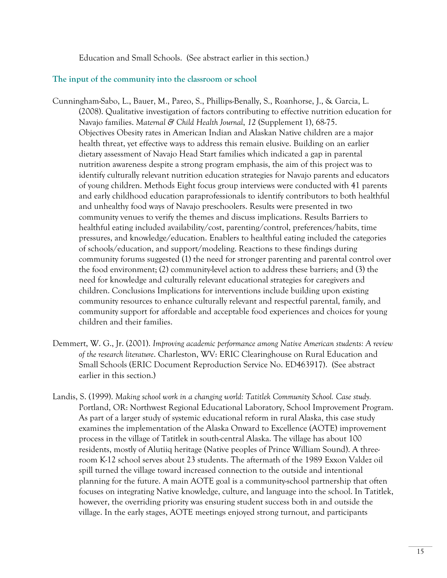Education and Small Schools. (See abstract earlier in this section.)

### **The input of the community into the classroom or school**

- Cunningham-Sabo, L., Bauer, M., Pareo, S., Phillips-Benally, S., Roanhorse, J., & Garcia, L. (2008). Qualitative investigation of factors contributing to effective nutrition education for Navajo families. *Maternal & Child Health Journal*, *12* (Supplement 1), 68-75. Objectives Obesity rates in American Indian and Alaskan Native children are a major health threat, yet effective ways to address this remain elusive. Building on an earlier dietary assessment of Navajo Head Start families which indicated a gap in parental nutrition awareness despite a strong program emphasis, the aim of this project was to identify culturally relevant nutrition education strategies for Navajo parents and educators of young children. Methods Eight focus group interviews were conducted with 41 parents and early childhood education paraprofessionals to identify contributors to both healthful and unhealthy food ways of Navajo preschoolers. Results were presented in two community venues to verify the themes and discuss implications. Results Barriers to healthful eating included availability/cost, parenting/control, preferences/habits, time pressures, and knowledge/education. Enablers to healthful eating included the categories of schools/education, and support/modeling. Reactions to these findings during community forums suggested (1) the need for stronger parenting and parental control over the food environment; (2) community-level action to address these barriers; and (3) the need for knowledge and culturally relevant educational strategies for caregivers and children. Conclusions Implications for interventions include building upon existing community resources to enhance culturally relevant and respectful parental, family, and community support for affordable and acceptable food experiences and choices for young children and their families.
- Demmert, W. G., Jr. (2001). *Improving academic performance among Native American students: A review of the research literature*. Charleston, WV: ERIC Clearinghouse on Rural Education and Small Schools (ERIC Document Reproduction Service No. ED463917). (See abstract earlier in this section.)
- Landis, S. (1999). *Making school work in a changing world: Tatitlek Community School. Case study.*  Portland, OR: Northwest Regional Educational Laboratory, School Improvement Program. As part of a larger study of systemic educational reform in rural Alaska, this case study examines the implementation of the Alaska Onward to Excellence (AOTE) improvement process in the village of Tatitlek in south-central Alaska. The village has about 100 residents, mostly of Alutiiq heritage (Native peoples of Prince William Sound). A threeroom K-12 school serves about 23 students. The aftermath of the 1989 Exxon Valdez oil spill turned the village toward increased connection to the outside and intentional planning for the future. A main AOTE goal is a community-school partnership that often focuses on integrating Native knowledge, culture, and language into the school. In Tatitlek, however, the overriding priority was ensuring student success both in and outside the village. In the early stages, AOTE meetings enjoyed strong turnout, and participants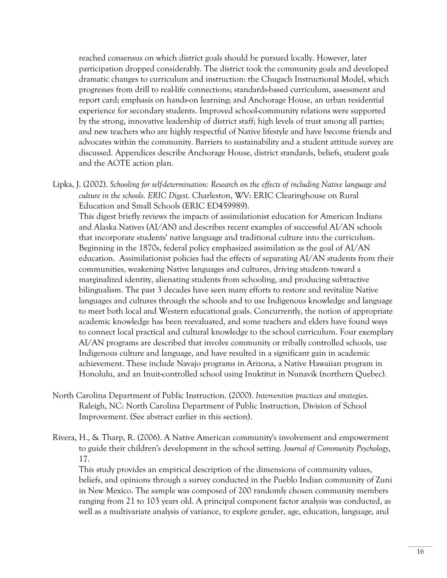reached consensus on which district goals should be pursued locally. However, later participation dropped considerably. The district took the community goals and developed dramatic changes to curriculum and instruction: the Chugach Instructional Model, which progresses from drill to real-life connections; standards-based curriculum, assessment and report card; emphasis on hands-on learning; and Anchorage House, an urban residential experience for secondary students. Improved school-community relations were supported by the strong, innovative leadership of district staff; high levels of trust among all parties; and new teachers who are highly respectful of Native lifestyle and have become friends and advocates within the community. Barriers to sustainability and a student attitude survey are discussed. Appendices describe Anchorage House, district standards, beliefs, student goals and the AOTE action plan.

Lipka, J. (2002). *Schooling for self-determination: Research on the effects of including Native language and culture in the schools. ERIC Digest*. Charleston, WV: ERIC Clearinghouse on Rural Education and Small Schools (ERIC ED459989).

This digest briefly reviews the impacts of assimilationist education for American Indians and Alaska Natives (AI/AN) and describes recent examples of successful AI/AN schools that incorporate students' native language and traditional culture into the curriculum. Beginning in the 1870s, federal policy emphasized assimilation as the goal of AI/AN education. Assimilationist policies had the effects of separating AI/AN students from their communities, weakening Native languages and cultures, driving students toward a marginalized identity, alienating students from schooling, and producing subtractive bilingualism. The past 3 decades have seen many efforts to restore and revitalize Native languages and cultures through the schools and to use Indigenous knowledge and language to meet both local and Western educational goals. Concurrently, the notion of appropriate academic knowledge has been reevaluated, and some teachers and elders have found ways to connect local practical and cultural knowledge to the school curriculum. Four exemplary AI/AN programs are described that involve community or tribally controlled schools, use Indigenous culture and language, and have resulted in a significant gain in academic achievement. These include Navajo programs in Arizona, a Native Hawaiian program in Honolulu, and an Inuit-controlled school using Inuktitut in Nunavik (northern Quebec).

- North Carolina Department of Public Instruction. (2000). *Intervention practices and strategies*. Raleigh, NC: North Carolina Department of Public Instruction, Division of School Improvement. (See abstract earlier in this section).
- Rivera, H., & Tharp, R. (2006). A Native American community's involvement and empowerment to guide their children's development in the school setting. *Journal of Community Psychology*, 17.

 This study provides an empirical description of the dimensions of community values, beliefs, and opinions through a survey conducted in the Pueblo Indian community of Zuni in New Mexico. The sample was composed of 200 randomly chosen community members ranging from 21 to 103 years old. A principal component factor analysis was conducted, as well as a multivariate analysis of variance, to explore gender, age, education, language, and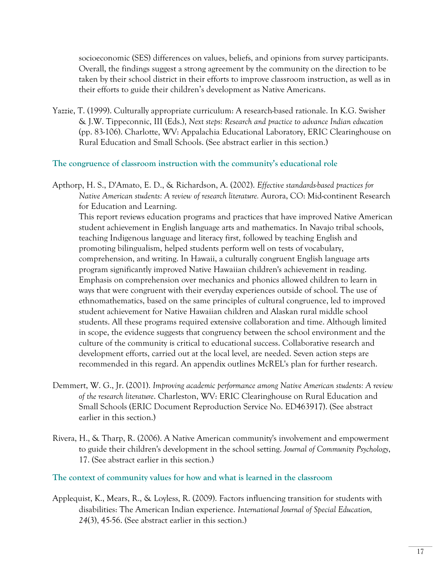socioeconomic (SES) differences on values, beliefs, and opinions from survey participants. Overall, the findings suggest a strong agreement by the community on the direction to be taken by their school district in their efforts to improve classroom instruction, as well as in their efforts to guide their children's development as Native Americans.

Yazzie, T. (1999). Culturally appropriate curriculum: A research-based rationale. In K.G. Swisher & J.W. Tippeconnic, III (Eds.), *Next steps: Research and practice to advance Indian education* (pp. 83-106). Charlotte, WV: Appalachia Educational Laboratory, ERIC Clearinghouse on Rural Education and Small Schools. (See abstract earlier in this section.)

**The congruence of classroom instruction with the community's educational role** 

Apthorp, H. S., D'Amato, E. D., & Richardson, A. (2002). *Effective standards-based practices for Native American students: A review of research literature.* Aurora, CO: Mid-continent Research for Education and Learning.

 This report reviews education programs and practices that have improved Native American student achievement in English language arts and mathematics. In Navajo tribal schools, teaching Indigenous language and literacy first, followed by teaching English and promoting bilingualism, helped students perform well on tests of vocabulary, comprehension, and writing. In Hawaii, a culturally congruent English language arts program significantly improved Native Hawaiian children's achievement in reading. Emphasis on comprehension over mechanics and phonics allowed children to learn in ways that were congruent with their everyday experiences outside of school. The use of ethnomathematics, based on the same principles of cultural congruence, led to improved student achievement for Native Hawaiian children and Alaskan rural middle school students. All these programs required extensive collaboration and time. Although limited in scope, the evidence suggests that congruency between the school environment and the culture of the community is critical to educational success. Collaborative research and development efforts, carried out at the local level, are needed. Seven action steps are recommended in this regard. An appendix outlines McREL's plan for further research.

- Demmert, W. G., Jr. (2001). *Improving academic performance among Native American students: A review of the research literature*. Charleston, WV: ERIC Clearinghouse on Rural Education and Small Schools (ERIC Document Reproduction Service No. ED463917). (See abstract earlier in this section.)
- Rivera, H., & Tharp, R. (2006). A Native American community's involvement and empowerment to guide their children's development in the school setting. *Journal of Community Psychology*, 17. (See abstract earlier in this section.)

**The context of community values for how and what is learned in the classroom** 

Applequist, K., Mears, R., & Loyless, R. (2009). Factors influencing transition for students with disabilities: The American Indian experience. *International Journal of Special Education, 24*(3), 45-56. (See abstract earlier in this section.)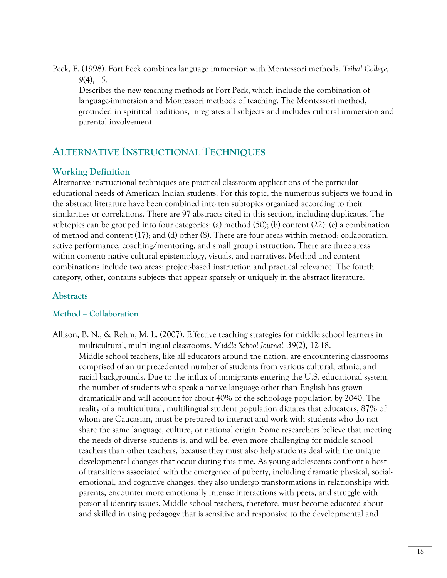Peck, F. (1998). Fort Peck combines language immersion with Montessori methods. *Tribal College, 9*(4), 15.

 Describes the new teaching methods at Fort Peck, which include the combination of language-immersion and Montessori methods of teaching. The Montessori method, grounded in spiritual traditions, integrates all subjects and includes cultural immersion and parental involvement.

# **ALTERNATIVE INSTRUCTIONAL TECHNIQUES**

# **Working Definition**

Alternative instructional techniques are practical classroom applications of the particular educational needs of American Indian students. For this topic, the numerous subjects we found in the abstract literature have been combined into ten subtopics organized according to their similarities or correlations. There are 97 abstracts cited in this section, including duplicates. The subtopics can be grouped into four categories: (a) method (50); (b) content (22); (c) a combination of method and content (17); and (d) other (8). There are four areas within method: collaboration, active performance, coaching/mentoring, and small group instruction. There are three areas within content: native cultural epistemology, visuals, and narratives. Method and content combinations include two areas: project-based instruction and practical relevance. The fourth category, other, contains subjects that appear sparsely or uniquely in the abstract literature.

## **Abstracts**

## **Method – Collaboration**

Allison, B. N., & Rehm, M. L. (2007). Effective teaching strategies for middle school learners in multicultural, multilingual classrooms. *Middle School Journal, 39*(2), 12-18. Middle school teachers, like all educators around the nation, are encountering classrooms comprised of an unprecedented number of students from various cultural, ethnic, and racial backgrounds. Due to the influx of immigrants entering the U.S. educational system, the number of students who speak a native language other than English has grown dramatically and will account for about 40% of the school-age population by 2040. The reality of a multicultural, multilingual student population dictates that educators, 87% of whom are Caucasian, must be prepared to interact and work with students who do not share the same language, culture, or national origin. Some researchers believe that meeting the needs of diverse students is, and will be, even more challenging for middle school teachers than other teachers, because they must also help students deal with the unique developmental changes that occur during this time. As young adolescents confront a host of transitions associated with the emergence of puberty, including dramatic physical, socialemotional, and cognitive changes, they also undergo transformations in relationships with parents, encounter more emotionally intense interactions with peers, and struggle with personal identity issues. Middle school teachers, therefore, must become educated about and skilled in using pedagogy that is sensitive and responsive to the developmental and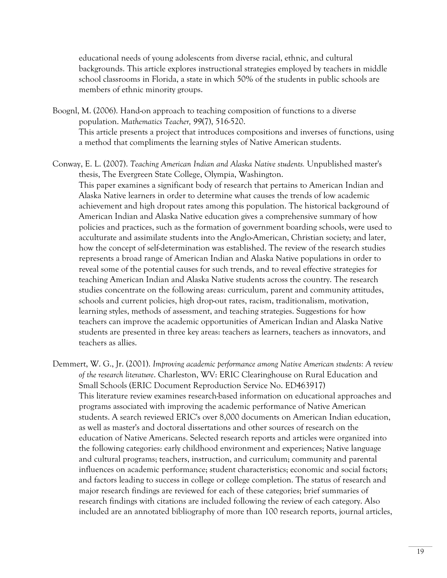educational needs of young adolescents from diverse racial, ethnic, and cultural backgrounds. This article explores instructional strategies employed by teachers in middle school classrooms in Florida, a state in which 50% of the students in public schools are members of ethnic minority groups.

- Boognl, M. (2006). Hand-on approach to teaching composition of functions to a diverse population. *Mathematics Teacher, 99*(7), 516-520. This article presents a project that introduces compositions and inverses of functions, using a method that compliments the learning styles of Native American students.
- Conway, E. L. (2007). *Teaching American Indian and Alaska Native students.* Unpublished master's thesis, The Evergreen State College, Olympia, Washington.

 This paper examines a significant body of research that pertains to American Indian and Alaska Native learners in order to determine what causes the trends of low academic achievement and high dropout rates among this population. The historical background of American Indian and Alaska Native education gives a comprehensive summary of how policies and practices, such as the formation of government boarding schools, were used to acculturate and assimilate students into the Anglo-American, Christian society; and later, how the concept of self-determination was established. The review of the research studies represents a broad range of American Indian and Alaska Native populations in order to reveal some of the potential causes for such trends, and to reveal effective strategies for teaching American Indian and Alaska Native students across the country. The research studies concentrate on the following areas: curriculum, parent and community attitudes, schools and current policies, high drop-out rates, racism, traditionalism, motivation, learning styles, methods of assessment, and teaching strategies. Suggestions for how teachers can improve the academic opportunities of American Indian and Alaska Native students are presented in three key areas: teachers as learners, teachers as innovators, and teachers as allies.

Demmert, W. G., Jr. (2001). *Improving academic performance among Native American students: A review of the research literature*. Charleston, WV: ERIC Clearinghouse on Rural Education and Small Schools (ERIC Document Reproduction Service No. ED463917) This literature review examines research-based information on educational approaches and programs associated with improving the academic performance of Native American students. A search reviewed ERIC's over 8,000 documents on American Indian education, as well as master's and doctoral dissertations and other sources of research on the education of Native Americans. Selected research reports and articles were organized into the following categories: early childhood environment and experiences; Native language and cultural programs; teachers, instruction, and curriculum; community and parental influences on academic performance; student characteristics; economic and social factors; and factors leading to success in college or college completion. The status of research and major research findings are reviewed for each of these categories; brief summaries of research findings with citations are included following the review of each category. Also included are an annotated bibliography of more than 100 research reports, journal articles,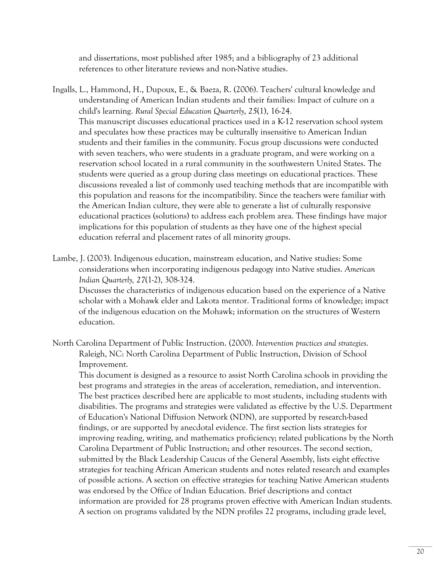and dissertations, most published after 1985; and a bibliography of 23 additional references to other literature reviews and non-Native studies.

- Ingalls, L., Hammond, H., Dupoux, E., & Baeza, R. (2006). Teachers' cultural knowledge and understanding of American Indian students and their families: Impact of culture on a child's learning. *Rural Special Education Quarterly*, *25*(1), 16-24. This manuscript discusses educational practices used in a K-12 reservation school system and speculates how these practices may be culturally insensitive to American Indian students and their families in the community. Focus group discussions were conducted with seven teachers, who were students in a graduate program, and were working on a reservation school located in a rural community in the southwestern United States. The students were queried as a group during class meetings on educational practices. These discussions revealed a list of commonly used teaching methods that are incompatible with this population and reasons for the incompatibility. Since the teachers were familiar with the American Indian culture, they were able to generate a list of culturally responsive educational practices (solutions) to address each problem area. These findings have major implications for this population of students as they have one of the highest special education referral and placement rates of all minority groups.
- Lambe, J. (2003). Indigenous education, mainstream education, and Native studies: Some considerations when incorporating indigenous pedagogy into Native studies. *American Indian Quarterly, 27*(1-2), 308-324.

 Discusses the characteristics of indigenous education based on the experience of a Native scholar with a Mohawk elder and Lakota mentor. Traditional forms of knowledge; impact of the indigenous education on the Mohawk; information on the structures of Western education.

North Carolina Department of Public Instruction. (2000). *Intervention practices and strategies*. Raleigh, NC: North Carolina Department of Public Instruction, Division of School Improvement.

 This document is designed as a resource to assist North Carolina schools in providing the best programs and strategies in the areas of acceleration, remediation, and intervention. The best practices described here are applicable to most students, including students with disabilities. The programs and strategies were validated as effective by the U.S. Department of Education's National Diffusion Network (NDN), are supported by research-based findings, or are supported by anecdotal evidence. The first section lists strategies for improving reading, writing, and mathematics proficiency; related publications by the North Carolina Department of Public Instruction; and other resources. The second section, submitted by the Black Leadership Caucus of the General Assembly, lists eight effective strategies for teaching African American students and notes related research and examples of possible actions. A section on effective strategies for teaching Native American students was endorsed by the Office of Indian Education. Brief descriptions and contact information are provided for 28 programs proven effective with American Indian students. A section on programs validated by the NDN profiles 22 programs, including grade level,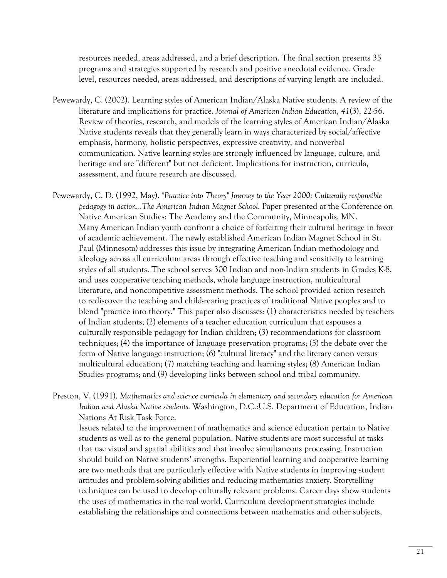resources needed, areas addressed, and a brief description. The final section presents 35 programs and strategies supported by research and positive anecdotal evidence. Grade level, resources needed, areas addressed, and descriptions of varying length are included.

- Pewewardy, C. (2002). Learning styles of American Indian/Alaska Native students: A review of the literature and implications for practice. *Journal of American Indian Education, 41*(3), 22-56. Review of theories, research, and models of the learning styles of American Indian/Alaska Native students reveals that they generally learn in ways characterized by social/affective emphasis, harmony, holistic perspectives, expressive creativity, and nonverbal communication. Native learning styles are strongly influenced by language, culture, and heritage and are "different" but not deficient. Implications for instruction, curricula, assessment, and future research are discussed.
- Pewewardy, C. D. (1992, May). *"Practice into Theory" Journey to the Year 2000: Culturally responsible pedagogy in action...The American Indian Magnet School.* Paper presented at the Conference on Native American Studies: The Academy and the Community, Minneapolis, MN. Many American Indian youth confront a choice of forfeiting their cultural heritage in favor of academic achievement. The newly established American Indian Magnet School in St. Paul (Minnesota) addresses this issue by integrating American Indian methodology and ideology across all curriculum areas through effective teaching and sensitivity to learning styles of all students. The school serves 300 Indian and non-Indian students in Grades K-8, and uses cooperative teaching methods, whole language instruction, multicultural literature, and noncompetitive assessment methods. The school provided action research to rediscover the teaching and child-rearing practices of traditional Native peoples and to blend "practice into theory." This paper also discusses: (1) characteristics needed by teachers of Indian students; (2) elements of a teacher education curriculum that espouses a culturally responsible pedagogy for Indian children; (3) recommendations for classroom techniques; (4) the importance of language preservation programs; (5) the debate over the form of Native language instruction; (6) "cultural literacy" and the literary canon versus multicultural education; (7) matching teaching and learning styles; (8) American Indian Studies programs; and (9) developing links between school and tribal community.
- Preston, V. (1991). *Mathematics and science curricula in elementary and secondary education for American Indian and Alaska Native students.* Washington, D.C.:U.S. Department of Education, Indian Nations At Risk Task Force.

 Issues related to the improvement of mathematics and science education pertain to Native students as well as to the general population. Native students are most successful at tasks that use visual and spatial abilities and that involve simultaneous processing. Instruction should build on Native students' strengths. Experiential learning and cooperative learning are two methods that are particularly effective with Native students in improving student attitudes and problem-solving abilities and reducing mathematics anxiety. Storytelling techniques can be used to develop culturally relevant problems. Career days show students the uses of mathematics in the real world. Curriculum development strategies include establishing the relationships and connections between mathematics and other subjects,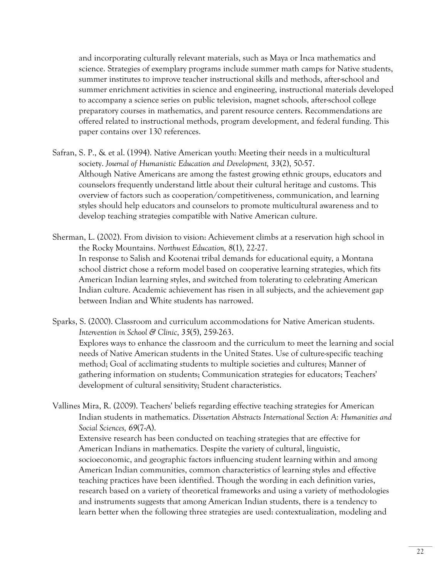and incorporating culturally relevant materials, such as Maya or Inca mathematics and science. Strategies of exemplary programs include summer math camps for Native students, summer institutes to improve teacher instructional skills and methods, after-school and summer enrichment activities in science and engineering, instructional materials developed to accompany a science series on public television, magnet schools, after-school college preparatory courses in mathematics, and parent resource centers. Recommendations are offered related to instructional methods, program development, and federal funding. This paper contains over 130 references.

Safran, S. P., & et al. (1994). Native American youth: Meeting their needs in a multicultural society. *Journal of Humanistic Education and Development, 33*(2), 50-57. Although Native Americans are among the fastest growing ethnic groups, educators and counselors frequently understand little about their cultural heritage and customs. This overview of factors such as cooperation/competitiveness, communication, and learning styles should help educators and counselors to promote multicultural awareness and to develop teaching strategies compatible with Native American culture.

Sherman, L. (2002). From division to vision: Achievement climbs at a reservation high school in the Rocky Mountains. *Northwest Education, 8*(1), 22-27. In response to Salish and Kootenai tribal demands for educational equity, a Montana school district chose a reform model based on cooperative learning strategies, which fits American Indian learning styles, and switched from tolerating to celebrating American Indian culture. Academic achievement has risen in all subjects, and the achievement gap between Indian and White students has narrowed.

Sparks, S. (2000). Classroom and curriculum accommodations for Native American students. *Intervention in School & Clinic*, *35*(5), 259-263. Explores ways to enhance the classroom and the curriculum to meet the learning and social needs of Native American students in the United States. Use of culture-specific teaching method; Goal of acclimating students to multiple societies and cultures; Manner of gathering information on students; Communication strategies for educators; Teachers' development of cultural sensitivity; Student characteristics.

Vallines Mira, R. (2009). Teachers' beliefs regarding effective teaching strategies for American Indian students in mathematics. *Dissertation Abstracts International Section A: Humanities and Social Sciences, 69*(7-A).

 Extensive research has been conducted on teaching strategies that are effective for American Indians in mathematics. Despite the variety of cultural, linguistic, socioeconomic, and geographic factors influencing student learning within and among American Indian communities, common characteristics of learning styles and effective teaching practices have been identified. Though the wording in each definition varies, research based on a variety of theoretical frameworks and using a variety of methodologies and instruments suggests that among American Indian students, there is a tendency to learn better when the following three strategies are used: contextualization, modeling and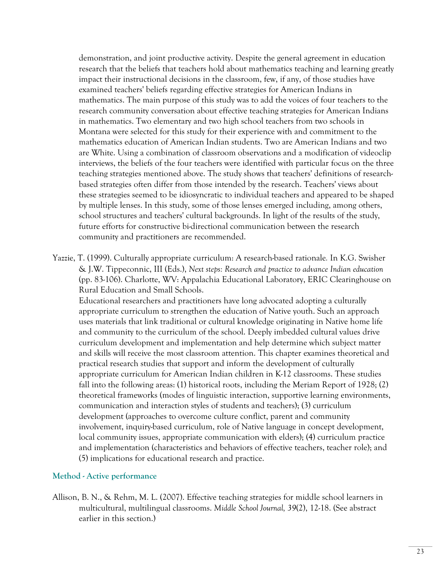demonstration, and joint productive activity. Despite the general agreement in education research that the beliefs that teachers hold about mathematics teaching and learning greatly impact their instructional decisions in the classroom, few, if any, of those studies have examined teachers' beliefs regarding effective strategies for American Indians in mathematics. The main purpose of this study was to add the voices of four teachers to the research community conversation about effective teaching strategies for American Indians in mathematics. Two elementary and two high school teachers from two schools in Montana were selected for this study for their experience with and commitment to the mathematics education of American Indian students. Two are American Indians and two are White. Using a combination of classroom observations and a modification of videoclip interviews, the beliefs of the four teachers were identified with particular focus on the three teaching strategies mentioned above. The study shows that teachers' definitions of researchbased strategies often differ from those intended by the research. Teachers' views about these strategies seemed to be idiosyncratic to individual teachers and appeared to be shaped by multiple lenses. In this study, some of those lenses emerged including, among others, school structures and teachers' cultural backgrounds. In light of the results of the study, future efforts for constructive bi-directional communication between the research community and practitioners are recommended.

Yazzie, T. (1999). Culturally appropriate curriculum: A research-based rationale*.* In K.G. Swisher & J.W. Tippeconnic, III (Eds.), *Next steps: Research and practice to advance Indian education* (pp. 83-106). Charlotte, WV: Appalachia Educational Laboratory, ERIC Clearinghouse on Rural Education and Small Schools.

Educational researchers and practitioners have long advocated adopting a culturally appropriate curriculum to strengthen the education of Native youth. Such an approach uses materials that link traditional or cultural knowledge originating in Native home life and community to the curriculum of the school. Deeply imbedded cultural values drive curriculum development and implementation and help determine which subject matter and skills will receive the most classroom attention. This chapter examines theoretical and practical research studies that support and inform the development of culturally appropriate curriculum for American Indian children in K-12 classrooms. These studies fall into the following areas: (1) historical roots, including the Meriam Report of 1928; (2) theoretical frameworks (modes of linguistic interaction, supportive learning environments, communication and interaction styles of students and teachers); (3) curriculum development (approaches to overcome culture conflict, parent and community involvement, inquiry-based curriculum, role of Native language in concept development, local community issues, appropriate communication with elders); (4) curriculum practice and implementation (characteristics and behaviors of effective teachers, teacher role); and (5) implications for educational research and practice.

### **Method - Active performance**

Allison, B. N., & Rehm, M. L. (2007). Effective teaching strategies for middle school learners in multicultural, multilingual classrooms. *Middle School Journal, 39*(2), 12-18. (See abstract earlier in this section.)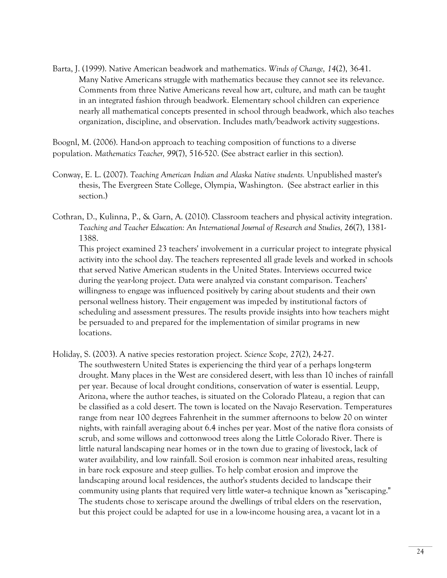Barta, J. (1999). Native American beadwork and mathematics. *Winds of Change, 14*(2), 36-41. Many Native Americans struggle with mathematics because they cannot see its relevance. Comments from three Native Americans reveal how art, culture, and math can be taught in an integrated fashion through beadwork. Elementary school children can experience nearly all mathematical concepts presented in school through beadwork, which also teaches organization, discipline, and observation. Includes math/beadwork activity suggestions.

Boognl, M. (2006). Hand-on approach to teaching composition of functions to a diverse population. *Mathematics Teacher, 99*(7), 516-520. (See abstract earlier in this section).

- Conway, E. L. (2007). *Teaching American Indian and Alaska Native students.* Unpublished master's thesis, The Evergreen State College, Olympia, Washington. (See abstract earlier in this section.)
- Cothran, D., Kulinna, P., & Garn, A. (2010). Classroom teachers and physical activity integration. *Teaching and Teacher Education: An International Journal of Research and Studies, 26*(7), 1381- 1388.

 This project examined 23 teachers' involvement in a curricular project to integrate physical activity into the school day. The teachers represented all grade levels and worked in schools that served Native American students in the United States. Interviews occurred twice during the year-long project. Data were analyzed via constant comparison. Teachers' willingness to engage was influenced positively by caring about students and their own personal wellness history. Their engagement was impeded by institutional factors of scheduling and assessment pressures. The results provide insights into how teachers might be persuaded to and prepared for the implementation of similar programs in new locations.

Holiday, S. (2003). A native species restoration project. *Science Scope, 27*(2), 24-27.

 The southwestern United States is experiencing the third year of a perhaps long-term drought. Many places in the West are considered desert, with less than 10 inches of rainfall per year. Because of local drought conditions, conservation of water is essential. Leupp, Arizona, where the author teaches, is situated on the Colorado Plateau, a region that can be classified as a cold desert. The town is located on the Navajo Reservation. Temperatures range from near 100 degrees Fahrenheit in the summer afternoons to below 20 on winter nights, with rainfall averaging about 6.4 inches per year. Most of the native flora consists of scrub, and some willows and cottonwood trees along the Little Colorado River. There is little natural landscaping near homes or in the town due to grazing of livestock, lack of water availability, and low rainfall. Soil erosion is common near inhabited areas, resulting in bare rock exposure and steep gullies. To help combat erosion and improve the landscaping around local residences, the author's students decided to landscape their community using plants that required very little water--a technique known as "xeriscaping." The students chose to xeriscape around the dwellings of tribal elders on the reservation, but this project could be adapted for use in a low-income housing area, a vacant lot in a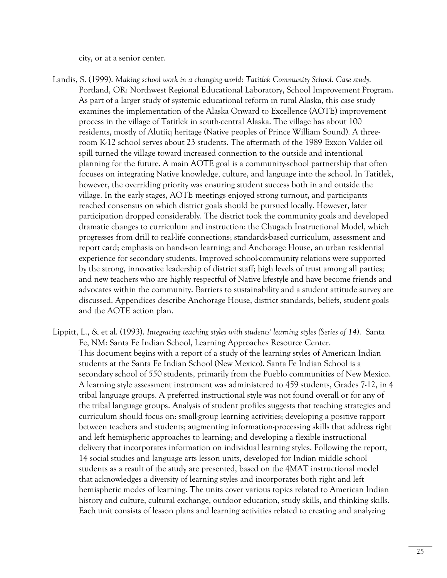city, or at a senior center.

- Landis, S. (1999). *Making school work in a changing world: Tatitlek Community School. Case study.*  Portland, OR: Northwest Regional Educational Laboratory, School Improvement Program. As part of a larger study of systemic educational reform in rural Alaska, this case study examines the implementation of the Alaska Onward to Excellence (AOTE) improvement process in the village of Tatitlek in south-central Alaska. The village has about 100 residents, mostly of Alutiiq heritage (Native peoples of Prince William Sound). A threeroom K-12 school serves about 23 students. The aftermath of the 1989 Exxon Valdez oil spill turned the village toward increased connection to the outside and intentional planning for the future. A main AOTE goal is a community-school partnership that often focuses on integrating Native knowledge, culture, and language into the school. In Tatitlek, however, the overriding priority was ensuring student success both in and outside the village. In the early stages, AOTE meetings enjoyed strong turnout, and participants reached consensus on which district goals should be pursued locally. However, later participation dropped considerably. The district took the community goals and developed dramatic changes to curriculum and instruction: the Chugach Instructional Model, which progresses from drill to real-life connections; standards-based curriculum, assessment and report card; emphasis on hands-on learning; and Anchorage House, an urban residential experience for secondary students. Improved school-community relations were supported by the strong, innovative leadership of district staff; high levels of trust among all parties; and new teachers who are highly respectful of Native lifestyle and have become friends and advocates within the community. Barriers to sustainability and a student attitude survey are discussed. Appendices describe Anchorage House, district standards, beliefs, student goals and the AOTE action plan.
- Lippitt, L., & et al. (1993). *Integrating teaching styles with students' learning styles (Series of 14)*.Santa Fe, NM: Santa Fe Indian School, Learning Approaches Resource Center. This document begins with a report of a study of the learning styles of American Indian students at the Santa Fe Indian School (New Mexico). Santa Fe Indian School is a secondary school of 550 students, primarily from the Pueblo communities of New Mexico. A learning style assessment instrument was administered to 459 students, Grades 7-12, in 4 tribal language groups. A preferred instructional style was not found overall or for any of the tribal language groups. Analysis of student profiles suggests that teaching strategies and curriculum should focus on: small-group learning activities; developing a positive rapport between teachers and students; augmenting information-processing skills that address right and left hemispheric approaches to learning; and developing a flexible instructional delivery that incorporates information on individual learning styles. Following the report, 14 social studies and language arts lesson units, developed for Indian middle school students as a result of the study are presented, based on the 4MAT instructional model that acknowledges a diversity of learning styles and incorporates both right and left hemispheric modes of learning. The units cover various topics related to American Indian history and culture, cultural exchange, outdoor education, study skills, and thinking skills. Each unit consists of lesson plans and learning activities related to creating and analyzing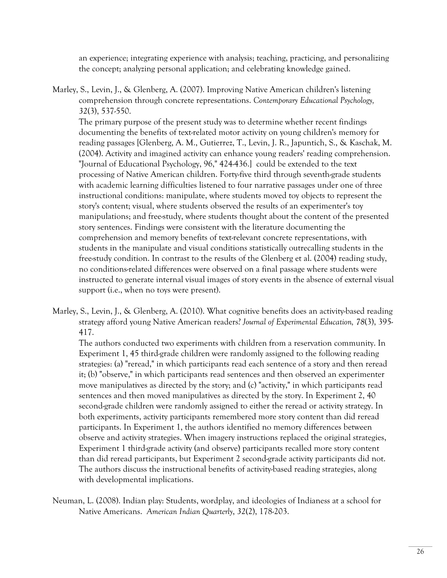an experience; integrating experience with analysis; teaching, practicing, and personalizing the concept; analyzing personal application; and celebrating knowledge gained.

Marley, S., Levin, J., & Glenberg, A. (2007). Improving Native American children's listening comprehension through concrete representations. *Contemporary Educational Psychology, 32*(3), 537-550.

 The primary purpose of the present study was to determine whether recent findings documenting the benefits of text-related motor activity on young children's memory for reading passages [Glenberg, A. M., Gutierrez, T., Levin, J. R., Japuntich, S., & Kaschak, M. (2004). Activity and imagined activity can enhance young readers' reading comprehension. "Journal of Educational Psychology, 96," 424-436.] could be extended to the text processing of Native American children. Forty-five third through seventh-grade students with academic learning difficulties listened to four narrative passages under one of three instructional conditions: manipulate, where students moved toy objects to represent the story's content; visual, where students observed the results of an experimenter's toy manipulations; and free-study, where students thought about the content of the presented story sentences. Findings were consistent with the literature documenting the comprehension and memory benefits of text-relevant concrete representations, with students in the manipulate and visual conditions statistically outrecalling students in the free-study condition. In contrast to the results of the Glenberg et al. (2004) reading study, no conditions-related differences were observed on a final passage where students were instructed to generate internal visual images of story events in the absence of external visual support (i.e., when no toys were present).

Marley, S., Levin, J., & Glenberg, A. (2010). What cognitive benefits does an activity-based reading strategy afford young Native American readers? *Journal of Experimental Education, 78*(3), 395- 417.

 The authors conducted two experiments with children from a reservation community. In Experiment 1, 45 third-grade children were randomly assigned to the following reading strategies: (a) "reread," in which participants read each sentence of a story and then reread it; (b) "observe," in which participants read sentences and then observed an experimenter move manipulatives as directed by the story; and (c) "activity," in which participants read sentences and then moved manipulatives as directed by the story. In Experiment 2, 40 second-grade children were randomly assigned to either the reread or activity strategy. In both experiments, activity participants remembered more story content than did reread participants. In Experiment 1, the authors identified no memory differences between observe and activity strategies. When imagery instructions replaced the original strategies, Experiment 1 third-grade activity (and observe) participants recalled more story content than did reread participants, but Experiment 2 second-grade activity participants did not. The authors discuss the instructional benefits of activity-based reading strategies, along with developmental implications.

Neuman, L. (2008). Indian play: Students, wordplay, and ideologies of Indianess at a school for Native Americans. *American Indian Quarterly*, *32*(2), 178-203.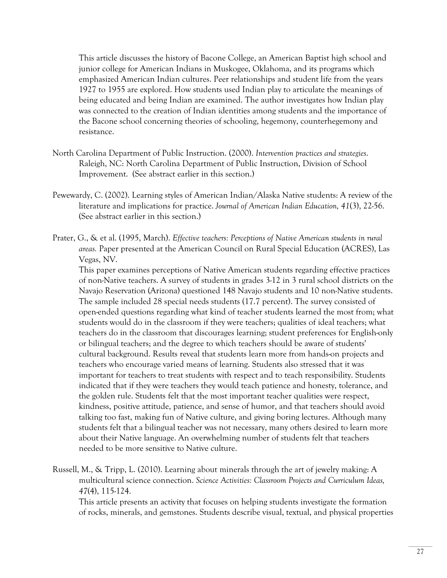This article discusses the history of Bacone College, an American Baptist high school and junior college for American Indians in Muskogee, Oklahoma, and its programs which emphasized American Indian cultures. Peer relationships and student life from the years 1927 to 1955 are explored. How students used Indian play to articulate the meanings of being educated and being Indian are examined. The author investigates how Indian play was connected to the creation of Indian identities among students and the importance of the Bacone school concerning theories of schooling, hegemony, counterhegemony and resistance.

- North Carolina Department of Public Instruction. (2000). *Intervention practices and strategies*. Raleigh, NC: North Carolina Department of Public Instruction, Division of School Improvement. (See abstract earlier in this section.)
- Pewewardy, C. (2002). Learning styles of American Indian/Alaska Native students: A review of the literature and implications for practice. *Journal of American Indian Education, 41*(3), 22-56. (See abstract earlier in this section.)
- Prater, G., & et al. (1995, March). *Effective teachers: Perceptions of Native American students in rural areas.* Paper presented at the American Council on Rural Special Education (ACRES), Las Vegas, NV.

 This paper examines perceptions of Native American students regarding effective practices of non-Native teachers. A survey of students in grades 3-12 in 3 rural school districts on the Navajo Reservation (Arizona) questioned 148 Navajo students and 10 non-Native students. The sample included 28 special needs students (17.7 percent). The survey consisted of open-ended questions regarding what kind of teacher students learned the most from; what students would do in the classroom if they were teachers; qualities of ideal teachers; what teachers do in the classroom that discourages learning; student preferences for English-only or bilingual teachers; and the degree to which teachers should be aware of students' cultural background. Results reveal that students learn more from hands-on projects and teachers who encourage varied means of learning. Students also stressed that it was important for teachers to treat students with respect and to teach responsibility. Students indicated that if they were teachers they would teach patience and honesty, tolerance, and the golden rule. Students felt that the most important teacher qualities were respect, kindness, positive attitude, patience, and sense of humor, and that teachers should avoid talking too fast, making fun of Native culture, and giving boring lectures. Although many students felt that a bilingual teacher was not necessary, many others desired to learn more about their Native language. An overwhelming number of students felt that teachers needed to be more sensitive to Native culture.

Russell, M., & Tripp, L. (2010). Learning about minerals through the art of jewelry making: A multicultural science connection. *Science Activities: Classroom Projects and Curriculum Ideas, 47*(4), 115-124.

 This article presents an activity that focuses on helping students investigate the formation of rocks, minerals, and gemstones. Students describe visual, textual, and physical properties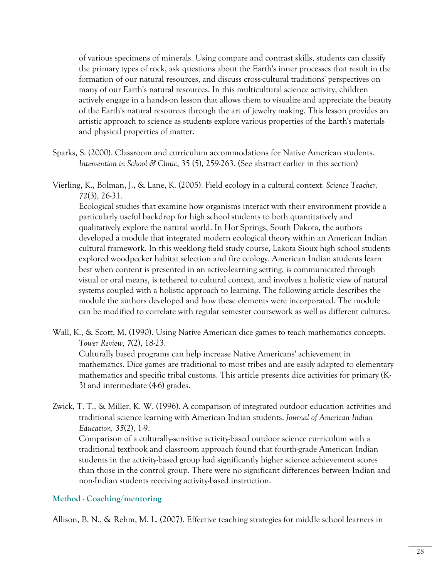of various specimens of minerals. Using compare and contrast skills, students can classify the primary types of rock, ask questions about the Earth's inner processes that result in the formation of our natural resources, and discuss cross-cultural traditions' perspectives on many of our Earth's natural resources. In this multicultural science activity, children actively engage in a hands-on lesson that allows them to visualize and appreciate the beauty of the Earth's natural resources through the art of jewelry making. This lesson provides an artistic approach to science as students explore various properties of the Earth's materials and physical properties of matter.

- Sparks, S. (2000). Classroom and curriculum accommodations for Native American students. *Intervention in School & Clinic*, 35 (5), 259-263. (See abstract earlier in this section)
- Vierling, K., Bolman, J., & Lane, K. (2005). Field ecology in a cultural context. *Science Teacher, 72*(3), 26-31.

 Ecological studies that examine how organisms interact with their environment provide a particularly useful backdrop for high school students to both quantitatively and qualitatively explore the natural world. In Hot Springs, South Dakota, the authors developed a module that integrated modern ecological theory within an American Indian cultural framework. In this weeklong field study course, Lakota Sioux high school students explored woodpecker habitat selection and fire ecology. American Indian students learn best when content is presented in an active-learning setting, is communicated through visual or oral means, is tethered to cultural context, and involves a holistic view of natural systems coupled with a holistic approach to learning. The following article describes the module the authors developed and how these elements were incorporated. The module can be modified to correlate with regular semester coursework as well as different cultures.

Wall, K., & Scott, M. (1990). Using Native American dice games to teach mathematics concepts. *Tower Review, 7*(2), 18-23.

 Culturally based programs can help increase Native Americans' achievement in mathematics. Dice games are traditional to most tribes and are easily adapted to elementary mathematics and specific tribal customs. This article presents dice activities for primary (K-3) and intermediate (4-6) grades.

Zwick, T. T., & Miller, K. W. (1996). A comparison of integrated outdoor education activities and traditional science learning with American Indian students. *Journal of American Indian Education, 35*(2), 1-9.

 Comparison of a culturally-sensitive activity-based outdoor science curriculum with a traditional textbook and classroom approach found that fourth-grade American Indian students in the activity-based group had significantly higher science achievement scores than those in the control group. There were no significant differences between Indian and non-Indian students receiving activity-based instruction.

## **Method - Coaching/mentoring**

Allison, B. N., & Rehm, M. L. (2007). Effective teaching strategies for middle school learners in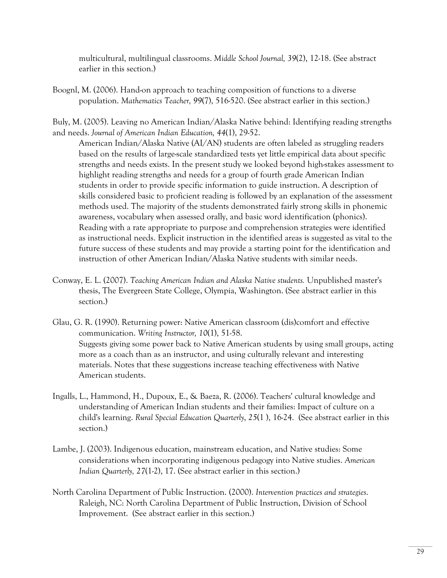multicultural, multilingual classrooms. *Middle School Journal, 39*(2), 12-18. (See abstract earlier in this section.)

Boognl, M. (2006). Hand-on approach to teaching composition of functions to a diverse population. *Mathematics Teacher, 99*(7), 516-520. (See abstract earlier in this section.)

Buly, M. (2005). Leaving no American Indian/Alaska Native behind: Identifying reading strengths and needs. *Journal of American Indian Education, 44*(1), 29-52.

 American Indian/Alaska Native (AI/AN) students are often labeled as struggling readers based on the results of large-scale standardized tests yet little empirical data about specific strengths and needs exists. In the present study we looked beyond high-stakes assessment to highlight reading strengths and needs for a group of fourth grade American Indian students in order to provide specific information to guide instruction. A description of skills considered basic to proficient reading is followed by an explanation of the assessment methods used. The majority of the students demonstrated fairly strong skills in phonemic awareness, vocabulary when assessed orally, and basic word identification (phonics). Reading with a rate appropriate to purpose and comprehension strategies were identified as instructional needs. Explicit instruction in the identified areas is suggested as vital to the future success of these students and may provide a starting point for the identification and instruction of other American Indian/Alaska Native students with similar needs.

- Conway, E. L. (2007). *Teaching American Indian and Alaska Native students.* Unpublished master's thesis, The Evergreen State College, Olympia, Washington. (See abstract earlier in this section.)
- Glau, G. R. (1990). Returning power: Native American classroom (dis)comfort and effective communication. *Writing Instructor, 10*(1), 51-58. Suggests giving some power back to Native American students by using small groups, acting more as a coach than as an instructor, and using culturally relevant and interesting materials. Notes that these suggestions increase teaching effectiveness with Native American students.
- Ingalls, L., Hammond, H., Dupoux, E., & Baeza, R. (2006). Teachers' cultural knowledge and understanding of American Indian students and their families: Impact of culture on a child's learning. *Rural Special Education Quarterly*, *25*(1 ), 16-24. (See abstract earlier in this section.)
- Lambe, J. (2003). Indigenous education, mainstream education, and Native studies: Some considerations when incorporating indigenous pedagogy into Native studies. *American Indian Quarterly, 27*(1-2), 17. (See abstract earlier in this section.)
- North Carolina Department of Public Instruction. (2000). *Intervention practices and strategies*. Raleigh, NC: North Carolina Department of Public Instruction, Division of School Improvement. (See abstract earlier in this section.)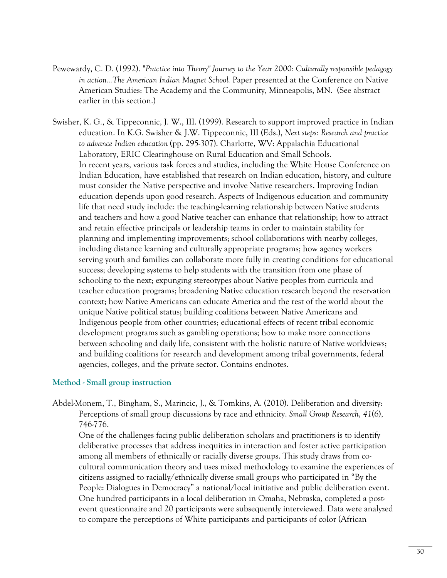- Pewewardy, C. D. (1992). "*Practice into Theory" Journey to the Year 2000: Culturally responsible pedagogy in action...The American Indian Magnet School.* Paper presented at the Conference on Native American Studies: The Academy and the Community, Minneapolis, MN. (See abstract earlier in this section.)
- Swisher, K. G., & Tippeconnic, J. W., III. (1999). Research to support improved practice in Indian education. In K.G. Swisher & J.W. Tippeconnic, III (Eds.), *Next steps: Research and practice to advance Indian education* (pp. 295-307). Charlotte, WV: Appalachia Educational Laboratory, ERIC Clearinghouse on Rural Education and Small Schools. In recent years, various task forces and studies, including the White House Conference on Indian Education, have established that research on Indian education, history, and culture must consider the Native perspective and involve Native researchers. Improving Indian education depends upon good research. Aspects of Indigenous education and community life that need study include: the teaching-learning relationship between Native students and teachers and how a good Native teacher can enhance that relationship; how to attract and retain effective principals or leadership teams in order to maintain stability for planning and implementing improvements; school collaborations with nearby colleges, including distance learning and culturally appropriate programs; how agency workers serving youth and families can collaborate more fully in creating conditions for educational success; developing systems to help students with the transition from one phase of schooling to the next; expunging stereotypes about Native peoples from curricula and teacher education programs; broadening Native education research beyond the reservation context; how Native Americans can educate America and the rest of the world about the unique Native political status; building coalitions between Native Americans and Indigenous people from other countries; educational effects of recent tribal economic development programs such as gambling operations; how to make more connections between schooling and daily life, consistent with the holistic nature of Native worldviews; and building coalitions for research and development among tribal governments, federal agencies, colleges, and the private sector. Contains endnotes.

### **Method - Small group instruction**

Abdel-Monem, T., Bingham, S., Marincic, J., & Tomkins, A. (2010). Deliberation and diversity: Perceptions of small group discussions by race and ethnicity. *Small Group Research*, *41*(6), 746-776.

 One of the challenges facing public deliberation scholars and practitioners is to identify deliberative processes that address inequities in interaction and foster active participation among all members of ethnically or racially diverse groups. This study draws from cocultural communication theory and uses mixed methodology to examine the experiences of citizens assigned to racially/ethnically diverse small groups who participated in "By the People: Dialogues in Democracy" a national/local initiative and public deliberation event. One hundred participants in a local deliberation in Omaha, Nebraska, completed a postevent questionnaire and 20 participants were subsequently interviewed. Data were analyzed to compare the perceptions of White participants and participants of color (African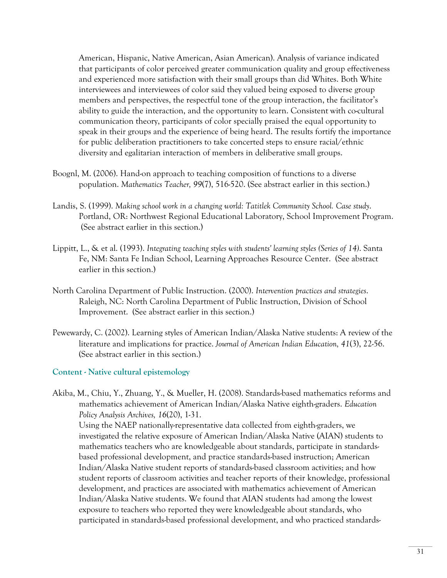American, Hispanic, Native American, Asian American). Analysis of variance indicated that participants of color perceived greater communication quality and group effectiveness and experienced more satisfaction with their small groups than did Whites. Both White interviewees and interviewees of color said they valued being exposed to diverse group members and perspectives, the respectful tone of the group interaction, the facilitator's ability to guide the interaction, and the opportunity to learn. Consistent with co-cultural communication theory, participants of color specially praised the equal opportunity to speak in their groups and the experience of being heard. The results fortify the importance for public deliberation practitioners to take concerted steps to ensure racial/ethnic diversity and egalitarian interaction of members in deliberative small groups.

- Boognl, M. (2006). Hand-on approach to teaching composition of functions to a diverse population. *Mathematics Teacher, 99*(7), 516-520. (See abstract earlier in this section.)
- Landis, S. (1999). *Making school work in a changing world: Tatitlek Community School. Case study*. Portland, OR: Northwest Regional Educational Laboratory, School Improvement Program. (See abstract earlier in this section.)
- Lippitt, L., & et al. (1993). *Integrating teaching styles with students' learning styles (Series of 14)*. Santa Fe, NM: Santa Fe Indian School, Learning Approaches Resource Center. (See abstract earlier in this section.)
- North Carolina Department of Public Instruction. (2000). *Intervention practices and strategies*. Raleigh, NC: North Carolina Department of Public Instruction, Division of School Improvement. (See abstract earlier in this section.)
- Pewewardy, C. (2002). Learning styles of American Indian/Alaska Native students: A review of the literature and implications for practice. *Journal of American Indian Education, 41*(3), 22-56. (See abstract earlier in this section.)

#### **Content - Native cultural epistemology**

Akiba, M., Chiu, Y., Zhuang, Y., & Mueller, H. (2008). Standards-based mathematics reforms and mathematics achievement of American Indian/Alaska Native eighth-graders. *Education Policy Analysis Archives, 16*(20), 1-31.

 Using the NAEP nationally-representative data collected from eighth-graders, we investigated the relative exposure of American Indian/Alaska Native (AIAN) students to mathematics teachers who are knowledgeable about standards, participate in standardsbased professional development, and practice standards-based instruction; American Indian/Alaska Native student reports of standards-based classroom activities; and how student reports of classroom activities and teacher reports of their knowledge, professional development, and practices are associated with mathematics achievement of American Indian/Alaska Native students. We found that AIAN students had among the lowest exposure to teachers who reported they were knowledgeable about standards, who participated in standards-based professional development, and who practiced standards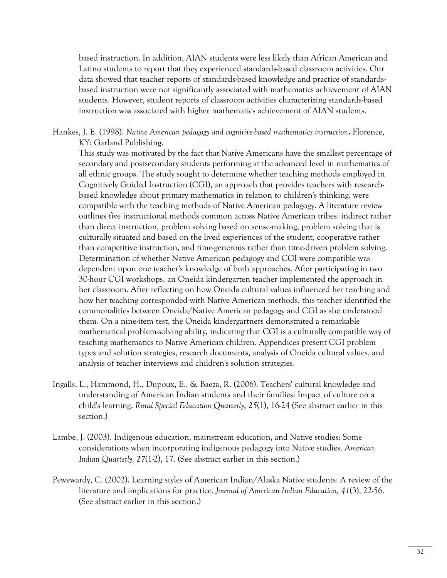based instruction. In addition, AIAN students were less likely than African American and Latino students to report that they experienced standards-based classroom activities. Our data showed that teacher reports of standards-based knowledge and practice of standardsbased instruction were not significantly associated with mathematics achievement of AIAN students. However, student reports of classroom activities characterizing standards-based instruction was associated with higher mathematics achievement of AIAN students.

Hankes, J. E. (1998). *Native American pedagogy and cognitive-based mathematics instruction***.** Florence, KY: Garland Publishing.

 This study was motivated by the fact that Native Americans have the smallest percentage of secondary and postsecondary students performing at the advanced level in mathematics of all ethnic groups. The study sought to determine whether teaching methods employed in Cognitively Guided Instruction (CGI), an approach that provides teachers with researchbased knowledge about primary mathematics in relation to children's thinking, were compatible with the teaching methods of Native American pedagogy. A literature review outlines five instructional methods common across Native American tribes: indirect rather than direct instruction, problem solving based on sense-making, problem solving that is culturally situated and based on the lived experiences of the student, cooperative rather than competitive instruction, and time-generous rather than time-driven problem solving. Determination of whether Native American pedagogy and CGI were compatible was dependent upon one teacher's knowledge of both approaches. After participating in two 30-hour CGI workshops, an Oneida kindergarten teacher implemented the approach in her classroom. After reflecting on how Oneida cultural values influenced her teaching and how her teaching corresponded with Native American methods, this teacher identified the commonalities between Oneida/Native American pedagogy and CGI as she understood them. On a nine-item test, the Oneida kindergartners demonstrated a remarkable mathematical problem-solving ability, indicating that CGI is a culturally compatible way of teaching mathematics to Native American children. Appendices present CGI problem types and solution strategies, research documents, analysis of Oneida cultural values, and analysis of teacher interviews and children's solution strategies.

- Ingalls, L., Hammond, H., Dupoux, E., & Baeza, R. (2006). Teachers' cultural knowledge and understanding of American Indian students and their families: Impact of culture on a child's learning. *Rural Special Education Quarterly*, *25*(1), 16-24 (See abstract earlier in this section.)
- Lambe, J. (2003). Indigenous education, mainstream education, and Native studies: Some considerations when incorporating indigenous pedagogy into Native studies. *American Indian Quarterly, 27*(1-2), 17. (See abstract earlier in this section.)
- Pewewardy, C. (2002). Learning styles of American Indian/Alaska Native students: A review of the literature and implications for practice. *Journal of American Indian Education, 41*(3), 22-56. (See abstract earlier in this section.)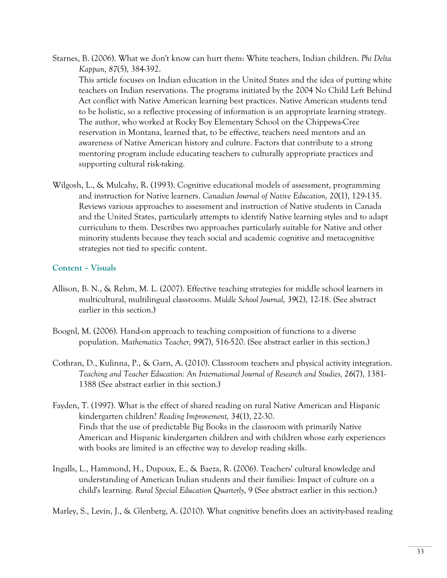- Starnes, B. (2006). What we don't know can hurt them: White teachers, Indian children. *Phi Delta Kappan, 87*(5), 384-392. This article focuses on Indian education in the United States and the idea of putting white teachers on Indian reservations. The programs initiated by the 2004 No Child Left Behind Act conflict with Native American learning best practices. Native American students tend to be holistic, so a reflective processing of information is an appropriate learning strategy. The author, who worked at Rocky Boy Elementary School on the Chippewa-Cree reservation in Montana, learned that, to be effective, teachers need mentors and an awareness of Native American history and culture. Factors that contribute to a strong mentoring program include educating teachers to culturally appropriate practices and supporting cultural risk-taking.
- Wilgosh, L., & Mulcahy, R. (1993). Cognitive educational models of assessment, programming and instruction for Native learners. *Canadian Journal of Native Education, 20*(1), 129-135. Reviews various approaches to assessment and instruction of Native students in Canada and the United States, particularly attempts to identify Native learning styles and to adapt curriculum to them. Describes two approaches particularly suitable for Native and other minority students because they teach social and academic cognitive and metacognitive strategies not tied to specific content.

### **Content – Visuals**

- Allison, B. N., & Rehm, M. L. (2007). Effective teaching strategies for middle school learners in multicultural, multilingual classrooms. *Middle School Journal, 39*(2), 12-18. (See abstract earlier in this section.)
- Boognl, M. (2006). Hand-on approach to teaching composition of functions to a diverse population. *Mathematics Teacher, 99*(7), 516-520. (See abstract earlier in this section.)
- Cothran, D., Kulinna, P., & Garn, A. (2010). Classroom teachers and physical activity integration. *Teaching and Teacher Education: An International Journal of Research and Studies, 26*(7), 1381- 1388 (See abstract earlier in this section.)
- Fayden, T. (1997). What is the effect of shared reading on rural Native American and Hispanic kindergarten children? *Reading Improvement, 34*(1), 22-30. Finds that the use of predictable Big Books in the classroom with primarily Native American and Hispanic kindergarten children and with children whose early experiences with books are limited is an effective way to develop reading skills.
- Ingalls, L., Hammond, H., Dupoux, E., & Baeza, R. (2006). Teachers' cultural knowledge and understanding of American Indian students and their families: Impact of culture on a child's learning. *Rural Special Education Quarterly*, 9 (See abstract earlier in this section.)

Marley, S., Levin, J., & Glenberg, A. (2010). What cognitive benefits does an activity-based reading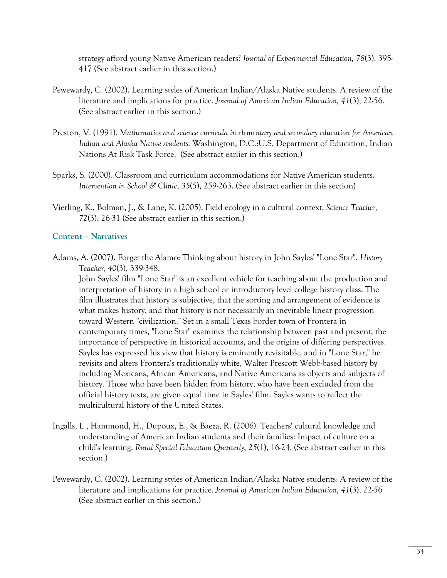strategy afford young Native American readers? *Journal of Experimental Education, 78*(3), 395- 417 (See abstract earlier in this section.)

- Pewewardy, C. (2002). Learning styles of American Indian/Alaska Native students: A review of the literature and implications for practice. *Journal of American Indian Education, 41*(3), 22-56. (See abstract earlier in this section.)
- Preston, V. (1991). *Mathematics and science curricula in elementary and secondary education for American Indian and Alaska Native students.* Washington, D.C.:U.S. Department of Education, Indian Nations At Risk Task Force. (See abstract earlier in this section.)
- Sparks, S. (2000). Classroom and curriculum accommodations for Native American students. *Intervention in School & Clinic*, *35*(5), 259-263. (See abstract earlier in this section)
- Vierling, K., Bolman, J., & Lane, K. (2005). Field ecology in a cultural context. *Science Teacher, 72*(3), 26-31 (See abstract earlier in this section.)

#### **Content – Narratives**

Adams, A. (2007). Forget the Alamo: Thinking about history in John Sayles' "Lone Star". *History Teacher, 40*(3), 339-348.

 John Sayles' film "Lone Star" is an excellent vehicle for teaching about the production and interpretation of history in a high school or introductory level college history class. The film illustrates that history is subjective, that the sorting and arrangement of evidence is what makes history, and that history is not necessarily an inevitable linear progression toward Western "civilization." Set in a small Texas border town of Frontera in contemporary times, "Lone Star" examines the relationship between past and present, the importance of perspective in historical accounts, and the origins of differing perspectives. Sayles has expressed his view that history is eminently revisitable, and in "Lone Star," he revisits and alters Frontera's traditionally white, Walter Prescott Webb-based history by including Mexicans, African Americans, and Native Americans as objects and subjects of history. Those who have been hidden from history, who have been excluded from the official history texts, are given equal time in Sayles' film. Sayles wants to reflect the multicultural history of the United States.

- Ingalls, L., Hammond, H., Dupoux, E., & Baeza, R. (2006). Teachers' cultural knowledge and understanding of American Indian students and their families: Impact of culture on a child's learning. *Rural Special Education Quarterly*, *25*(1), 16-24. (See abstract earlier in this section.)
- Pewewardy, C. (2002). Learning styles of American Indian/Alaska Native students: A review of the literature and implications for practice. *Journal of American Indian Education, 41*(3), 22-56 (See abstract earlier in this section.)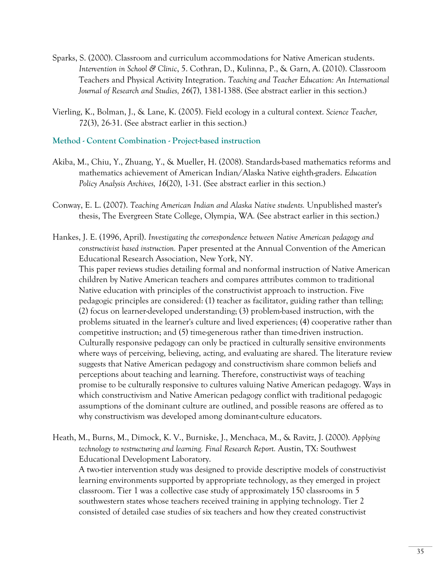- Sparks, S. (2000). Classroom and curriculum accommodations for Native American students. *Intervention in School & Clinic*, 5. Cothran, D., Kulinna, P., & Garn, A. (2010). Classroom Teachers and Physical Activity Integration. *Teaching and Teacher Education: An International Journal of Research and Studies, 26*(7), 1381-1388. (See abstract earlier in this section.)
- Vierling, K., Bolman, J., & Lane, K. (2005). Field ecology in a cultural context. *Science Teacher, 72*(3), 26-31. (See abstract earlier in this section.)

#### **Method - Content Combination - Project-based instruction**

- Akiba, M., Chiu, Y., Zhuang, Y., & Mueller, H. (2008). Standards-based mathematics reforms and mathematics achievement of American Indian/Alaska Native eighth-graders. *Education Policy Analysis Archives, 16*(20), 1-31. (See abstract earlier in this section.)
- Conway, E. L. (2007). *Teaching American Indian and Alaska Native students.* Unpublished master's thesis, The Evergreen State College, Olympia, WA*.* (See abstract earlier in this section.)
- Hankes, J. E. (1996, April). *Investigating the correspondence between Native American pedagogy and constructivist based instruction.* Paper presented at the Annual Convention of the American Educational Research Association, New York, NY.

 This paper reviews studies detailing formal and nonformal instruction of Native American children by Native American teachers and compares attributes common to traditional Native education with principles of the constructivist approach to instruction. Five pedagogic principles are considered: (1) teacher as facilitator, guiding rather than telling; (2) focus on learner-developed understanding; (3) problem-based instruction, with the problems situated in the learner's culture and lived experiences; (4) cooperative rather than competitive instruction; and (5) time-generous rather than time-driven instruction. Culturally responsive pedagogy can only be practiced in culturally sensitive environments where ways of perceiving, believing, acting, and evaluating are shared. The literature review suggests that Native American pedagogy and constructivism share common beliefs and perceptions about teaching and learning. Therefore, constructivist ways of teaching promise to be culturally responsive to cultures valuing Native American pedagogy. Ways in which constructivism and Native American pedagogy conflict with traditional pedagogic assumptions of the dominant culture are outlined, and possible reasons are offered as to why constructivism was developed among dominant-culture educators.

Heath, M., Burns, M., Dimock, K. V., Burniske, J., Menchaca, M., & Ravitz, J. (2000). *Applying technology to restructuring and learning. Final Research Report.* Austin, TX: Southwest Educational Development Laboratory.

 A two-tier intervention study was designed to provide descriptive models of constructivist learning environments supported by appropriate technology, as they emerged in project classroom. Tier 1 was a collective case study of approximately 150 classrooms in 5 southwestern states whose teachers received training in applying technology. Tier 2 consisted of detailed case studies of six teachers and how they created constructivist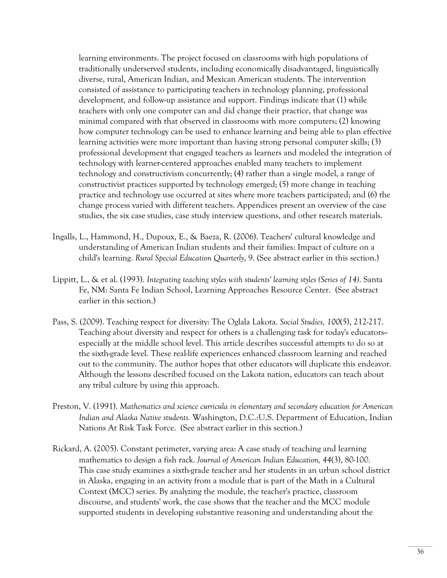learning environments. The project focused on classrooms with high populations of traditionally underserved students, including economically disadvantaged, linguistically diverse, rural, American Indian, and Mexican American students. The intervention consisted of assistance to participating teachers in technology planning, professional development, and follow-up assistance and support. Findings indicate that (1) while teachers with only one computer can and did change their practice, that change was minimal compared with that observed in classrooms with more computers; (2) knowing how computer technology can be used to enhance learning and being able to plan effective learning activities were more important than having strong personal computer skills; (3) professional development that engaged teachers as learners and modeled the integration of technology with learner-centered approaches enabled many teachers to implement technology and constructivism concurrently; (4) rather than a single model, a range of constructivist practices supported by technology emerged; (5) more change in teaching practice and technology use occurred at sites where more teachers participated; and (6) the change process varied with different teachers. Appendices present an overview of the case studies, the six case studies, case study interview questions, and other research materials.

- Ingalls, L., Hammond, H., Dupoux, E., & Baeza, R. (2006). Teachers' cultural knowledge and understanding of American Indian students and their families: Impact of culture on a child's learning. *Rural Special Education Quarterly*, 9. (See abstract earlier in this section.)
- Lippitt, L., & et al. (1993). *Integrating teaching styles with students' learning styles (Series of 14)*. Santa Fe, NM: Santa Fe Indian School, Learning Approaches Resource Center. (See abstract earlier in this section.)
- Pass, S. (2009). Teaching respect for diversity: The Oglala Lakota. *Social Studies, 100*(5), 212-217. Teaching about diversity and respect for others is a challenging task for today's educators- especially at the middle school level. This article describes successful attempts to do so at the sixth-grade level. These real-life experiences enhanced classroom learning and reached out to the community. The author hopes that other educators will duplicate this endeavor. Although the lessons described focused on the Lakota nation, educators can teach about any tribal culture by using this approach.
- Preston, V. (1991). *Mathematics and science curricula in elementary and secondary education for American Indian and Alaska Native students.* Washington, D.C.:U.S. Department of Education, Indian Nations At Risk Task Force. (See abstract earlier in this section.)
- Rickard, A. (2005). Constant perimeter, varying area: A case study of teaching and learning mathematics to design a fish rack. *Journal of American Indian Education, 44*(3), 80-100. This case study examines a sixth-grade teacher and her students in an urban school district in Alaska, engaging in an activity from a module that is part of the Math in a Cultural Context (MCC) series. By analyzing the module, the teacher's practice, classroom discourse, and students' work, the case shows that the teacher and the MCC module supported students in developing substantive reasoning and understanding about the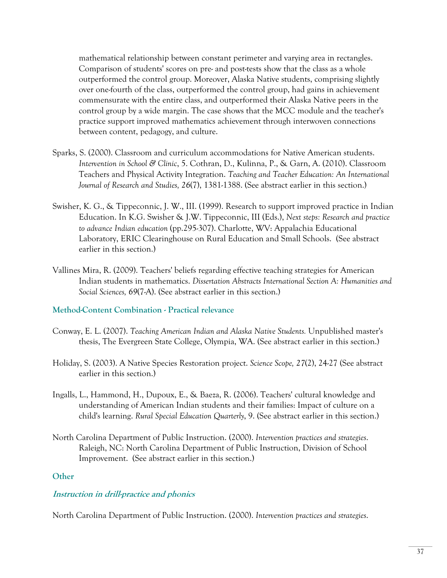mathematical relationship between constant perimeter and varying area in rectangles. Comparison of students' scores on pre- and post-tests show that the class as a whole outperformed the control group. Moreover, Alaska Native students, comprising slightly over one-fourth of the class, outperformed the control group, had gains in achievement commensurate with the entire class, and outperformed their Alaska Native peers in the control group by a wide margin. The case shows that the MCC module and the teacher's practice support improved mathematics achievement through interwoven connections between content, pedagogy, and culture.

- Sparks, S. (2000). Classroom and curriculum accommodations for Native American students. *Intervention in School & Clinic*, 5. Cothran, D., Kulinna, P., & Garn, A. (2010). Classroom Teachers and Physical Activity Integration. *Teaching and Teacher Education: An International Journal of Research and Studies, 26*(7), 1381-1388. (See abstract earlier in this section.)
- Swisher, K. G., & Tippeconnic, J. W., III. (1999). Research to support improved practice in Indian Education. In K.G. Swisher & J.W. Tippeconnic, III (Eds.), *Next steps: Research and practice to advance Indian education* (pp.295-307). Charlotte, WV: Appalachia Educational Laboratory, ERIC Clearinghouse on Rural Education and Small Schools. (See abstract earlier in this section.)
- Vallines Mira, R. (2009). Teachers' beliefs regarding effective teaching strategies for American Indian students in mathematics. *Dissertation Abstracts International Section A: Humanities and Social Sciences, 69*(7-A). (See abstract earlier in this section.)

## **Method-Content Combination - Practical relevance**

- Conway, E. L. (2007). *Teaching American Indian and Alaska Native Students.* Unpublished master's thesis, The Evergreen State College, Olympia, WA. (See abstract earlier in this section.)
- Holiday, S. (2003). A Native Species Restoration project. *Science Scope, 27*(2), 24-27 (See abstract earlier in this section.)
- Ingalls, L., Hammond, H., Dupoux, E., & Baeza, R. (2006). Teachers' cultural knowledge and understanding of American Indian students and their families: Impact of culture on a child's learning. *Rural Special Education Quarterly*, 9. (See abstract earlier in this section.)
- North Carolina Department of Public Instruction. (2000). *Intervention practices and strategies*. Raleigh, NC: North Carolina Department of Public Instruction, Division of School Improvement. (See abstract earlier in this section.)

#### **Other**

# **Instruction in drill-practice and phonics**

North Carolina Department of Public Instruction. (2000). *Intervention practices and strategies*.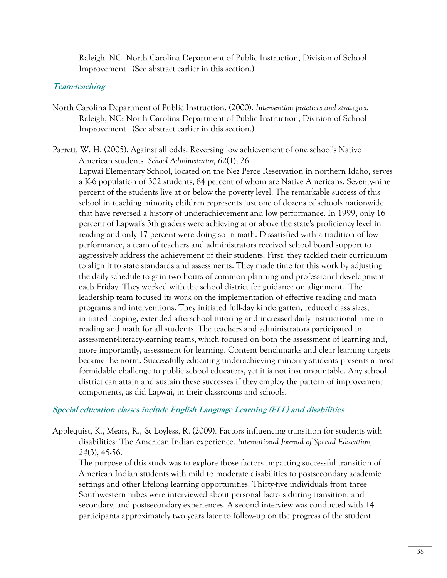Raleigh, NC: North Carolina Department of Public Instruction, Division of School Improvement. (See abstract earlier in this section.)

## **Team-teaching**

- North Carolina Department of Public Instruction. (2000). *Intervention practices and strategies*. Raleigh, NC: North Carolina Department of Public Instruction, Division of School Improvement. (See abstract earlier in this section.)
- Parrett, W. H. (2005). Against all odds: Reversing low achievement of one school's Native American students. *School Administrator, 62*(1), 26.

 Lapwai Elementary School, located on the Nez Perce Reservation in northern Idaho, serves a K-6 population of 302 students, 84 percent of whom are Native Americans. Seventy-nine percent of the students live at or below the poverty level. The remarkable success of this school in teaching minority children represents just one of dozens of schools nationwide that have reversed a history of underachievement and low performance. In 1999, only 16 percent of Lapwai's 3th graders were achieving at or above the state's proficiency level in reading and only 17 percent were doing so in math. Dissatisfied with a tradition of low performance, a team of teachers and administrators received school board support to aggressively address the achievement of their students. First, they tackled their curriculum to align it to state standards and assessments. They made time for this work by adjusting the daily schedule to gain two hours of common planning and professional development each Friday. They worked with the school district for guidance on alignment. The leadership team focused its work on the implementation of effective reading and math programs and interventions. They initiated full-day kindergarten, reduced class sizes, initiated looping, extended afterschool tutoring and increased daily instructional time in reading and math for all students. The teachers and administrators participated in assessment-literacy-learning teams, which focused on both the assessment of learning and, more importantly, assessment for learning. Content benchmarks and clear learning targets became the norm. Successfully educating underachieving minority students presents a most formidable challenge to public school educators, yet it is not insurmountable. Any school district can attain and sustain these successes if they employ the pattern of improvement components, as did Lapwai, in their classrooms and schools.

## **Special education classes include English Language Learning (ELL) and disabilities**

Applequist, K., Mears, R., & Loyless, R. (2009). Factors influencing transition for students with disabilities: The American Indian experience. *International Journal of Special Education, 24*(3), 45-56.

 The purpose of this study was to explore those factors impacting successful transition of American Indian students with mild to moderate disabilities to postsecondary academic settings and other lifelong learning opportunities. Thirty-five individuals from three Southwestern tribes were interviewed about personal factors during transition, and secondary, and postsecondary experiences. A second interview was conducted with 14 participants approximately two years later to follow-up on the progress of the student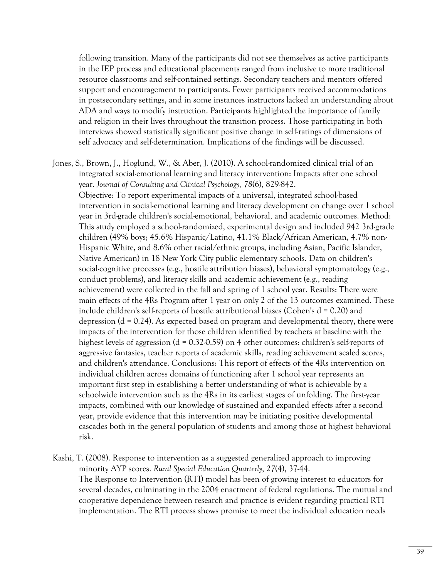following transition. Many of the participants did not see themselves as active participants in the IEP process and educational placements ranged from inclusive to more traditional resource classrooms and self-contained settings. Secondary teachers and mentors offered support and encouragement to participants. Fewer participants received accommodations in postsecondary settings, and in some instances instructors lacked an understanding about ADA and ways to modify instruction. Participants highlighted the importance of family and religion in their lives throughout the transition process. Those participating in both interviews showed statistically significant positive change in self-ratings of dimensions of self advocacy and self-determination. Implications of the findings will be discussed.

- Jones, S., Brown, J., Hoglund, W., & Aber, J. (2010). A school-randomized clinical trial of an integrated social-emotional learning and literacy intervention: Impacts after one school year. *Journal of Consulting and Clinical Psychology, 78*(6), 829-842. Objective: To report experimental impacts of a universal, integrated school-based intervention in social-emotional learning and literacy development on change over 1 school year in 3rd-grade children's social-emotional, behavioral, and academic outcomes. Method: This study employed a school-randomized, experimental design and included 942 3rd-grade children (49% boys; 45.6% Hispanic/Latino, 41.1% Black/African American, 4.7% non-Hispanic White, and 8.6% other racial/ethnic groups, including Asian, Pacific Islander, Native American) in 18 New York City public elementary schools. Data on children's social-cognitive processes (e.g., hostile attribution biases), behavioral symptomatology (e.g., conduct problems), and literacy skills and academic achievement (e.g., reading achievement) were collected in the fall and spring of 1 school year. Results: There were main effects of the 4Rs Program after 1 year on only 2 of the 13 outcomes examined. These include children's self-reports of hostile attributional biases (Cohen's  $d = 0.20$ ) and depression ( $d = 0.24$ ). As expected based on program and developmental theory, there were impacts of the intervention for those children identified by teachers at baseline with the highest levels of aggression (d = 0.32-0.59) on 4 other outcomes: children's self-reports of aggressive fantasies, teacher reports of academic skills, reading achievement scaled scores, and children's attendance. Conclusions: This report of effects of the 4Rs intervention on individual children across domains of functioning after 1 school year represents an important first step in establishing a better understanding of what is achievable by a schoolwide intervention such as the 4Rs in its earliest stages of unfolding. The first-year impacts, combined with our knowledge of sustained and expanded effects after a second year, provide evidence that this intervention may be initiating positive developmental cascades both in the general population of students and among those at highest behavioral risk.
- Kashi, T. (2008). Response to intervention as a suggested generalized approach to improving minority AYP scores. *Rural Special Education Quarterly*, *27*(4), 37-44. The Response to Intervention (RTI) model has been of growing interest to educators for several decades, culminating in the 2004 enactment of federal regulations. The mutual and cooperative dependence between research and practice is evident regarding practical RTI implementation. The RTI process shows promise to meet the individual education needs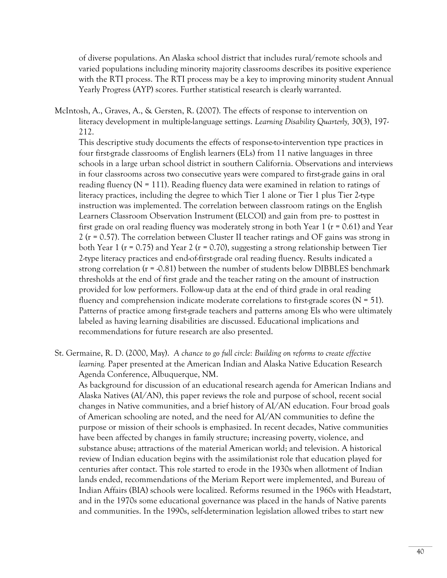of diverse populations. An Alaska school district that includes rural/remote schools and varied populations including minority majority classrooms describes its positive experience with the RTI process. The RTI process may be a key to improving minority student Annual Yearly Progress (AYP) scores. Further statistical research is clearly warranted.

 McIntosh, A., Graves, A., & Gersten, R. (2007). The effects of response to intervention on literacy development in multiple-language settings. *Learning Disability Quarterly, 30*(3), 197- 212.

 This descriptive study documents the effects of response-to-intervention type practices in four first-grade classrooms of English learners (ELs) from 11 native languages in three schools in a large urban school district in southern California. Observations and interviews in four classrooms across two consecutive years were compared to first-grade gains in oral reading fluency ( $N = 111$ ). Reading fluency data were examined in relation to ratings of literacy practices, including the degree to which Tier 1 alone or Tier 1 plus Tier 2-type instruction was implemented. The correlation between classroom ratings on the English Learners Classroom Observation Instrument (ELCOI) and gain from pre- to posttest in first grade on oral reading fluency was moderately strong in both Year 1 ( $r = 0.61$ ) and Year 2 (r = 0.57). The correlation between Cluster II teacher ratings and OF gains was strong in both Year 1 ( $r = 0.75$ ) and Year 2 ( $r = 0.70$ ), suggesting a strong relationship between Tier 2-type literacy practices and end-of-first-grade oral reading fluency. Results indicated a strong correlation ( $r = 0.81$ ) between the number of students below DIBBLES benchmark thresholds at the end of first grade and the teacher rating on the amount of instruction provided for low performers. Follow-up data at the end of third grade in oral reading fluency and comprehension indicate moderate correlations to first-grade scores ( $N = 51$ ). Patterns of practice among first-grade teachers and patterns among Els who were ultimately labeled as having learning disabilities are discussed. Educational implications and recommendations for future research are also presented.

 St. Germaine, R. D. (2000, May). *A chance to go full circle: Building on reforms to create effective learning.* Paper presented at the American Indian and Alaska Native Education Research Agenda Conference, Albuquerque, NM.

 As background for discussion of an educational research agenda for American Indians and Alaska Natives (AI/AN), this paper reviews the role and purpose of school, recent social changes in Native communities, and a brief history of AI/AN education. Four broad goals of American schooling are noted, and the need for AI/AN communities to define the purpose or mission of their schools is emphasized. In recent decades, Native communities have been affected by changes in family structure; increasing poverty, violence, and substance abuse; attractions of the material American world; and television. A historical review of Indian education begins with the assimilationist role that education played for centuries after contact. This role started to erode in the 1930s when allotment of Indian lands ended, recommendations of the Meriam Report were implemented, and Bureau of Indian Affairs (BIA) schools were localized. Reforms resumed in the 1960s with Headstart, and in the 1970s some educational governance was placed in the hands of Native parents and communities. In the 1990s, self-determination legislation allowed tribes to start new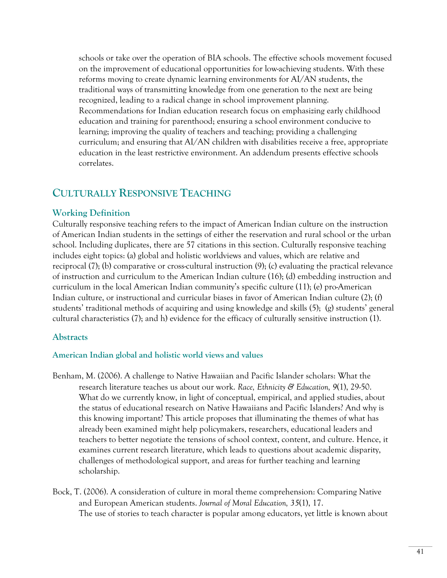schools or take over the operation of BIA schools. The effective schools movement focused on the improvement of educational opportunities for low-achieving students. With these reforms moving to create dynamic learning environments for AI/AN students, the traditional ways of transmitting knowledge from one generation to the next are being recognized, leading to a radical change in school improvement planning. Recommendations for Indian education research focus on emphasizing early childhood education and training for parenthood; ensuring a school environment conducive to learning; improving the quality of teachers and teaching; providing a challenging curriculum; and ensuring that AI/AN children with disabilities receive a free, appropriate education in the least restrictive environment. An addendum presents effective schools correlates.

# **CULTURALLY RESPONSIVE TEACHING**

#### **Working Definition**

Culturally responsive teaching refers to the impact of American Indian culture on the instruction of American Indian students in the settings of either the reservation and rural school or the urban school. Including duplicates, there are 57 citations in this section. Culturally responsive teaching includes eight topics: (a) global and holistic worldviews and values, which are relative and reciprocal (7); (b) comparative or cross-cultural instruction (9); (c) evaluating the practical relevance of instruction and curriculum to the American Indian culture (16); (d) embedding instruction and curriculum in the local American Indian community's specific culture (11); (e) pro-American Indian culture, or instructional and curricular biases in favor of American Indian culture (2); (f) students' traditional methods of acquiring and using knowledge and skills (5); (g) students' general cultural characteristics (7); and h) evidence for the efficacy of culturally sensitive instruction (1).

#### **Abstracts**

#### **American Indian global and holistic world views and values**

- Benham, M. (2006). A challenge to Native Hawaiian and Pacific Islander scholars: What the research literature teaches us about our work. *Race, Ethnicity & Education, 9*(1), 29-50. What do we currently know, in light of conceptual, empirical, and applied studies, about the status of educational research on Native Hawaiians and Pacific Islanders? And why is this knowing important? This article proposes that illuminating the themes of what has already been examined might help policymakers, researchers, educational leaders and teachers to better negotiate the tensions of school context, content, and culture. Hence, it examines current research literature, which leads to questions about academic disparity, challenges of methodological support, and areas for further teaching and learning scholarship.
- Bock, T. (2006). A consideration of culture in moral theme comprehension: Comparing Native and European American students. *Journal of Moral Education, 35*(1), 17. The use of stories to teach character is popular among educators, yet little is known about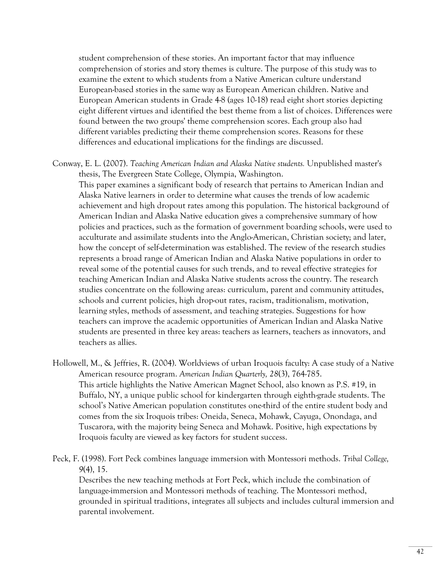student comprehension of these stories. An important factor that may influence comprehension of stories and story themes is culture. The purpose of this study was to examine the extent to which students from a Native American culture understand European-based stories in the same way as European American children. Native and European American students in Grade 4-8 (ages 10-18) read eight short stories depicting eight different virtues and identified the best theme from a list of choices. Differences were found between the two groups' theme comprehension scores. Each group also had different variables predicting their theme comprehension scores. Reasons for these differences and educational implications for the findings are discussed.

Conway, E. L. (2007). *Teaching American Indian and Alaska Native students.* Unpublished master's thesis, The Evergreen State College, Olympia, Washington.

 This paper examines a significant body of research that pertains to American Indian and Alaska Native learners in order to determine what causes the trends of low academic achievement and high dropout rates among this population. The historical background of American Indian and Alaska Native education gives a comprehensive summary of how policies and practices, such as the formation of government boarding schools, were used to acculturate and assimilate students into the Anglo-American, Christian society; and later, how the concept of self-determination was established. The review of the research studies represents a broad range of American Indian and Alaska Native populations in order to reveal some of the potential causes for such trends, and to reveal effective strategies for teaching American Indian and Alaska Native students across the country. The research studies concentrate on the following areas: curriculum, parent and community attitudes, schools and current policies, high drop-out rates, racism, traditionalism, motivation, learning styles, methods of assessment, and teaching strategies. Suggestions for how teachers can improve the academic opportunities of American Indian and Alaska Native students are presented in three key areas: teachers as learners, teachers as innovators, and teachers as allies.

Hollowell, M., & Jeffries, R. (2004). Worldviews of urban Iroquois faculty: A case study of a Native American resource program. *American Indian Quarterly, 28*(3), 764-785. This article highlights the Native American Magnet School, also known as P.S. #19, in Buffalo, NY, a unique public school for kindergarten through eighth-grade students. The school's Native American population constitutes one-third of the entire student body and comes from the six Iroquois tribes: Oneida, Seneca, Mohawk, Cayuga, Onondaga, and Tuscarora, with the majority being Seneca and Mohawk. Positive, high expectations by Iroquois faculty are viewed as key factors for student success.

Peck, F. (1998). Fort Peck combines language immersion with Montessori methods. *Tribal College, 9*(4), 15.

 Describes the new teaching methods at Fort Peck, which include the combination of language-immersion and Montessori methods of teaching. The Montessori method, grounded in spiritual traditions, integrates all subjects and includes cultural immersion and parental involvement.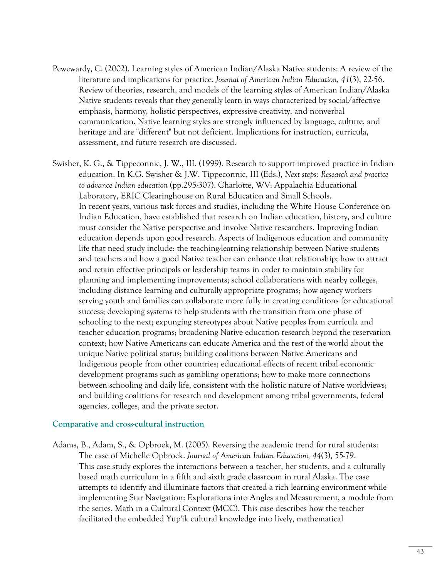- Pewewardy, C. (2002). Learning styles of American Indian/Alaska Native students: A review of the literature and implications for practice. *Journal of American Indian Education, 41*(3), 22-56. Review of theories, research, and models of the learning styles of American Indian/Alaska Native students reveals that they generally learn in ways characterized by social/affective emphasis, harmony, holistic perspectives, expressive creativity, and nonverbal communication. Native learning styles are strongly influenced by language, culture, and heritage and are "different" but not deficient. Implications for instruction, curricula, assessment, and future research are discussed.
- Swisher, K. G., & Tippeconnic, J. W., III. (1999). Research to support improved practice in Indian education. In K.G. Swisher & J.W. Tippeconnic, III (Eds.), *Next steps: Research and practice to advance Indian education* (pp.295-307). Charlotte, WV: Appalachia Educational Laboratory, ERIC Clearinghouse on Rural Education and Small Schools. In recent years, various task forces and studies, including the White House Conference on Indian Education, have established that research on Indian education, history, and culture must consider the Native perspective and involve Native researchers. Improving Indian education depends upon good research. Aspects of Indigenous education and community life that need study include: the teaching-learning relationship between Native students and teachers and how a good Native teacher can enhance that relationship; how to attract and retain effective principals or leadership teams in order to maintain stability for planning and implementing improvements; school collaborations with nearby colleges, including distance learning and culturally appropriate programs; how agency workers serving youth and families can collaborate more fully in creating conditions for educational success; developing systems to help students with the transition from one phase of schooling to the next; expunging stereotypes about Native peoples from curricula and teacher education programs; broadening Native education research beyond the reservation context; how Native Americans can educate America and the rest of the world about the unique Native political status; building coalitions between Native Americans and Indigenous people from other countries; educational effects of recent tribal economic development programs such as gambling operations; how to make more connections between schooling and daily life, consistent with the holistic nature of Native worldviews; and building coalitions for research and development among tribal governments, federal agencies, colleges, and the private sector.

#### **Comparative and cross-cultural instruction**

Adams, B., Adam, S., & Opbroek, M. (2005). Reversing the academic trend for rural students: The case of Michelle Opbroek. *Journal of American Indian Education, 44*(3), 55-79. This case study explores the interactions between a teacher, her students, and a culturally based math curriculum in a fifth and sixth grade classroom in rural Alaska. The case attempts to identify and illuminate factors that created a rich learning environment while implementing Star Navigation: Explorations into Angles and Measurement, a module from the series, Math in a Cultural Context (MCC). This case describes how the teacher facilitated the embedded Yup'ik cultural knowledge into lively, mathematical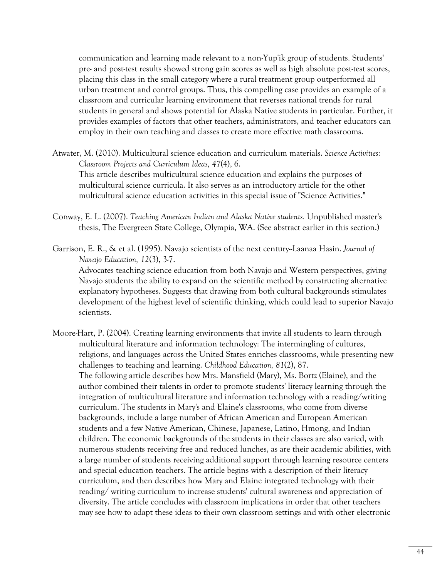communication and learning made relevant to a non-Yup'ik group of students. Students' pre- and post-test results showed strong gain scores as well as high absolute post-test scores, placing this class in the small category where a rural treatment group outperformed all urban treatment and control groups. Thus, this compelling case provides an example of a classroom and curricular learning environment that reverses national trends for rural students in general and shows potential for Alaska Native students in particular. Further, it provides examples of factors that other teachers, administrators, and teacher educators can employ in their own teaching and classes to create more effective math classrooms.

- Atwater, M. (2010). Multicultural science education and curriculum materials. *Science Activities: Classroom Projects and Curriculum Ideas, 47*(4), 6. This article describes multicultural science education and explains the purposes of multicultural science curricula. It also serves as an introductory article for the other multicultural science education activities in this special issue of "Science Activities."
- Conway, E. L. (2007). *Teaching American Indian and Alaska Native students.* Unpublished master's thesis, The Evergreen State College, Olympia, WA. (See abstract earlier in this section.)
- Garrison, E. R., & et al. (1995). Navajo scientists of the next century--Laanaa Hasin. *Journal of Navajo Education, 12*(3), 3-7.

 Advocates teaching science education from both Navajo and Western perspectives, giving Navajo students the ability to expand on the scientific method by constructing alternative explanatory hypotheses. Suggests that drawing from both cultural backgrounds stimulates development of the highest level of scientific thinking, which could lead to superior Navajo scientists.

Moore-Hart, P. (2004). Creating learning environments that invite all students to learn through multicultural literature and information technology: The intermingling of cultures, religions, and languages across the United States enriches classrooms, while presenting new challenges to teaching and learning. *Childhood Education, 81*(2), 87. The following article describes how Mrs. Mansfield (Mary), Ms. Bortz (Elaine), and the author combined their talents in order to promote students' literacy learning through the integration of multicultural literature and information technology with a reading/writing curriculum. The students in Mary's and Elaine's classrooms, who come from diverse backgrounds, include a large number of African American and European American students and a few Native American, Chinese, Japanese, Latino, Hmong, and Indian children. The economic backgrounds of the students in their classes are also varied, with numerous students receiving free and reduced lunches, as are their academic abilities, with a large number of students receiving additional support through learning resource centers and special education teachers. The article begins with a description of their literacy curriculum, and then describes how Mary and Elaine integrated technology with their reading/ writing curriculum to increase students' cultural awareness and appreciation of diversity. The article concludes with classroom implications in order that other teachers may see how to adapt these ideas to their own classroom settings and with other electronic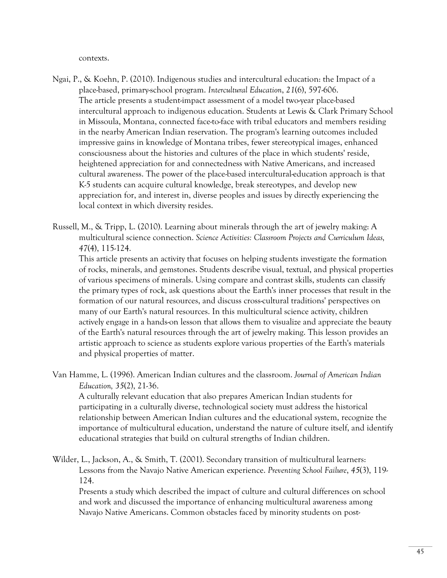contexts.

- Ngai, P., & Koehn, P. (2010). Indigenous studies and intercultural education: the Impact of a place-based, primary-school program. *Intercultural Education*, *21*(6), 597-606. The article presents a student-impact assessment of a model two-year place-based intercultural approach to indigenous education. Students at Lewis & Clark Primary School in Missoula, Montana, connected face-to-face with tribal educators and members residing in the nearby American Indian reservation. The program's learning outcomes included impressive gains in knowledge of Montana tribes, fewer stereotypical images, enhanced consciousness about the histories and cultures of the place in which students' reside, heightened appreciation for and connectedness with Native Americans, and increased cultural awareness. The power of the place-based intercultural-education approach is that K-5 students can acquire cultural knowledge, break stereotypes, and develop new appreciation for, and interest in, diverse peoples and issues by directly experiencing the local context in which diversity resides.
- Russell, M., & Tripp, L. (2010). Learning about minerals through the art of jewelry making: A multicultural science connection. *Science Activities: Classroom Projects and Curriculum Ideas, 47*(4), 115-124.

 This article presents an activity that focuses on helping students investigate the formation of rocks, minerals, and gemstones. Students describe visual, textual, and physical properties of various specimens of minerals. Using compare and contrast skills, students can classify the primary types of rock, ask questions about the Earth's inner processes that result in the formation of our natural resources, and discuss cross-cultural traditions' perspectives on many of our Earth's natural resources. In this multicultural science activity, children actively engage in a hands-on lesson that allows them to visualize and appreciate the beauty of the Earth's natural resources through the art of jewelry making. This lesson provides an artistic approach to science as students explore various properties of the Earth's materials and physical properties of matter.

Van Hamme, L. (1996). American Indian cultures and the classroom. *Journal of American Indian Education, 35*(2), 21-36.

 A culturally relevant education that also prepares American Indian students for participating in a culturally diverse, technological society must address the historical relationship between American Indian cultures and the educational system, recognize the importance of multicultural education, understand the nature of culture itself, and identify educational strategies that build on cultural strengths of Indian children.

Wilder, L., Jackson, A., & Smith, T. (2001). Secondary transition of multicultural learners: Lessons from the Navajo Native American experience. *Preventing School Failure*, *45*(3), 119- 124.

 Presents a study which described the impact of culture and cultural differences on school and work and discussed the importance of enhancing multicultural awareness among Navajo Native Americans. Common obstacles faced by minority students on post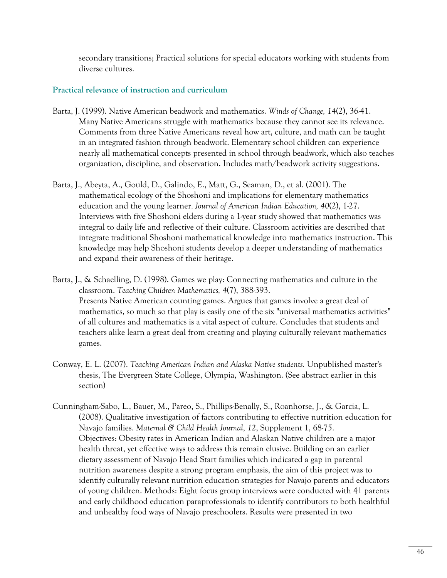secondary transitions; Practical solutions for special educators working with students from diverse cultures.

#### **Practical relevance of instruction and curriculum**

- Barta, J. (1999). Native American beadwork and mathematics. *Winds of Change, 14*(2), 36-41. Many Native Americans struggle with mathematics because they cannot see its relevance. Comments from three Native Americans reveal how art, culture, and math can be taught in an integrated fashion through beadwork. Elementary school children can experience nearly all mathematical concepts presented in school through beadwork, which also teaches organization, discipline, and observation. Includes math/beadwork activity suggestions.
- Barta, J., Abeyta, A., Gould, D., Galindo, E., Matt, G., Seaman, D., et al. (2001). The mathematical ecology of the Shoshoni and implications for elementary mathematics education and the young learner. *Journal of American Indian Education, 40*(2), 1-27. Interviews with five Shoshoni elders during a 1-year study showed that mathematics was integral to daily life and reflective of their culture. Classroom activities are described that integrate traditional Shoshoni mathematical knowledge into mathematics instruction. This knowledge may help Shoshoni students develop a deeper understanding of mathematics and expand their awareness of their heritage.
- Barta, J., & Schaelling, D. (1998). Games we play: Connecting mathematics and culture in the classroom. *Teaching Children Mathematics, 4*(7), 388-393. Presents Native American counting games. Argues that games involve a great deal of mathematics, so much so that play is easily one of the six "universal mathematics activities" of all cultures and mathematics is a vital aspect of culture. Concludes that students and teachers alike learn a great deal from creating and playing culturally relevant mathematics games.
- Conway, E. L. (2007). *Teaching American Indian and Alaska Native students.* Unpublished master's thesis, The Evergreen State College, Olympia, Washington. (See abstract earlier in this section)
- Cunningham-Sabo, L., Bauer, M., Pareo, S., Phillips-Benally, S., Roanhorse, J., & Garcia, L. (2008). Qualitative investigation of factors contributing to effective nutrition education for Navajo families. *Maternal & Child Health Journal*, *12*, Supplement 1, 68-75. Objectives: Obesity rates in American Indian and Alaskan Native children are a major health threat, yet effective ways to address this remain elusive. Building on an earlier dietary assessment of Navajo Head Start families which indicated a gap in parental nutrition awareness despite a strong program emphasis, the aim of this project was to identify culturally relevant nutrition education strategies for Navajo parents and educators of young children. Methods: Eight focus group interviews were conducted with 41 parents and early childhood education paraprofessionals to identify contributors to both healthful and unhealthy food ways of Navajo preschoolers. Results were presented in two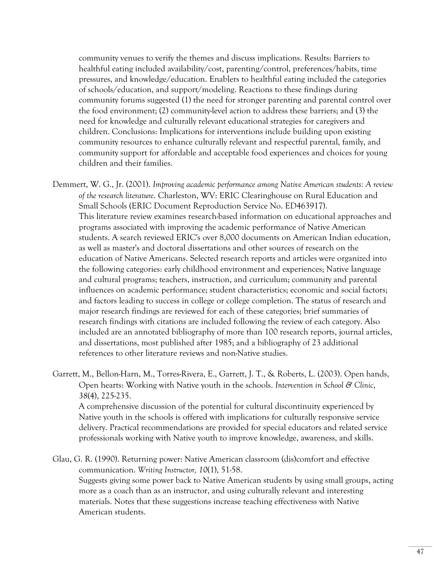community venues to verify the themes and discuss implications. Results: Barriers to healthful eating included availability/cost, parenting/control, preferences/habits, time pressures, and knowledge/education. Enablers to healthful eating included the categories of schools/education, and support/modeling. Reactions to these findings during community forums suggested (1) the need for stronger parenting and parental control over the food environment; (2) community-level action to address these barriers; and (3) the need for knowledge and culturally relevant educational strategies for caregivers and children. Conclusions: Implications for interventions include building upon existing community resources to enhance culturally relevant and respectful parental, family, and community support for affordable and acceptable food experiences and choices for young children and their families.

Demmert, W. G., Jr. (2001). *Improving academic performance among Native American students: A review of the research literature*. Charleston, WV: ERIC Clearinghouse on Rural Education and Small Schools (ERIC Document Reproduction Service No. ED463917). This literature review examines research-based information on educational approaches and programs associated with improving the academic performance of Native American students. A search reviewed ERIC's over 8,000 documents on American Indian education, as well as master's and doctoral dissertations and other sources of research on the education of Native Americans. Selected research reports and articles were organized into the following categories: early childhood environment and experiences; Native language and cultural programs; teachers, instruction, and curriculum; community and parental influences on academic performance; student characteristics; economic and social factors; and factors leading to success in college or college completion. The status of research and major research findings are reviewed for each of these categories; brief summaries of research findings with citations are included following the review of each category. Also included are an annotated bibliography of more than 100 research reports, journal articles, and dissertations, most published after 1985; and a bibliography of 23 additional references to other literature reviews and non-Native studies.

Garrett, M., Bellon-Harn, M., Torres-Rivera, E., Garrett, J. T., & Roberts, L. (2003). Open hands, Open hearts: Working with Native youth in the schools. *Intervention in School & Clinic*, *38*(4), 225-235.

 A comprehensive discussion of the potential for cultural discontinuity experienced by Native youth in the schools is offered with implications for culturally responsive service delivery. Practical recommendations are provided for special educators and related service professionals working with Native youth to improve knowledge, awareness, and skills.

Glau, G. R. (1990). Returning power: Native American classroom (dis)comfort and effective communication. *Writing Instructor, 10*(1), 51-58. Suggests giving some power back to Native American students by using small groups, acting more as a coach than as an instructor, and using culturally relevant and interesting materials. Notes that these suggestions increase teaching effectiveness with Native American students.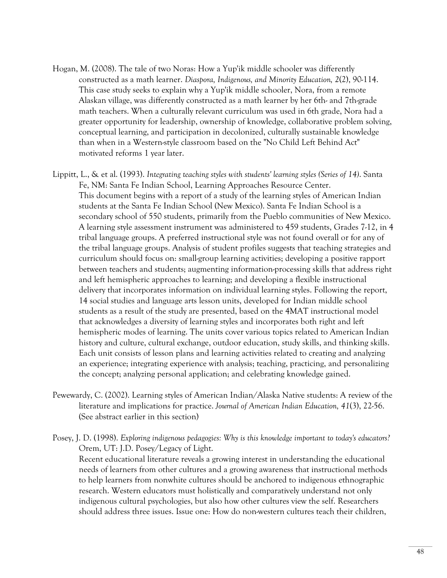- Hogan, M. (2008). The tale of two Noras: How a Yup'ik middle schooler was differently constructed as a math learner. *Diaspora, Indigenous, and Minority Education, 2*(2), 90-114. This case study seeks to explain why a Yup'ik middle schooler, Nora, from a remote Alaskan village, was differently constructed as a math learner by her 6th- and 7th-grade math teachers. When a culturally relevant curriculum was used in 6th grade, Nora had a greater opportunity for leadership, ownership of knowledge, collaborative problem solving, conceptual learning, and participation in decolonized, culturally sustainable knowledge than when in a Western-style classroom based on the "No Child Left Behind Act" motivated reforms 1 year later.
- Lippitt, L., & et al. (1993). *Integrating teaching styles with students' learning styles (Series of 14)*. Santa Fe, NM: Santa Fe Indian School, Learning Approaches Resource Center. This document begins with a report of a study of the learning styles of American Indian students at the Santa Fe Indian School (New Mexico). Santa Fe Indian School is a secondary school of 550 students, primarily from the Pueblo communities of New Mexico. A learning style assessment instrument was administered to 459 students, Grades 7-12, in 4 tribal language groups. A preferred instructional style was not found overall or for any of the tribal language groups. Analysis of student profiles suggests that teaching strategies and curriculum should focus on: small-group learning activities; developing a positive rapport between teachers and students; augmenting information-processing skills that address right and left hemispheric approaches to learning; and developing a flexible instructional delivery that incorporates information on individual learning styles. Following the report, 14 social studies and language arts lesson units, developed for Indian middle school students as a result of the study are presented, based on the 4MAT instructional model that acknowledges a diversity of learning styles and incorporates both right and left hemispheric modes of learning. The units cover various topics related to American Indian history and culture, cultural exchange, outdoor education, study skills, and thinking skills. Each unit consists of lesson plans and learning activities related to creating and analyzing an experience; integrating experience with analysis; teaching, practicing, and personalizing the concept; analyzing personal application; and celebrating knowledge gained.
- Pewewardy, C. (2002). Learning styles of American Indian/Alaska Native students: A review of the literature and implications for practice. *Journal of American Indian Education, 41*(3), 22-56. (See abstract earlier in this section)
- Posey, J. D. (1998). *Exploring indigenous pedagogies: Why is this knowledge important to today's educators?*  Orem, UT: J.D. Posey/Legacy of Light. Recent educational literature reveals a growing interest in understanding the educational needs of learners from other cultures and a growing awareness that instructional methods to help learners from nonwhite cultures should be anchored to indigenous ethnographic research. Western educators must holistically and comparatively understand not only indigenous cultural psychologies, but also how other cultures view the self. Researchers should address three issues. Issue one: How do non-western cultures teach their children,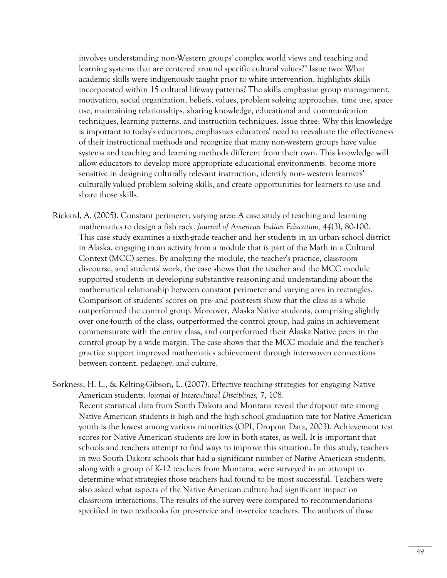involves understanding non-Western groups' complex world views and teaching and learning systems that are centered around specific cultural values?" Issue two: What academic skills were indigenously taught prior to white intervention, highlights skills incorporated within 15 cultural lifeway patterns? The skills emphasize group management, motivation, social organization, beliefs, values, problem solving approaches, time use, space use, maintaining relationships, sharing knowledge, educational and communication techniques, learning patterns, and instruction techniques. Issue three: Why this knowledge is important to today's educators, emphasizes educators' need to reevaluate the effectiveness of their instructional methods and recognize that many non-western groups have value systems and teaching and learning methods different from their own. This knowledge will allow educators to develop more appropriate educational environments, become more sensitive in designing culturally relevant instruction, identify non- western learners' culturally valued problem solving skills, and create opportunities for learners to use and share those skills.

- Rickard, A. (2005). Constant perimeter, varying area: A case study of teaching and learning mathematics to design a fish rack. *Journal of American Indian Education, 44*(3), 80-100. This case study examines a sixth-grade teacher and her students in an urban school district in Alaska, engaging in an activity from a module that is part of the Math in a Cultural Context (MCC) series. By analyzing the module, the teacher's practice, classroom discourse, and students' work, the case shows that the teacher and the MCC module supported students in developing substantive reasoning and understanding about the mathematical relationship between constant perimeter and varying area in rectangles. Comparison of students' scores on pre- and post-tests show that the class as a whole outperformed the control group. Moreover, Alaska Native students, comprising slightly over one-fourth of the class, outperformed the control group, had gains in achievement commensurate with the entire class, and outperformed their Alaska Native peers in the control group by a wide margin. The case shows that the MCC module and the teacher's practice support improved mathematics achievement through interwoven connections between content, pedagogy, and culture.
- Sorkness, H. L., & Kelting-Gibson, L. (2007). Effective teaching strategies for engaging Native American students. *Journal of Intercultural Disciplines, 7*, 108. Recent statistical data from South Dakota and Montana reveal the dropout rate among Native American students is high and the high school graduation rate for Native American youth is the lowest among various minorities (OPI, Dropout Data, 2003). Achievement test scores for Native American students are low in both states, as well. It is important that schools and teachers attempt to find ways to improve this situation. In this study, teachers in two South Dakota schools that had a significant number of Native American students, along with a group of K-12 teachers from Montana, were surveyed in an attempt to determine what strategies those teachers had found to be most successful. Teachers were also asked what aspects of the Native American culture had significant impact on classroom interactions. The results of the survey were compared to recommendations specified in two textbooks for pre-service and in-service teachers. The authors of those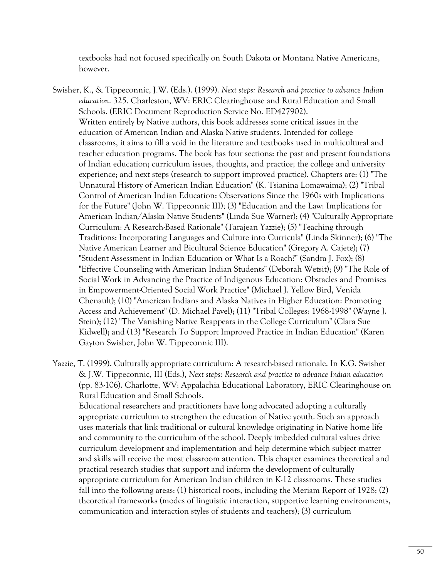textbooks had not focused specifically on South Dakota or Montana Native Americans, however.

- Swisher, K., & Tippeconnic, J.W. (Eds.). (1999). *Next steps: Research and practice to advance Indian education*. 325. Charleston, WV: ERIC Clearinghouse and Rural Education and Small Schools. (ERIC Document Reproduction Service No. ED427902). Written entirely by Native authors, this book addresses some critical issues in the education of American Indian and Alaska Native students. Intended for college classrooms, it aims to fill a void in the literature and textbooks used in multicultural and teacher education programs. The book has four sections: the past and present foundations of Indian education; curriculum issues, thoughts, and practice; the college and university experience; and next steps (research to support improved practice). Chapters are: (1) "The Unnatural History of American Indian Education" (K. Tsianina Lomawaima); (2) "Tribal Control of American Indian Education: Observations Since the 1960s with Implications for the Future" (John W. Tippeconnic III); (3) "Education and the Law: Implications for American Indian/Alaska Native Students" (Linda Sue Warner); (4) "Culturally Appropriate Curriculum: A Research-Based Rationale" (Tarajean Yazzie); (5) "Teaching through Traditions: Incorporating Languages and Culture into Curricula" (Linda Skinner); (6) "The Native American Learner and Bicultural Science Education" (Gregory A. Cajete); (7) "Student Assessment in Indian Education or What Is a Roach?" (Sandra J. Fox); (8) "Effective Counseling with American Indian Students" (Deborah Wetsit); (9) "The Role of Social Work in Advancing the Practice of Indigenous Education: Obstacles and Promises in Empowerment-Oriented Social Work Practice" (Michael J. Yellow Bird, Venida Chenault); (10) "American Indians and Alaska Natives in Higher Education: Promoting Access and Achievement" (D. Michael Pavel); (11) "Tribal Colleges: 1968-1998" (Wayne J. Stein); (12) "The Vanishing Native Reappears in the College Curriculum" (Clara Sue Kidwell); and (13) "Research To Support Improved Practice in Indian Education" (Karen Gayton Swisher, John W. Tippeconnic III).
- Yazzie, T. (1999). Culturally appropriate curriculum: A research-based rationale. In K.G. Swisher & J.W. Tippeconnic, III (Eds.), *Next steps: Research and practice to advance Indian education* (pp. 83-106). Charlotte, WV: Appalachia Educational Laboratory, ERIC Clearinghouse on Rural Education and Small Schools.

 Educational researchers and practitioners have long advocated adopting a culturally appropriate curriculum to strengthen the education of Native youth. Such an approach uses materials that link traditional or cultural knowledge originating in Native home life and community to the curriculum of the school. Deeply imbedded cultural values drive curriculum development and implementation and help determine which subject matter and skills will receive the most classroom attention. This chapter examines theoretical and practical research studies that support and inform the development of culturally appropriate curriculum for American Indian children in K-12 classrooms. These studies fall into the following areas: (1) historical roots, including the Meriam Report of 1928; (2) theoretical frameworks (modes of linguistic interaction, supportive learning environments, communication and interaction styles of students and teachers); (3) curriculum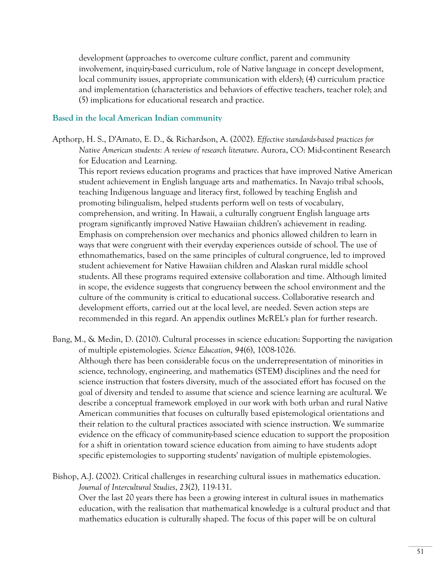development (approaches to overcome culture conflict, parent and community involvement, inquiry-based curriculum, role of Native language in concept development, local community issues, appropriate communication with elders); (4) curriculum practice and implementation (characteristics and behaviors of effective teachers, teacher role); and (5) implications for educational research and practice.

#### **Based in the local American Indian community**

Apthorp, H. S., D'Amato, E. D., & Richardson, A. (2002). *Effective standards-based practices for Native American students: A review of research literature*. Aurora, CO: Mid-continent Research for Education and Learning.

 This report reviews education programs and practices that have improved Native American student achievement in English language arts and mathematics. In Navajo tribal schools, teaching Indigenous language and literacy first, followed by teaching English and promoting bilingualism, helped students perform well on tests of vocabulary, comprehension, and writing. In Hawaii, a culturally congruent English language arts program significantly improved Native Hawaiian children's achievement in reading. Emphasis on comprehension over mechanics and phonics allowed children to learn in ways that were congruent with their everyday experiences outside of school. The use of ethnomathematics, based on the same principles of cultural congruence, led to improved student achievement for Native Hawaiian children and Alaskan rural middle school students. All these programs required extensive collaboration and time. Although limited in scope, the evidence suggests that congruency between the school environment and the culture of the community is critical to educational success. Collaborative research and development efforts, carried out at the local level, are needed. Seven action steps are recommended in this regard. An appendix outlines McREL's plan for further research.

Bang, M., & Medin, D. (2010). Cultural processes in science education: Supporting the navigation of multiple epistemologies. *Science Education*, *94*(6), 1008-1026. Although there has been considerable focus on the underrepresentation of minorities in science, technology, engineering, and mathematics (STEM) disciplines and the need for science instruction that fosters diversity, much of the associated effort has focused on the goal of diversity and tended to assume that science and science learning are acultural. We describe a conceptual framework employed in our work with both urban and rural Native American communities that focuses on culturally based epistemological orientations and their relation to the cultural practices associated with science instruction. We summarize evidence on the efficacy of community-based science education to support the proposition for a shift in orientation toward science education from aiming to have students adopt specific epistemologies to supporting students' navigation of multiple epistemologies.

Bishop, A.J. (2002). Critical challenges in researching cultural issues in mathematics education. *Journal of Intercultural Studies*, *23*(2), 119-131.

 Over the last 20 years there has been a growing interest in cultural issues in mathematics education, with the realisation that mathematical knowledge is a cultural product and that mathematics education is culturally shaped. The focus of this paper will be on cultural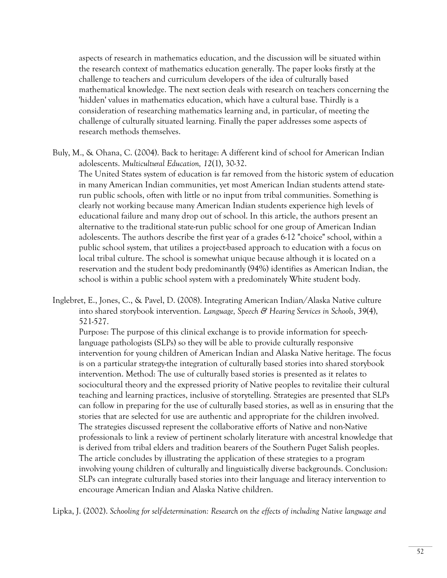aspects of research in mathematics education, and the discussion will be situated within the research context of mathematics education generally. The paper looks firstly at the challenge to teachers and curriculum developers of the idea of culturally based mathematical knowledge. The next section deals with research on teachers concerning the 'hidden' values in mathematics education, which have a cultural base. Thirdly is a consideration of researching mathematics learning and, in particular, of meeting the challenge of culturally situated learning. Finally the paper addresses some aspects of research methods themselves.

- Buly, M., & Ohana, C. (2004). Back to heritage: A different kind of school for American Indian adolescents. *Multicultural Education, 12*(1), 30-32. The United States system of education is far removed from the historic system of education in many American Indian communities, yet most American Indian students attend staterun public schools, often with little or no input from tribal communities. Something is clearly not working because many American Indian students experience high levels of educational failure and many drop out of school. In this article, the authors present an alternative to the traditional state-run public school for one group of American Indian adolescents. The authors describe the first year of a grades 6-12 "choice" school, within a public school system, that utilizes a project-based approach to education with a focus on local tribal culture. The school is somewhat unique because although it is located on a reservation and the student body predominantly (94%) identifies as American Indian, the school is within a public school system with a predominately White student body.
- Inglebret, E., Jones, C., & Pavel, D. (2008). Integrating American Indian/Alaska Native culture into shared storybook intervention. *Language, Speech & Hearing Services in Schools*, *39*(4), 521-527.

 Purpose: The purpose of this clinical exchange is to provide information for speechlanguage pathologists (SLPs) so they will be able to provide culturally responsive intervention for young children of American Indian and Alaska Native heritage. The focus is on a particular strategy-the integration of culturally based stories into shared storybook intervention. Method: The use of culturally based stories is presented as it relates to sociocultural theory and the expressed priority of Native peoples to revitalize their cultural teaching and learning practices, inclusive of storytelling. Strategies are presented that SLPs can follow in preparing for the use of culturally based stories, as well as in ensuring that the stories that are selected for use are authentic and appropriate for the children involved. The strategies discussed represent the collaborative efforts of Native and non-Native professionals to link a review of pertinent scholarly literature with ancestral knowledge that is derived from tribal elders and tradition bearers of the Southern Puget Salish peoples. The article concludes by illustrating the application of these strategies to a program involving young children of culturally and linguistically diverse backgrounds. Conclusion: SLPs can integrate culturally based stories into their language and literacy intervention to encourage American Indian and Alaska Native children.

Lipka, J. (2002). *Schooling for self-determination: Research on the effects of including Native language and*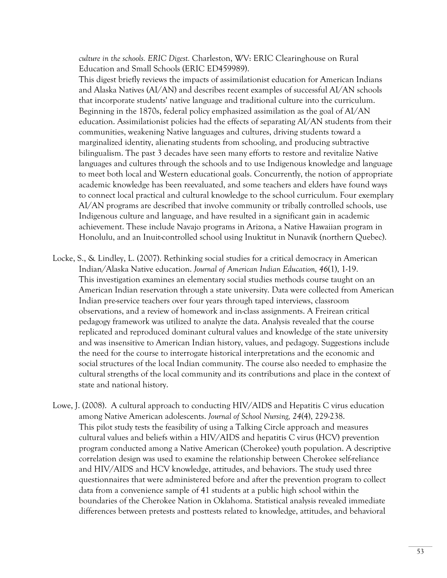*culture in the schools. ERIC Digest.* Charleston, WV: ERIC Clearinghouse on Rural Education and Small Schools (ERIC ED459989).

 This digest briefly reviews the impacts of assimilationist education for American Indians and Alaska Natives (AI/AN) and describes recent examples of successful AI/AN schools that incorporate students' native language and traditional culture into the curriculum. Beginning in the 1870s, federal policy emphasized assimilation as the goal of AI/AN education. Assimilationist policies had the effects of separating AI/AN students from their communities, weakening Native languages and cultures, driving students toward a marginalized identity, alienating students from schooling, and producing subtractive bilingualism. The past 3 decades have seen many efforts to restore and revitalize Native languages and cultures through the schools and to use Indigenous knowledge and language to meet both local and Western educational goals. Concurrently, the notion of appropriate academic knowledge has been reevaluated, and some teachers and elders have found ways to connect local practical and cultural knowledge to the school curriculum. Four exemplary AI/AN programs are described that involve community or tribally controlled schools, use Indigenous culture and language, and have resulted in a significant gain in academic achievement. These include Navajo programs in Arizona, a Native Hawaiian program in Honolulu, and an Inuit-controlled school using Inuktitut in Nunavik (northern Quebec).

- Locke, S., & Lindley, L. (2007). Rethinking social studies for a critical democracy in American Indian/Alaska Native education. *Journal of American Indian Education, 46*(1), 1-19. This investigation examines an elementary social studies methods course taught on an American Indian reservation through a state university. Data were collected from American Indian pre-service teachers over four years through taped interviews, classroom observations, and a review of homework and in-class assignments. A Freirean critical pedagogy framework was utilized to analyze the data. Analysis revealed that the course replicated and reproduced dominant cultural values and knowledge of the state university and was insensitive to American Indian history, values, and pedagogy. Suggestions include the need for the course to interrogate historical interpretations and the economic and social structures of the local Indian community. The course also needed to emphasize the cultural strengths of the local community and its contributions and place in the context of state and national history.
- Lowe, J. (2008). A cultural approach to conducting HIV/AIDS and Hepatitis C virus education among Native American adolescents. *Journal of School Nursing, 24*(4), 229-238. This pilot study tests the feasibility of using a Talking Circle approach and measures cultural values and beliefs within a HIV/AIDS and hepatitis C virus (HCV) prevention program conducted among a Native American (Cherokee) youth population. A descriptive correlation design was used to examine the relationship between Cherokee self-reliance and HIV/AIDS and HCV knowledge, attitudes, and behaviors. The study used three questionnaires that were administered before and after the prevention program to collect data from a convenience sample of 41 students at a public high school within the boundaries of the Cherokee Nation in Oklahoma. Statistical analysis revealed immediate differences between pretests and posttests related to knowledge, attitudes, and behavioral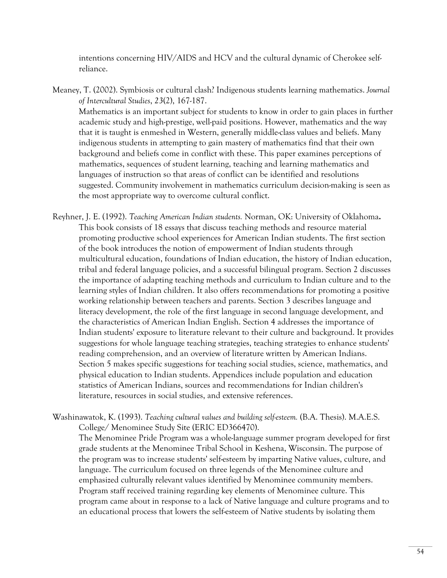intentions concerning HIV/AIDS and HCV and the cultural dynamic of Cherokee selfreliance.

Meaney, T. (2002). Symbiosis or cultural clash? Indigenous students learning mathematics. *Journal of Intercultural Studies*, *23*(2), 167-187. Mathematics is an important subject for students to know in order to gain places in further academic study and high-prestige, well-paid positions. However, mathematics and the way that it is taught is enmeshed in Western, generally middle-class values and beliefs. Many indigenous students in attempting to gain mastery of mathematics find that their own

background and beliefs come in conflict with these. This paper examines perceptions of mathematics, sequences of student learning, teaching and learning mathematics and languages of instruction so that areas of conflict can be identified and resolutions suggested. Community involvement in mathematics curriculum decision-making is seen as the most appropriate way to overcome cultural conflict.

- Reyhner, J. E. (1992). *Teaching American Indian students.* Norman, OK: University of Oklahoma**.**  This book consists of 18 essays that discuss teaching methods and resource material promoting productive school experiences for American Indian students. The first section of the book introduces the notion of empowerment of Indian students through multicultural education, foundations of Indian education, the history of Indian education, tribal and federal language policies, and a successful bilingual program. Section 2 discusses the importance of adapting teaching methods and curriculum to Indian culture and to the learning styles of Indian children. It also offers recommendations for promoting a positive working relationship between teachers and parents. Section 3 describes language and literacy development, the role of the first language in second language development, and the characteristics of American Indian English. Section 4 addresses the importance of Indian students' exposure to literature relevant to their culture and background. It provides suggestions for whole language teaching strategies, teaching strategies to enhance students' reading comprehension, and an overview of literature written by American Indians. Section 5 makes specific suggestions for teaching social studies, science, mathematics, and physical education to Indian students. Appendices include population and education statistics of American Indians, sources and recommendations for Indian children's literature, resources in social studies, and extensive references.
- Washinawatok, K. (1993). *Teaching cultural values and building self-esteem.* (B.A. Thesis). M.A.E.S. College/ Menominee Study Site (ERIC ED366470).

 The Menominee Pride Program was a whole-language summer program developed for first grade students at the Menominee Tribal School in Keshena, Wisconsin. The purpose of the program was to increase students' self-esteem by imparting Native values, culture, and language. The curriculum focused on three legends of the Menominee culture and emphasized culturally relevant values identified by Menominee community members. Program staff received training regarding key elements of Menominee culture. This program came about in response to a lack of Native language and culture programs and to an educational process that lowers the self-esteem of Native students by isolating them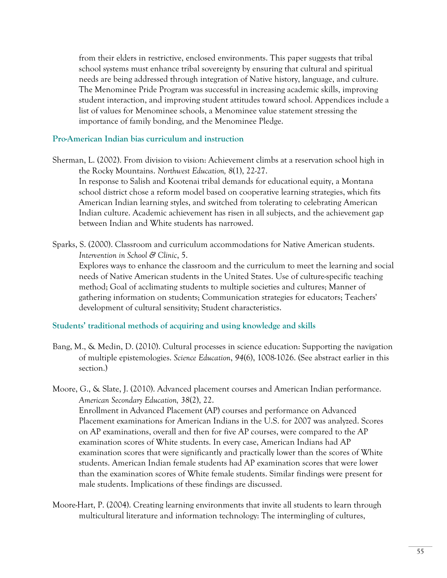from their elders in restrictive, enclosed environments. This paper suggests that tribal school systems must enhance tribal sovereignty by ensuring that cultural and spiritual needs are being addressed through integration of Native history, language, and culture. The Menominee Pride Program was successful in increasing academic skills, improving student interaction, and improving student attitudes toward school. Appendices include a list of values for Menominee schools, a Menominee value statement stressing the importance of family bonding, and the Menominee Pledge.

#### **Pro-American Indian bias curriculum and instruction**

- Sherman, L. (2002). From division to vision: Achievement climbs at a reservation school high in the Rocky Mountains. *Northwest Education, 8*(1), 22-27. In response to Salish and Kootenai tribal demands for educational equity, a Montana school district chose a reform model based on cooperative learning strategies, which fits American Indian learning styles, and switched from tolerating to celebrating American Indian culture. Academic achievement has risen in all subjects, and the achievement gap between Indian and White students has narrowed.
- Sparks, S. (2000). Classroom and curriculum accommodations for Native American students. *Intervention in School & Clinic*, 5.

 Explores ways to enhance the classroom and the curriculum to meet the learning and social needs of Native American students in the United States. Use of culture-specific teaching method; Goal of acclimating students to multiple societies and cultures; Manner of gathering information on students; Communication strategies for educators; Teachers' development of cultural sensitivity; Student characteristics.

#### **Students' traditional methods of acquiring and using knowledge and skills**

- Bang, M., & Medin, D. (2010). Cultural processes in science education: Supporting the navigation of multiple epistemologies. *Science Education*, *94*(6), 1008-1026. (See abstract earlier in this section.)
- Moore, G., & Slate, J. (2010). Advanced placement courses and American Indian performance. *American Secondary Education, 38*(2), 22. Enrollment in Advanced Placement (AP) courses and performance on Advanced Placement examinations for American Indians in the U.S. for 2007 was analyzed. Scores on AP examinations, overall and then for five AP courses, were compared to the AP examination scores of White students. In every case, American Indians had AP examination scores that were significantly and practically lower than the scores of White students. American Indian female students had AP examination scores that were lower than the examination scores of White female students. Similar findings were present for male students. Implications of these findings are discussed.
- Moore-Hart, P. (2004). Creating learning environments that invite all students to learn through multicultural literature and information technology: The intermingling of cultures,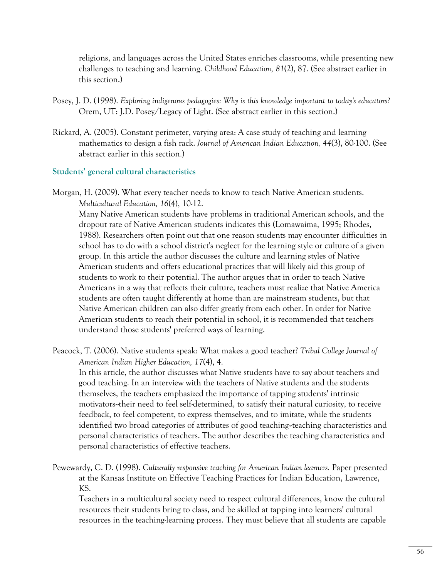religions, and languages across the United States enriches classrooms, while presenting new challenges to teaching and learning. *Childhood Education, 81*(2), 87. (See abstract earlier in this section.)

- Posey, J. D. (1998). *Exploring indigenous pedagogies: Why is this knowledge important to today's educators?* Orem, UT: J.D. Posey/Legacy of Light. (See abstract earlier in this section.)
- Rickard, A. (2005). Constant perimeter, varying area: A case study of teaching and learning mathematics to design a fish rack. *Journal of American Indian Education, 44*(3), 80-100. (See abstract earlier in this section.)

#### **Students' general cultural characteristics**

Morgan, H. (2009). What every teacher needs to know to teach Native American students. *Multicultural Education, 16*(4), 10-12.

 Many Native American students have problems in traditional American schools, and the dropout rate of Native American students indicates this (Lomawaima, 1995; Rhodes, 1988). Researchers often point out that one reason students may encounter difficulties in school has to do with a school district's neglect for the learning style or culture of a given group. In this article the author discusses the culture and learning styles of Native American students and offers educational practices that will likely aid this group of students to work to their potential. The author argues that in order to teach Native Americans in a way that reflects their culture, teachers must realize that Native America students are often taught differently at home than are mainstream students, but that Native American children can also differ greatly from each other. In order for Native American students to reach their potential in school, it is recommended that teachers understand those students' preferred ways of learning.

Peacock, T. (2006). Native students speak: What makes a good teacher? *Tribal College Journal of American Indian Higher Education, 17*(4), 4.

 In this article, the author discusses what Native students have to say about teachers and good teaching. In an interview with the teachers of Native students and the students themselves, the teachers emphasized the importance of tapping students' intrinsic motivators--their need to feel self-determined, to satisfy their natural curiosity, to receive feedback, to feel competent, to express themselves, and to imitate, while the students identified two broad categories of attributes of good teaching--teaching characteristics and personal characteristics of teachers. The author describes the teaching characteristics and personal characteristics of effective teachers.

Pewewardy, C. D. (1998). *Culturally responsive teaching for American Indian learners.* Paper presented at the Kansas Institute on Effective Teaching Practices for Indian Education, Lawrence, KS.

 Teachers in a multicultural society need to respect cultural differences, know the cultural resources their students bring to class, and be skilled at tapping into learners' cultural resources in the teaching-learning process. They must believe that all students are capable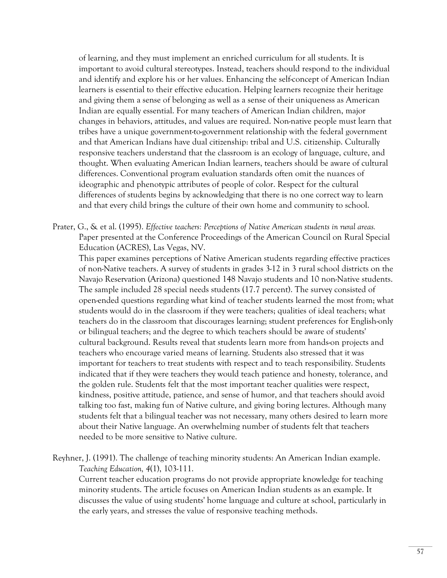of learning, and they must implement an enriched curriculum for all students. It is important to avoid cultural stereotypes. Instead, teachers should respond to the individual and identify and explore his or her values. Enhancing the self-concept of American Indian learners is essential to their effective education. Helping learners recognize their heritage and giving them a sense of belonging as well as a sense of their uniqueness as American Indian are equally essential. For many teachers of American Indian children, major changes in behaviors, attitudes, and values are required. Non-native people must learn that tribes have a unique government-to-government relationship with the federal government and that American Indians have dual citizenship: tribal and U.S. citizenship. Culturally responsive teachers understand that the classroom is an ecology of language, culture, and thought. When evaluating American Indian learners, teachers should be aware of cultural differences. Conventional program evaluation standards often omit the nuances of ideographic and phenotypic attributes of people of color. Respect for the cultural differences of students begins by acknowledging that there is no one correct way to learn and that every child brings the culture of their own home and community to school.

Prater, G., & et al. (1995). *Effective teachers: Perceptions of Native American students in rural areas.* Paper presented at the Conference Proceedings of the American Council on Rural Special Education (ACRES), Las Vegas, NV.

 This paper examines perceptions of Native American students regarding effective practices of non-Native teachers. A survey of students in grades 3-12 in 3 rural school districts on the Navajo Reservation (Arizona) questioned 148 Navajo students and 10 non-Native students. The sample included 28 special needs students (17.7 percent). The survey consisted of open-ended questions regarding what kind of teacher students learned the most from; what students would do in the classroom if they were teachers; qualities of ideal teachers; what teachers do in the classroom that discourages learning; student preferences for English-only or bilingual teachers; and the degree to which teachers should be aware of students' cultural background. Results reveal that students learn more from hands-on projects and teachers who encourage varied means of learning. Students also stressed that it was important for teachers to treat students with respect and to teach responsibility. Students indicated that if they were teachers they would teach patience and honesty, tolerance, and the golden rule. Students felt that the most important teacher qualities were respect, kindness, positive attitude, patience, and sense of humor, and that teachers should avoid talking too fast, making fun of Native culture, and giving boring lectures. Although many students felt that a bilingual teacher was not necessary, many others desired to learn more about their Native language. An overwhelming number of students felt that teachers needed to be more sensitive to Native culture.

Reyhner, J. (1991). The challenge of teaching minority students: An American Indian example. *Teaching Education, 4*(1), 103-111.

 Current teacher education programs do not provide appropriate knowledge for teaching minority students. The article focuses on American Indian students as an example. It discusses the value of using students' home language and culture at school, particularly in the early years, and stresses the value of responsive teaching methods.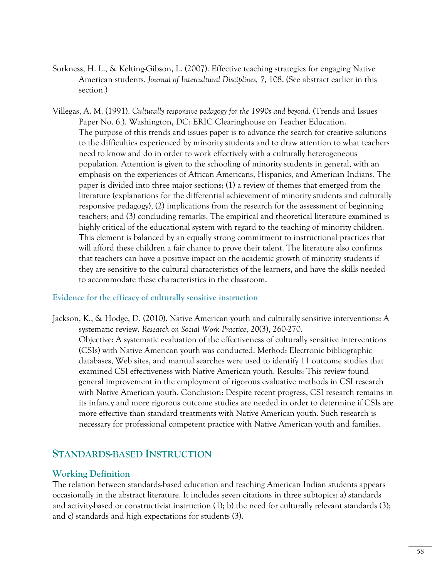- Sorkness, H. L., & Kelting-Gibson, L. (2007). Effective teaching strategies for engaging Native American students. *Journal of Intercultural Disciplines, 7*, 108. (See abstract earlier in this section.)
- Villegas, A. M. (1991). *Culturally responsive pedagogy for the 1990s and beyond*. (Trends and Issues Paper No. 6.). Washington, DC: ERIC Clearinghouse on Teacher Education. The purpose of this trends and issues paper is to advance the search for creative solutions to the difficulties experienced by minority students and to draw attention to what teachers need to know and do in order to work effectively with a culturally heterogeneous population. Attention is given to the schooling of minority students in general, with an emphasis on the experiences of African Americans, Hispanics, and American Indians. The paper is divided into three major sections: (1) a review of themes that emerged from the literature (explanations for the differential achievement of minority students and culturally responsive pedagogy); (2) implications from the research for the assessment of beginning teachers; and (3) concluding remarks. The empirical and theoretical literature examined is highly critical of the educational system with regard to the teaching of minority children. This element is balanced by an equally strong commitment to instructional practices that will afford these children a fair chance to prove their talent. The literature also confirms that teachers can have a positive impact on the academic growth of minority students if they are sensitive to the cultural characteristics of the learners, and have the skills needed to accommodate these characteristics in the classroom.

#### **Evidence for the efficacy of culturally sensitive instruction**

Jackson, K., & Hodge, D. (2010). Native American youth and culturally sensitive interventions: A systematic review. *Research on Social Work Practice*, *20*(3), 260-270. Objective: A systematic evaluation of the effectiveness of culturally sensitive interventions (CSIs) with Native American youth was conducted. Method: Electronic bibliographic databases, Web sites, and manual searches were used to identify 11 outcome studies that examined CSI effectiveness with Native American youth. Results: This review found general improvement in the employment of rigorous evaluative methods in CSI research with Native American youth. Conclusion: Despite recent progress, CSI research remains in its infancy and more rigorous outcome studies are needed in order to determine if CSIs are more effective than standard treatments with Native American youth. Such research is necessary for professional competent practice with Native American youth and families.

# **STANDARDS-BASED INSTRUCTION**

#### **Working Definition**

The relation between standards-based education and teaching American Indian students appears occasionally in the abstract literature. It includes seven citations in three subtopics: a) standards and activity-based or constructivist instruction (1); b) the need for culturally relevant standards (3); and c) standards and high expectations for students (3).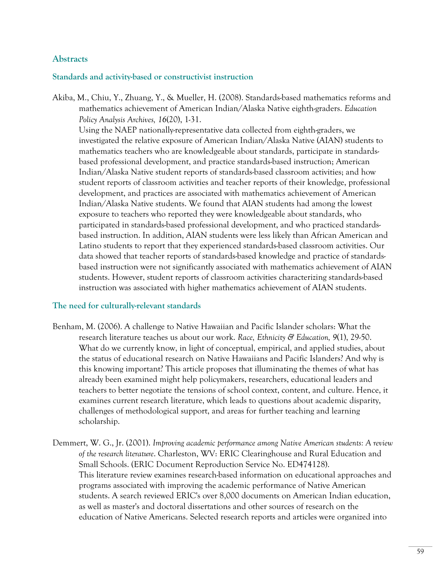## **Abstracts**

#### **Standards and activity-based or constructivist instruction**

Akiba, M., Chiu, Y., Zhuang, Y., & Mueller, H. (2008). Standards-based mathematics reforms and mathematics achievement of American Indian/Alaska Native eighth-graders. *Education Policy Analysis Archives, 16*(20), 1-31.

 Using the NAEP nationally-representative data collected from eighth-graders, we investigated the relative exposure of American Indian/Alaska Native (AIAN) students to mathematics teachers who are knowledgeable about standards, participate in standardsbased professional development, and practice standards-based instruction; American Indian/Alaska Native student reports of standards-based classroom activities; and how student reports of classroom activities and teacher reports of their knowledge, professional development, and practices are associated with mathematics achievement of American Indian/Alaska Native students. We found that AIAN students had among the lowest exposure to teachers who reported they were knowledgeable about standards, who participated in standards-based professional development, and who practiced standardsbased instruction. In addition, AIAN students were less likely than African American and Latino students to report that they experienced standards-based classroom activities. Our data showed that teacher reports of standards-based knowledge and practice of standardsbased instruction were not significantly associated with mathematics achievement of AIAN students. However, student reports of classroom activities characterizing standards-based instruction was associated with higher mathematics achievement of AIAN students.

#### **The need for culturally-relevant standards**

- Benham, M. (2006). A challenge to Native Hawaiian and Pacific Islander scholars: What the research literature teaches us about our work. *Race, Ethnicity & Education, 9*(1), 29-50. What do we currently know, in light of conceptual, empirical, and applied studies, about the status of educational research on Native Hawaiians and Pacific Islanders? And why is this knowing important? This article proposes that illuminating the themes of what has already been examined might help policymakers, researchers, educational leaders and teachers to better negotiate the tensions of school context, content, and culture. Hence, it examines current research literature, which leads to questions about academic disparity, challenges of methodological support, and areas for further teaching and learning scholarship.
- Demmert, W. G., Jr. (2001). *Improving academic performance among Native American students: A review of the research literature*. Charleston, WV: ERIC Clearinghouse and Rural Education and Small Schools. (ERIC Document Reproduction Service No. ED474128). This literature review examines research-based information on educational approaches and programs associated with improving the academic performance of Native American students. A search reviewed ERIC's over 8,000 documents on American Indian education, as well as master's and doctoral dissertations and other sources of research on the education of Native Americans. Selected research reports and articles were organized into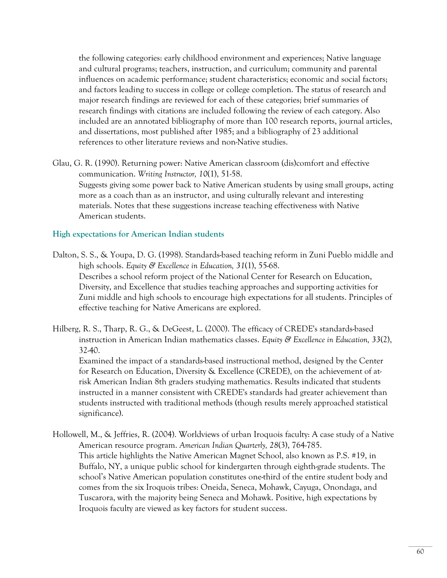the following categories: early childhood environment and experiences; Native language and cultural programs; teachers, instruction, and curriculum; community and parental influences on academic performance; student characteristics; economic and social factors; and factors leading to success in college or college completion. The status of research and major research findings are reviewed for each of these categories; brief summaries of research findings with citations are included following the review of each category. Also included are an annotated bibliography of more than 100 research reports, journal articles, and dissertations, most published after 1985; and a bibliography of 23 additional references to other literature reviews and non-Native studies.

Glau, G. R. (1990). Returning power: Native American classroom (dis)comfort and effective communication. *Writing Instructor, 10*(1), 51-58. Suggests giving some power back to Native American students by using small groups, acting more as a coach than as an instructor, and using culturally relevant and interesting materials. Notes that these suggestions increase teaching effectiveness with Native American students.

#### **High expectations for American Indian students**

significance).

- Dalton, S. S., & Youpa, D. G. (1998). Standards-based teaching reform in Zuni Pueblo middle and high schools. *Equity & Excellence in Education, 31*(1), 55-68. Describes a school reform project of the National Center for Research on Education, Diversity, and Excellence that studies teaching approaches and supporting activities for Zuni middle and high schools to encourage high expectations for all students. Principles of effective teaching for Native Americans are explored.
- Hilberg, R. S., Tharp, R. G., & DeGeest, L. (2000). The efficacy of CREDE's standards-based instruction in American Indian mathematics classes. *Equity & Excellence in Education, 33*(2), 32-40. Examined the impact of a standards-based instructional method, designed by the Center for Research on Education, Diversity & Excellence (CREDE), on the achievement of atrisk American Indian 8th graders studying mathematics. Results indicated that students instructed in a manner consistent with CREDE's standards had greater achievement than students instructed with traditional methods (though results merely approached statistical
- Hollowell, M., & Jeffries, R. (2004). Worldviews of urban Iroquois faculty: A case study of a Native American resource program. *American Indian Quarterly, 28*(3), 764-785. This article highlights the Native American Magnet School, also known as P.S. #19, in Buffalo, NY, a unique public school for kindergarten through eighth-grade students. The school's Native American population constitutes one-third of the entire student body and comes from the six Iroquois tribes: Oneida, Seneca, Mohawk, Cayuga, Onondaga, and Tuscarora, with the majority being Seneca and Mohawk. Positive, high expectations by Iroquois faculty are viewed as key factors for student success.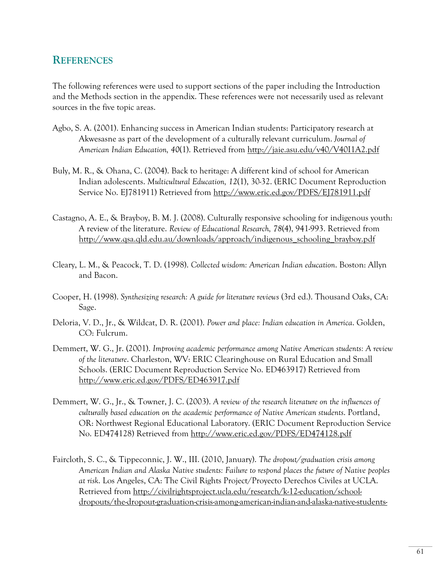# **REFERENCES**

The following references were used to support sections of the paper including the Introduction and the Methods section in the appendix. These references were not necessarily used as relevant sources in the five topic areas.

- Agbo, S. A. (2001). Enhancing success in American Indian students: Participatory research at Akwesasne as part of the development of a culturally relevant curriculum. *Journal of American Indian Education, 40*(1). Retrieved from http://jaie.asu.edu/v40/V40I1A2.pdf
- Buly, M. R., & Ohana, C. (2004). Back to heritage: A different kind of school for American Indian adolescents. *Multicultural Education, 12*(1), 30-32. (ERIC Document Reproduction Service No. EJ781911) Retrieved from http://www.eric.ed.gov/PDFS/EJ781911.pdf
- Castagno, A. E., & Brayboy, B. M. J. (2008). Culturally responsive schooling for indigenous youth: A review of the literature. *Review of Educational Research, 78*(4), 941-993. Retrieved from http://www.qsa.qld.edu.au/downloads/approach/indigenous\_schooling\_brayboy.pdf
- Cleary, L. M., & Peacock, T. D. (1998). *Collected wisdom: American Indian education*. Boston: Allyn and Bacon.
- Cooper, H. (1998). *Synthesizing research: A guide for literature reviews* (3rd ed.). Thousand Oaks, CA: Sage.
- Deloria, V. D., Jr., & Wildcat, D. R. (2001). *Power and place: Indian education in America*. Golden, CO: Fulcrum.
- Demmert, W. G., Jr. (2001). *Improving academic performance among Native American students: A review of the literature*. Charleston, WV: ERIC Clearinghouse on Rural Education and Small Schools. (ERIC Document Reproduction Service No. ED463917) Retrieved from http://www.eric.ed.gov/PDFS/ED463917.pdf
- Demmert, W. G., Jr., & Towner, J. C. (2003). *A review of the research literature on the influences of culturally based education on the academic performance of Native American students*. Portland, OR: Northwest Regional Educational Laboratory. (ERIC Document Reproduction Service No. ED474128) Retrieved from http://www.eric.ed.gov/PDFS/ED474128.pdf
- Faircloth, S. C., & Tippeconnic, J. W., III. (2010, January). *The dropout/graduation crisis among American Indian and Alaska Native students: Failure to respond places the future of Native peoples at risk*. Los Angeles, CA: The Civil Rights Project/Proyecto Derechos Civiles at UCLA. Retrieved from http://civilrightsproject.ucla.edu/research/k-12-education/schooldropouts/the-dropout-graduation-crisis-among-american-indian-and-alaska-native-students-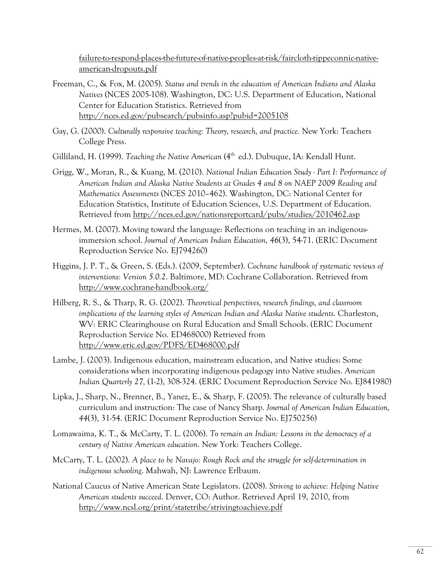failure-to-respond-places-the-future-of-native-peoples-at-risk/faircloth-tippeconnic-nativeamerican-dropouts.pdf

- Freeman, C., & Fox, M. (2005). *Status and trends in the education of American Indians and Alaska Natives* (NCES 2005-108). Washington, DC: U.S. Department of Education, National Center for Education Statistics. Retrieved from http://nces.ed.gov/pubsearch/pubsinfo.asp?pubid=2005108
- Gay, G. (2000). *Culturally responsive teaching: Theory, research, and practice.* New York: Teachers College Press.
- Gilliland, H. (1999). *Teaching the Native American* (4<sup>th</sup> ed.). Dubuque, IA: Kendall Hunt.
- Grigg, W., Moran, R., & Kuang, M. (2010). *National Indian Education Study Part I: Performance of American Indian and Alaska Native Students at Grades 4 and 8 on NAEP 2009 Reading and Mathematics Assessments* (NCES 2010–462). Washington, DC: National Center for Education Statistics, Institute of Education Sciences, U.S. Department of Education. Retrieved from http://nces.ed.gov/nationsreportcard/pubs/studies/2010462.asp
- Hermes, M. (2007). Moving toward the language: Reflections on teaching in an indigenousimmersion school. *Journal of American Indian Education, 46*(3), 54-71. (ERIC Document Reproduction Service No. EJ794260)
- Higgins, J. P. T., & Green, S. (Eds.). (2009, September). *Cochrane handbook of systematic reviews of interventions: Version 5.0.2*. Baltimore, MD: Cochrane Collaboration. Retrieved from http://www.cochrane-handbook.org/
- Hilberg, R. S., & Tharp, R. G. (2002). *Theoretical perspectives, research findings, and classroom implications of the learning styles of American Indian and Alaska Native students*. Charleston, WV: ERIC Clearinghouse on Rural Education and Small Schools. (ERIC Document Reproduction Service No. ED468000) Retrieved from http://www.eric.ed.gov/PDFS/ED468000.pdf
- Lambe, J. (2003). Indigenous education, mainstream education, and Native studies: Some considerations when incorporating indigenous pedagogy into Native studies. *American Indian Quarterly 27,* (1-2), 308-324. (ERIC Document Reproduction Service No. EJ841980)
- Lipka, J., Sharp, N., Brenner, B., Yanez, E., & Sharp, F. (2005). The relevance of culturally based curriculum and instruction: The case of Nancy Sharp. *Journal of American Indian Education, 44*(3), 31-54. (ERIC Document Reproduction Service No. EJ750256)
- Lomawaima, K. T., & McCarty, T. L. (2006). *To remain an Indian: Lessons in the democracy of a century of Native American education*. New York: Teachers College.
- McCarty, T. L. (2002). *A place to be Navajo: Rough Rock and the struggle for self-determination in indigenous schooling*. Mahwah, NJ: Lawrence Erlbaum.
- National Caucus of Native American State Legislators. (2008). *Striving to achieve: Helping Native American students succeed*. Denver, CO: Author. Retrieved April 19, 2010, from http://www.ncsl.org/print/statetribe/strivingtoachieve.pdf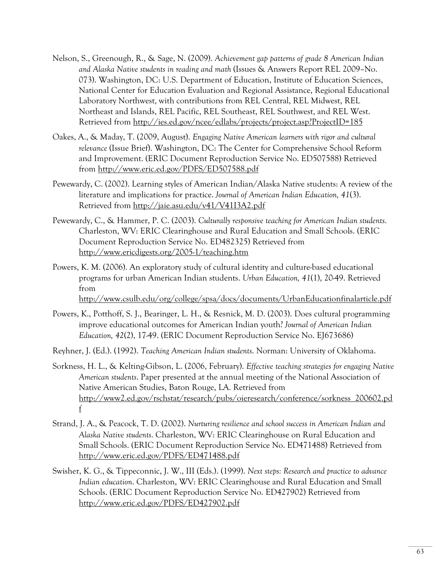- Nelson, S., Greenough, R., & Sage, N. (2009). *Achievement gap patterns of grade 8 American Indian and Alaska Native students in reading and math* (Issues & Answers Report REL 2009–No. 073). Washington, DC: U.S. Department of Education, Institute of Education Sciences, National Center for Education Evaluation and Regional Assistance, Regional Educational Laboratory Northwest, with contributions from REL Central, REL Midwest, REL Northeast and Islands, REL Pacific, REL Southeast, REL Southwest, and REL West. Retrieved from http://ies.ed.gov/ncee/edlabs/projects/project.asp?ProjectID=185
- Oakes, A., & Maday, T. (2009, August). *Engaging Native American learners with rigor and cultural relevance* (Issue Brief). Washington, DC: The Center for Comprehensive School Reform and Improvement. (ERIC Document Reproduction Service No. ED507588) Retrieved from http://www.eric.ed.gov/PDFS/ED507588.pdf
- Pewewardy, C. (2002). Learning styles of American Indian/Alaska Native students: A review of the literature and implications for practice. *Journal of American Indian Education, 41*(3). Retrieved from http://jaie.asu.edu/v41/V41I3A2.pdf
- Pewewardy, C., & Hammer, P. C. (2003). *Culturally responsive teaching for American Indian students*. Charleston, WV: ERIC Clearinghouse and Rural Education and Small Schools. (ERIC Document Reproduction Service No. ED482325) Retrieved from http://www.ericdigests.org/2005-1/teaching.htm
- Powers, K. M. (2006). An exploratory study of cultural identity and culture-based educational programs for urban American Indian students. *Urban Education, 41*(1), 20-49. Retrieved from

http://www.csulb.edu/org/college/spsa/docs/documents/UrbanEducationfinalarticle.pdf

- Powers, K., Potthoff, S. J., Bearinger, L. H., & Resnick, M. D. (2003). Does cultural programming improve educational outcomes for American Indian youth? *Journal of American Indian Education, 42*(2), 17-49. (ERIC Document Reproduction Service No. EJ673686)
- Reyhner, J. (Ed.). (1992). *Teaching American Indian students*. Norman: University of Oklahoma.
- Sorkness, H. L., & Kelting-Gibson, L. (2006, February). *Effective teaching strategies for engaging Native American students*. Paper presented at the annual meeting of the National Association of Native American Studies, Baton Rouge, LA. Retrieved from http://www2.ed.gov/rschstat/research/pubs/oieresearch/conference/sorkness\_200602.pd f
- Strand, J. A., & Peacock, T. D. (2002). *Nurturing resilience and school success in American Indian and Alaska Native students*. Charleston, WV: ERIC Clearinghouse on Rural Education and Small Schools. (ERIC Document Reproduction Service No. ED471488) Retrieved from http://www.eric.ed.gov/PDFS/ED471488.pdf
- Swisher, K. G., & Tippeconnic, J. W., III (Eds.). (1999). *Next steps: Research and practice to advance Indian education*. Charleston, WV: ERIC Clearinghouse and Rural Education and Small Schools. (ERIC Document Reproduction Service No. ED427902) Retrieved from http://www.eric.ed.gov/PDFS/ED427902.pdf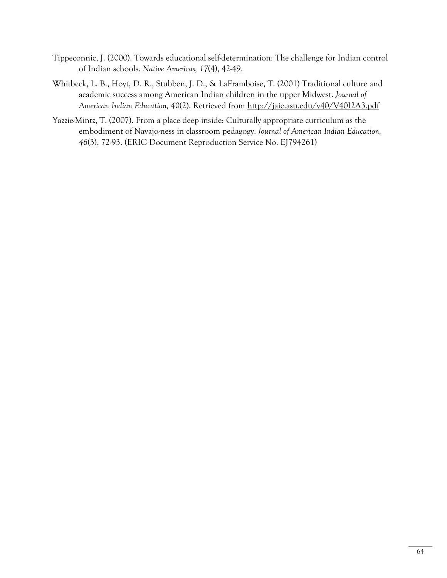- Tippeconnic, J. (2000). Towards educational self-determination: The challenge for Indian control of Indian schools. *Native Americas, 17*(4), 42-49.
- Whitbeck, L. B., Hoyt, D. R., Stubben, J. D., & LaFramboise, T. (2001) Traditional culture and academic success among American Indian children in the upper Midwest. *Journal of American Indian Education, 40*(2). Retrieved from http://jaie.asu.edu/v40/V40I2A3.pdf
- Yazzie-Mintz, T. (2007). From a place deep inside: Culturally appropriate curriculum as the embodiment of Navajo-ness in classroom pedagogy. *Journal of American Indian Education, 46*(3), 72-93. (ERIC Document Reproduction Service No. EJ794261)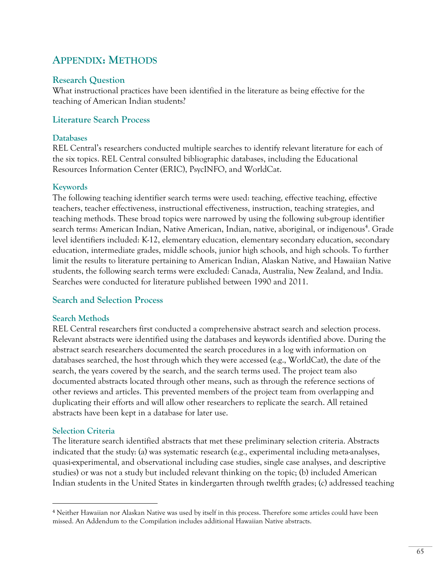# **APPENDIX: METHODS**

### **Research Question**

What instructional practices have been identified in the literature as being effective for the teaching of American Indian students?

## **Literature Search Process**

#### **Databases**

REL Central's researchers conducted multiple searches to identify relevant literature for each of the six topics. REL Central consulted bibliographic databases, including the Educational Resources Information Center (ERIC), PsycINFO, and WorldCat.

#### **Keywords**

The following teaching identifier search terms were used: teaching, effective teaching, effective teachers, teacher effectiveness, instructional effectiveness, instruction, teaching strategies, and teaching methods. These broad topics were narrowed by using the following sub-group identifier search terms: American Indian, Native American, Indian, native, aboriginal, or indigenous<sup>4</sup>. Grade level identifiers included: K-12, elementary education, elementary secondary education, secondary education, intermediate grades, middle schools, junior high schools, and high schools. To further limit the results to literature pertaining to American Indian, Alaskan Native, and Hawaiian Native students, the following search terms were excluded: Canada, Australia, New Zealand, and India. Searches were conducted for literature published between 1990 and 2011.

#### **Search and Selection Process**

#### **Search Methods**

REL Central researchers first conducted a comprehensive abstract search and selection process. Relevant abstracts were identified using the databases and keywords identified above. During the abstract search researchers documented the search procedures in a log with information on databases searched, the host through which they were accessed (e.g., WorldCat), the date of the search, the years covered by the search, and the search terms used. The project team also documented abstracts located through other means, such as through the reference sections of other reviews and articles. This prevented members of the project team from overlapping and duplicating their efforts and will allow other researchers to replicate the search. All retained abstracts have been kept in a database for later use.

#### **Selection Criteria**

<u>.</u>

The literature search identified abstracts that met these preliminary selection criteria. Abstracts indicated that the study: (a) was systematic research (e.g., experimental including meta-analyses, quasi-experimental, and observational including case studies, single case analyses, and descriptive studies) or was not a study but included relevant thinking on the topic; (b) included American Indian students in the United States in kindergarten through twelfth grades; (c) addressed teaching

<sup>4</sup> Neither Hawaiian nor Alaskan Native was used by itself in this process. Therefore some articles could have been missed. An Addendum to the Compilation includes additional Hawaiian Native abstracts.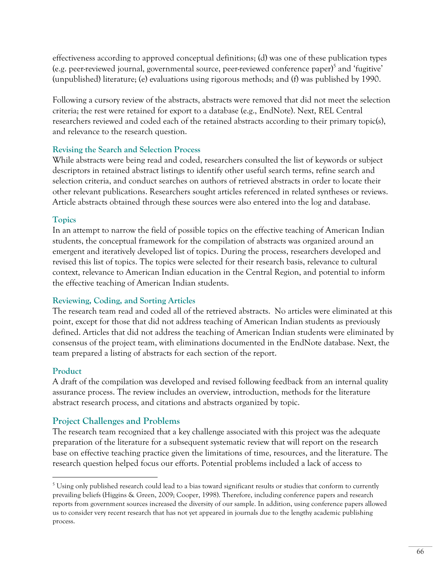effectiveness according to approved conceptual definitions; (d) was one of these publication types (e.g. peer-reviewed journal, governmental source, peer-reviewed conference paper)<sup>5</sup> and 'fugitive' (unpublished) literature; (e) evaluations using rigorous methods; and (f) was published by 1990.

Following a cursory review of the abstracts, abstracts were removed that did not meet the selection criteria; the rest were retained for export to a database (e.g., EndNote). Next, REL Central researchers reviewed and coded each of the retained abstracts according to their primary topic(s), and relevance to the research question.

## **Revising the Search and Selection Process**

While abstracts were being read and coded, researchers consulted the list of keywords or subject descriptors in retained abstract listings to identify other useful search terms, refine search and selection criteria, and conduct searches on authors of retrieved abstracts in order to locate their other relevant publications. Researchers sought articles referenced in related syntheses or reviews. Article abstracts obtained through these sources were also entered into the log and database.

## **Topics**

In an attempt to narrow the field of possible topics on the effective teaching of American Indian students, the conceptual framework for the compilation of abstracts was organized around an emergent and iteratively developed list of topics. During the process, researchers developed and revised this list of topics. The topics were selected for their research basis, relevance to cultural context, relevance to American Indian education in the Central Region, and potential to inform the effective teaching of American Indian students.

# **Reviewing, Coding, and Sorting Articles**

The research team read and coded all of the retrieved abstracts. No articles were eliminated at this point, except for those that did not address teaching of American Indian students as previously defined. Articles that did not address the teaching of American Indian students were eliminated by consensus of the project team, with eliminations documented in the EndNote database. Next, the team prepared a listing of abstracts for each section of the report.

# **Product**

<u>.</u>

A draft of the compilation was developed and revised following feedback from an internal quality assurance process. The review includes an overview, introduction, methods for the literature abstract research process, and citations and abstracts organized by topic.

# **Project Challenges and Problems**

The research team recognized that a key challenge associated with this project was the adequate preparation of the literature for a subsequent systematic review that will report on the research base on effective teaching practice given the limitations of time, resources, and the literature. The research question helped focus our efforts. Potential problems included a lack of access to

 $5$  Using only published research could lead to a bias toward significant results or studies that conform to currently prevailing beliefs (Higgins & Green, 2009; Cooper, 1998). Therefore, including conference papers and research reports from government sources increased the diversity of our sample. In addition, using conference papers allowed us to consider very recent research that has not yet appeared in journals due to the lengthy academic publishing process.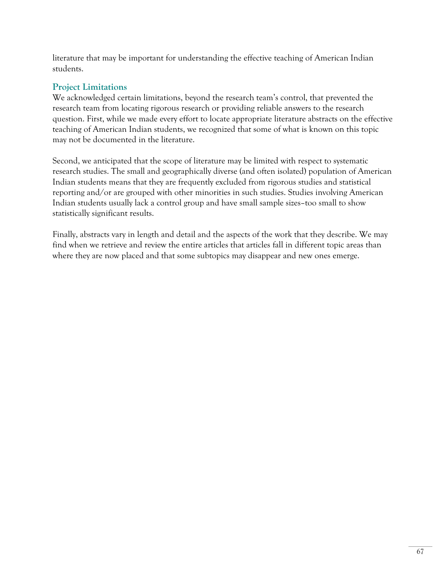literature that may be important for understanding the effective teaching of American Indian students.

# **Project Limitations**

We acknowledged certain limitations, beyond the research team's control, that prevented the research team from locating rigorous research or providing reliable answers to the research question. First, while we made every effort to locate appropriate literature abstracts on the effective teaching of American Indian students, we recognized that some of what is known on this topic may not be documented in the literature.

Second, we anticipated that the scope of literature may be limited with respect to systematic research studies. The small and geographically diverse (and often isolated) population of American Indian students means that they are frequently excluded from rigorous studies and statistical reporting and/or are grouped with other minorities in such studies. Studies involving American Indian students usually lack a control group and have small sample sizes–too small to show statistically significant results.

Finally, abstracts vary in length and detail and the aspects of the work that they describe. We may find when we retrieve and review the entire articles that articles fall in different topic areas than where they are now placed and that some subtopics may disappear and new ones emerge.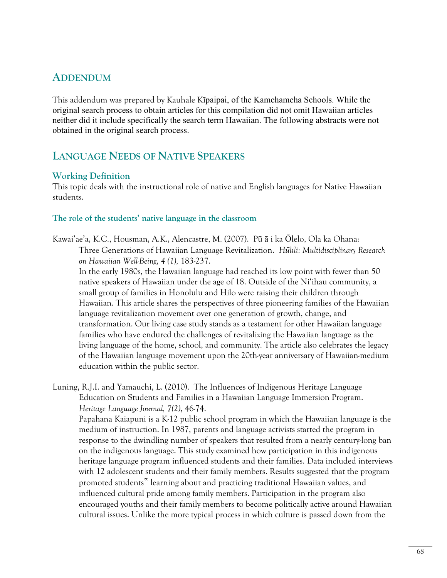# **ADDENDUM**

This addendum was prepared by Kauhale Kīpaipai, of the Kamehameha Schools. While the original search process to obtain articles for this compilation did not omit Hawaiian articles neither did it include specifically the search term Hawaiian. The following abstracts were not obtained in the original search process.

# **LANGUAGE NEEDS OF NATIVE SPEAKERS**

### **Working Definition**

This topic deals with the instructional role of native and English languages for Native Hawaiian students.

#### **The role of the students' native language in the classroom**

Kawai'ae'a, K.C., Housman, A.K., Alencastre, M. (2007). Pū ā i ka Ōlelo, Ola ka Ohana: Three Generations of Hawaiian Language Revitalization. *Hūlili: Multidisciplinary Research on Hawaiian Well-Being, 4 (1),* 183-237.

In the early 1980s, the Hawaiian language had reached its low point with fewer than 50 native speakers of Hawaiian under the age of 18. Outside of the Ni'ihau community, a small group of families in Honolulu and Hilo were raising their children through Hawaiian. This article shares the perspectives of three pioneering families of the Hawaiian language revitalization movement over one generation of growth, change, and transformation. Our living case study stands as a testament for other Hawaiian language families who have endured the challenges of revitalizing the Hawaiian language as the living language of the home, school, and community. The article also celebrates the legacy of the Hawaiian language movement upon the 20th-year anniversary of Hawaiian-medium education within the public sector.

Luning, R.J.I. and Yamauchi, L. (2010). The Influences of Indigenous Heritage Language Education on Students and Families in a Hawaiian Language Immersion Program. *Heritage Language Journal, 7(2)*, 46-74. Papahana Kaiapuni is a K-12 public school program in which the Hawaiian language is the medium of instruction. In 1987, parents and language activists started the program in response to the dwindling number of speakers that resulted from a nearly century-long ban on the indigenous language. This study examined how participation in this indigenous heritage language program influenced students and their families. Data included interviews with 12 adolescent students and their family members. Results suggested that the program promoted students" learning about and practicing traditional Hawaiian values, and influenced cultural pride among family members. Participation in the program also encouraged youths and their family members to become politically active around Hawaiian cultural issues. Unlike the more typical process in which culture is passed down from the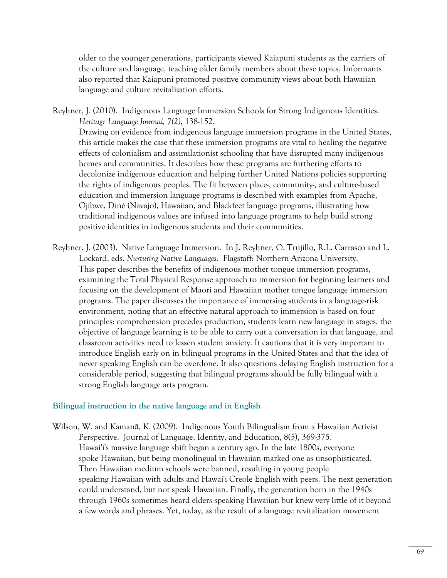older to the younger generations, participants viewed Kaiapuni students as the carriers of the culture and language, teaching older family members about these topics. Informants also reported that Kaiapuni promoted positive community views about both Hawaiian language and culture revitalization efforts.

Reyhner, J. (2010). Indigenous Language Immersion Schools for Strong Indigenous Identities. *Heritage Language Journal, 7(2)*, 138-152. Drawing on evidence from indigenous language immersion programs in the United States, this article makes the case that these immersion programs are vital to healing the negative effects of colonialism and assimilationist schooling that have disrupted many indigenous homes and communities. It describes how these programs are furthering efforts to decolonize indigenous education and helping further United Nations policies supporting the rights of indigenous peoples. The fit between place-, community-, and culture-based education and immersion language programs is described with examples from Apache, Ojibwe, Diné (Navajo), Hawaiian, and Blackfeet language programs, illustrating how traditional indigenous values are infused into language programs to help build strong positive identities in indigenous students and their communities.

Reyhner, J. (2003). Native Language Immersion. In J. Reyhner, O. Trujillo, R.L. Carrasco and L. Lockard, eds. *Nurturing Native Languages*. Flagstaff: Northern Arizona University. This paper describes the benefits of indigenous mother tongue immersion programs, examining the Total Physical Response approach to immersion for beginning learners and focusing on the development of Maori and Hawaiian mother tongue language immersion programs. The paper discusses the importance of immersing students in a language-risk environment, noting that an effective natural approach to immersion is based on four principles: comprehension precedes production, students learn new language in stages, the objective of language learning is to be able to carry out a conversation in that language, and classroom activities need to lessen student anxiety. It cautions that it is very important to introduce English early on in bilingual programs in the United States and that the idea of never speaking English can be overdone. It also questions delaying English instruction for a considerable period, suggesting that bilingual programs should be fully bilingual with a strong English language arts program.

#### **Bilingual instruction in the native language and in English**

Wilson, W. and Kamanā, K. (2009). Indigenous Youth Bilingualism from a Hawaiian Activist Perspective. Journal of Language, Identity, and Education, 8(5), 369-375. Hawai'i's massive language shift began a century ago. In the late 1800s, everyone spoke Hawaiian, but being monolingual in Hawaiian marked one as unsophisticated. Then Hawaiian medium schools were banned, resulting in young people speaking Hawaiian with adults and Hawai'i Creole English with peers. The next generation could understand, but not speak Hawaiian. Finally, the generation born in the 1940s through 1960s sometimes heard elders speaking Hawaiian but knew very little of it beyond a few words and phrases. Yet, today, as the result of a language revitalization movement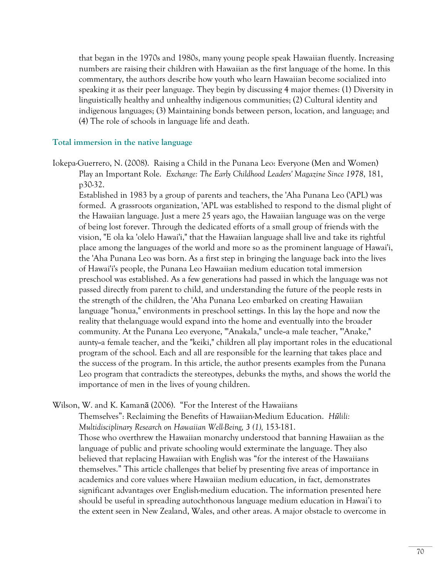that began in the 1970s and 1980s, many young people speak Hawaiian fluently. Increasing numbers are raising their children with Hawaiian as the first language of the home. In this commentary, the authors describe how youth who learn Hawaiian become socialized into speaking it as their peer language. They begin by discussing 4 major themes: (1) Diversity in linguistically healthy and unhealthy indigenous communities; (2) Cultural identity and indigenous languages; (3) Maintaining bonds between person, location, and language; and (4) The role of schools in language life and death.

#### **Total immersion in the native language**

Iokepa-Guerrero, N. (2008). Raising a Child in the Punana Leo: Everyone (Men and Women) Play an Important Role. *Exchange: The Early Childhood Leaders' Magazine Since 1978*, 181, p30-32.

Established in 1983 by a group of parents and teachers, the 'Aha Punana Leo ('APL) was formed. A grassroots organization, 'APL was established to respond to the dismal plight of the Hawaiian language. Just a mere 25 years ago, the Hawaiian language was on the verge of being lost forever. Through the dedicated efforts of a small group of friends with the vision, "E ola ka 'olelo Hawai'i," that the Hawaiian language shall live and take its rightful place among the languages of the world and more so as the prominent language of Hawai'i, the 'Aha Punana Leo was born. As a first step in bringing the language back into the lives of Hawai'i's people, the Punana Leo Hawaiian medium education total immersion preschool was established. As a few generations had passed in which the language was not passed directly from parent to child, and understanding the future of the people rests in the strength of the children, the 'Aha Punana Leo embarked on creating Hawaiian language "honua," environments in preschool settings. In this lay the hope and now the reality that thelanguage would expand into the home and eventually into the broader community. At the Punana Leo everyone, "'Anakala," uncle--a male teacher, "'Anake," aunty--a female teacher, and the "keiki," children all play important roles in the educational program of the school. Each and all are responsible for the learning that takes place and the success of the program. In this article, the author presents examples from the Punana Leo program that contradicts the stereotypes, debunks the myths, and shows the world the importance of men in the lives of young children.

Wilson, W. and K. Kamanā (2006). "For the Interest of the Hawaiians

Themselves": Reclaiming the Benefits of Hawaiian-Medium Education. *Hūlili: Multidisciplinary Research on Hawaiian Well-Being, 3 (1), 153-181.* Those who overthrew the Hawaiian monarchy understood that banning Hawaiian as the language of public and private schooling would exterminate the language. They also believed that replacing Hawaiian with English was "for the interest of the Hawaiians themselves." This article challenges that belief by presenting five areas of importance in academics and core values where Hawaiian medium education, in fact, demonstrates significant advantages over English-medium education. The information presented here should be useful in spreading autochthonous language medium education in Hawai'i to the extent seen in New Zealand, Wales, and other areas. A major obstacle to overcome in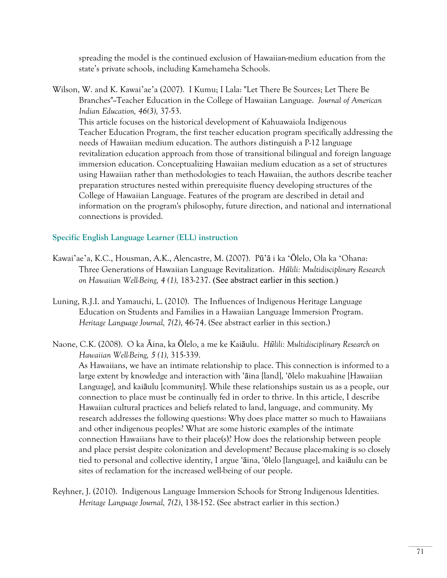spreading the model is the continued exclusion of Hawaiian-medium education from the state's private schools, including Kamehameha Schools.

Wilson, W. and K. Kawai'ae'a (2007). I Kumu; I Lala: "Let There Be Sources; Let There Be Branches"--Teacher Education in the College of Hawaiian Language. *Journal of American Indian Education, 46(3),* 37-53. This article focuses on the historical development of Kahuawaiola Indigenous Teacher Education Program, the first teacher education program specifically addressing the needs of Hawaiian medium education. The authors distinguish a P-12 language revitalization education approach from those of transitional bilingual and foreign language immersion education. Conceptualizing Hawaiian medium education as a set of structures using Hawaiian rather than methodologies to teach Hawaiian, the authors describe teacher preparation structures nested within prerequisite fluency developing structures of the College of Hawaiian Language. Features of the program are described in detail and information on the program's philosophy, future direction, and national and international connections is provided.

### **Specific English Language Learner (ELL) instruction**

- Kawai'ae'a, K.C., Housman, A.K., Alencastre, M. (2007). Pū'ā i ka 'Ōlelo, Ola ka 'Ohana: Three Generations of Hawaiian Language Revitalization. *Hūlili: Multidisciplinary Research on Hawaiian Well-Being, 4 (1),* 183-237. (See abstract earlier in this section.)
- Luning, R.J.I. and Yamauchi, L. (2010). The Influences of Indigenous Heritage Language Education on Students and Families in a Hawaiian Language Immersion Program. *Heritage Language Journal, 7(2)*, 46-74. (See abstract earlier in this section.)
- Naone, C.K. (2008). O ka Āina, ka Ōlelo, a me ke Kaiāulu. *Hūlili: Multidisciplinary Research on Hawaiian Well-Being, 5 (1),* 315-339.

As Hawaiians, we have an intimate relationship to place. This connection is informed to a large extent by knowledge and interaction with 'āina [land], 'ōlelo makuahine [Hawaiian Language], and kaiāulu [community]. While these relationships sustain us as a people, our connection to place must be continually fed in order to thrive. In this article, I describe Hawaiian cultural practices and beliefs related to land, language, and community. My research addresses the following questions: Why does place matter so much to Hawaiians and other indigenous peoples? What are some historic examples of the intimate connection Hawaiians have to their place(s)? How does the relationship between people and place persist despite colonization and development? Because place-making is so closely tied to personal and collective identity, I argue 'āina, 'ōlelo [language], and kaiāulu can be sites of reclamation for the increased well-being of our people.

Reyhner, J. (2010). Indigenous Language Immersion Schools for Strong Indigenous Identities. *Heritage Language Journal, 7(2)*, 138-152. (See abstract earlier in this section.)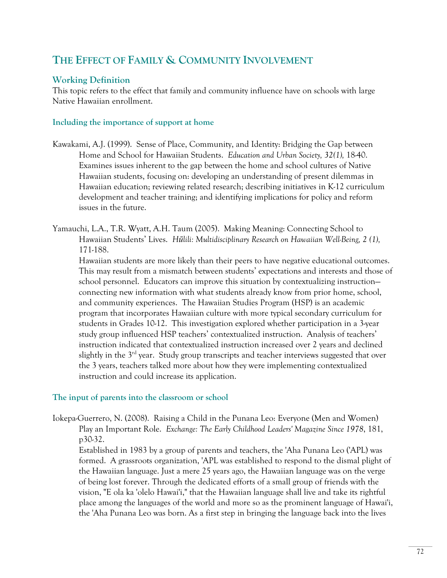# **THE EFFECT OF FAMILY & COMMUNITY INVOLVEMENT**

# **Working Definition**

This topic refers to the effect that family and community influence have on schools with large Native Hawaiian enrollment.

### **Including the importance of support at home**

- Kawakami, A.J. (1999). Sense of Place, Community, and Identity: Bridging the Gap between Home and School for Hawaiian Students. *Education and Urban Society, 32(1),* 18-40. Examines issues inherent to the gap between the home and school cultures of Native Hawaiian students, focusing on: developing an understanding of present dilemmas in Hawaiian education; reviewing related research; describing initiatives in K-12 curriculum development and teacher training; and identifying implications for policy and reform issues in the future.
- Yamauchi, L.A., T.R. Wyatt, A.H. Taum (2005). Making Meaning: Connecting School to Hawaiian Students' Lives. *Hūlili: Multidisciplinary Research on Hawaiian Well-Being, 2 (1),*  171-188.

Hawaiian students are more likely than their peers to have negative educational outcomes. This may result from a mismatch between students' expectations and interests and those of school personnel. Educators can improve this situation by contextualizing instruction connecting new information with what students already know from prior home, school, and community experiences. The Hawaiian Studies Program (HSP) is an academic program that incorporates Hawaiian culture with more typical secondary curriculum for students in Grades 10-12. This investigation explored whether participation in a 3-year study group influenced HSP teachers' contextualized instruction. Analysis of teachers' instruction indicated that contextualized instruction increased over 2 years and declined slightly in the  $3<sup>rd</sup>$  year. Study group transcripts and teacher interviews suggested that over the 3 years, teachers talked more about how they were implementing contextualized instruction and could increase its application.

## **The input of parents into the classroom or school**

Iokepa-Guerrero, N. (2008). Raising a Child in the Punana Leo: Everyone (Men and Women) Play an Important Role. *Exchange: The Early Childhood Leaders' Magazine Since 1978*, 181, p30-32.

Established in 1983 by a group of parents and teachers, the 'Aha Punana Leo ('APL) was formed. A grassroots organization, 'APL was established to respond to the dismal plight of the Hawaiian language. Just a mere 25 years ago, the Hawaiian language was on the verge of being lost forever. Through the dedicated efforts of a small group of friends with the vision, "E ola ka 'olelo Hawai'i," that the Hawaiian language shall live and take its rightful place among the languages of the world and more so as the prominent language of Hawai'i, the 'Aha Punana Leo was born. As a first step in bringing the language back into the lives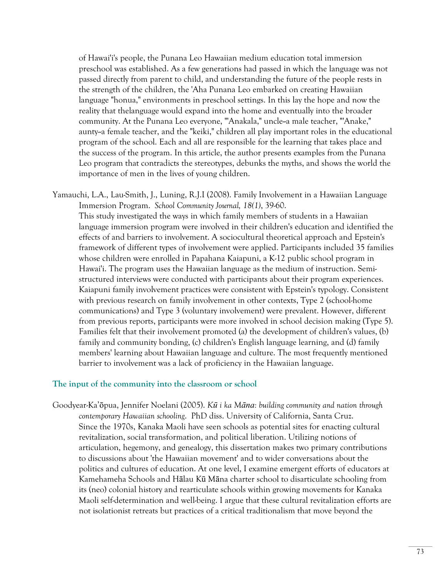of Hawai'i's people, the Punana Leo Hawaiian medium education total immersion preschool was established. As a few generations had passed in which the language was not passed directly from parent to child, and understanding the future of the people rests in the strength of the children, the 'Aha Punana Leo embarked on creating Hawaiian language "honua," environments in preschool settings. In this lay the hope and now the reality that thelanguage would expand into the home and eventually into the broader community. At the Punana Leo everyone, "'Anakala," uncle--a male teacher, "'Anake," aunty-a female teacher, and the "keiki," children all play important roles in the educational program of the school. Each and all are responsible for the learning that takes place and the success of the program. In this article, the author presents examples from the Punana Leo program that contradicts the stereotypes, debunks the myths, and shows the world the importance of men in the lives of young children.

Yamauchi, L.A., Lau-Smith, J., Luning, R.J.I (2008). Family Involvement in a Hawaiian Language Immersion Program. *School Community Journal, 18(1)*, 39-60. This study investigated the ways in which family members of students in a Hawaiian language immersion program were involved in their children's education and identified the effects of and barriers to involvement. A sociocultural theoretical approach and Epstein's framework of different types of involvement were applied. Participants included 35 families whose children were enrolled in Papahana Kaiapuni, a K-12 public school program in Hawai'i. The program uses the Hawaiian language as the medium of instruction. Semistructured interviews were conducted with participants about their program experiences. Kaiapuni family involvement practices were consistent with Epstein's typology. Consistent with previous research on family involvement in other contexts, Type 2 (school-home communications) and Type 3 (voluntary involvement) were prevalent. However, different from previous reports, participants were more involved in school decision making (Type 5). Families felt that their involvement promoted (a) the development of children's values, (b) family and community bonding, (c) children's English language learning, and (d) family members' learning about Hawaiian language and culture. The most frequently mentioned barrier to involvement was a lack of proficiency in the Hawaiian language.

#### **The input of the community into the classroom or school**

Goodyear-Ka'ōpua, Jennifer Noelani (2005). *Kū i ka Māna: building community and nation through contemporary Hawaiian schooling*. PhD diss. University of California, Santa Cruz. Since the 1970s, Kanaka Maoli have seen schools as potential sites for enacting cultural revitalization, social transformation, and political liberation. Utilizing notions of articulation, hegemony, and genealogy, this dissertation makes two primary contributions to discussions about 'the Hawaiian movement' and to wider conversations about the politics and cultures of education. At one level, I examine emergent efforts of educators at Kamehameha Schools and Hālau Kū Māna charter school to disarticulate schooling from its (neo) colonial history and rearticulate schools within growing movements for Kanaka Maoli self-determination and well-being. I argue that these cultural revitalization efforts are not isolationist retreats but practices of a critical traditionalism that move beyond the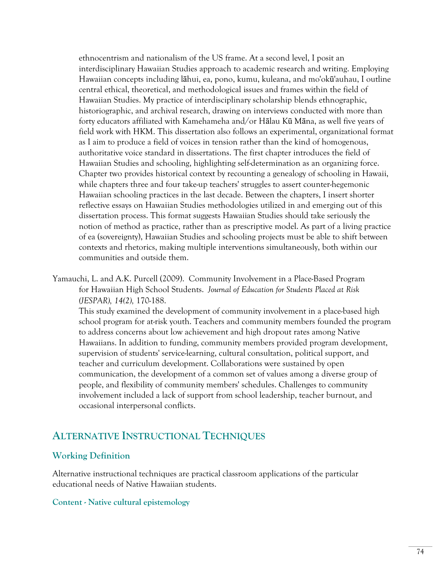ethnocentrism and nationalism of the US frame. At a second level, I posit an interdisciplinary Hawaiian Studies approach to academic research and writing. Employing Hawaiian concepts including lāhui, ea, pono, kumu, kuleana, and mo'okū'auhau, I outline central ethical, theoretical, and methodological issues and frames within the field of Hawaiian Studies. My practice of interdisciplinary scholarship blends ethnographic, historiographic, and archival research, drawing on interviews conducted with more than forty educators affiliated with Kamehameha and/or Hālau Kū Māna, as well five years of field work with HKM. This dissertation also follows an experimental, organizational format as I aim to produce a field of voices in tension rather than the kind of homogenous, authoritative voice standard in dissertations. The first chapter introduces the field of Hawaiian Studies and schooling, highlighting self-determination as an organizing force. Chapter two provides historical context by recounting a genealogy of schooling in Hawaii, while chapters three and four take-up teachers' struggles to assert counter-hegemonic Hawaiian schooling practices in the last decade. Between the chapters, I insert shorter reflective essays on Hawaiian Studies methodologies utilized in and emerging out of this dissertation process. This format suggests Hawaiian Studies should take seriously the notion of method as practice, rather than as prescriptive model. As part of a living practice of ea (sovereignty), Hawaiian Studies and schooling projects must be able to shift between contexts and rhetorics, making multiple interventions simultaneously, both within our communities and outside them.

Yamauchi, L. and A.K. Purcell (2009). Community Involvement in a Place-Based Program for Hawaiian High School Students. *Journal of Education for Students Placed at Risk (JESPAR), 14(2),* 170-188.

This study examined the development of community involvement in a place-based high school program for at-risk youth. Teachers and community members founded the program to address concerns about low achievement and high dropout rates among Native Hawaiians. In addition to funding, community members provided program development, supervision of students' service-learning, cultural consultation, political support, and teacher and curriculum development. Collaborations were sustained by open communication, the development of a common set of values among a diverse group of people, and flexibility of community members' schedules. Challenges to community involvement included a lack of support from school leadership, teacher burnout, and occasional interpersonal conflicts.

# **ALTERNATIVE INSTRUCTIONAL TECHNIQUES**

# **Working Definition**

Alternative instructional techniques are practical classroom applications of the particular educational needs of Native Hawaiian students.

### **Content - Native cultural epistemology**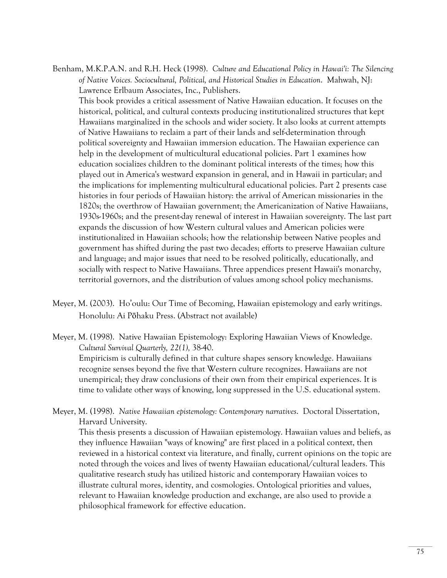Benham, M.K.P.A.N. and R.H. Heck (1998). *Culture and Educational Policy in Hawai'i: The Silencing of Native Voices. Sociocultural, Political, and Historical Studies in Education*. Mahwah, NJ: Lawrence Erlbaum Associates, Inc., Publishers.

This book provides a critical assessment of Native Hawaiian education. It focuses on the historical, political, and cultural contexts producing institutionalized structures that kept Hawaiians marginalized in the schools and wider society. It also looks at current attempts of Native Hawaiians to reclaim a part of their lands and self-determination through political sovereignty and Hawaiian immersion education. The Hawaiian experience can help in the development of multicultural educational policies. Part 1 examines how education socializes children to the dominant political interests of the times; how this played out in America's westward expansion in general, and in Hawaii in particular; and the implications for implementing multicultural educational policies. Part 2 presents case histories in four periods of Hawaiian history: the arrival of American missionaries in the 1820s; the overthrow of Hawaiian government; the Americanization of Native Hawaiians, 1930s-1960s; and the present-day renewal of interest in Hawaiian sovereignty. The last part expands the discussion of how Western cultural values and American policies were institutionalized in Hawaiian schools; how the relationship between Native peoples and government has shifted during the past two decades; efforts to preserve Hawaiian culture and language; and major issues that need to be resolved politically, educationally, and socially with respect to Native Hawaiians. Three appendices present Hawaii's monarchy, territorial governors, and the distribution of values among school policy mechanisms.

Meyer, M. (2003). Ho'oulu: Our Time of Becoming, Hawaiian epistemology and early writings. Honolulu: Ai Pōhaku Press. (Abstract not available)

Meyer, M. (1998). Native Hawaiian Epistemology: Exploring Hawaiian Views of Knowledge. *Cultural Survival Quarterly, 22(1),* 38-40. Empiricism is culturally defined in that culture shapes sensory knowledge. Hawaiians recognize senses beyond the five that Western culture recognizes. Hawaiians are not unempirical; they draw conclusions of their own from their empirical experiences. It is time to validate other ways of knowing, long suppressed in the U.S. educational system.

Meyer, M. (1998).*Native Hawaiian epistemology: Contemporary narratives*. Doctoral Dissertation, Harvard University.

This thesis presents a discussion of Hawaiian epistemology. Hawaiian values and beliefs, as they influence Hawaiian "ways of knowing" are first placed in a political context, then reviewed in a historical context via literature, and finally, current opinions on the topic are noted through the voices and lives of twenty Hawaiian educational/cultural leaders. This qualitative research study has utilized historic and contemporary Hawaiian voices to illustrate cultural mores, identity, and cosmologies. Ontological priorities and values, relevant to Hawaiian knowledge production and exchange, are also used to provide a philosophical framework for effective education.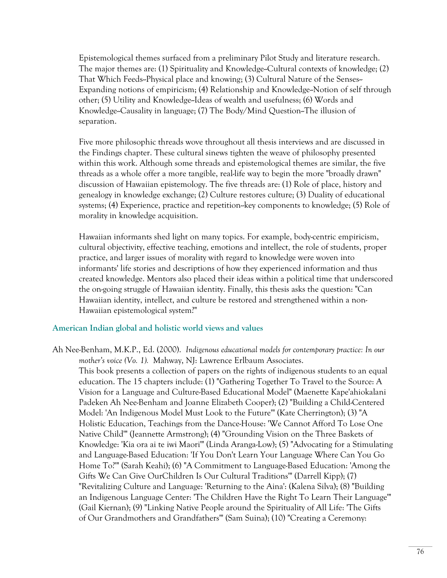Epistemological themes surfaced from a preliminary Pilot Study and literature research. The major themes are: (1) Spirituality and Knowledge--Cultural contexts of knowledge; (2) That Which Feeds--Physical place and knowing; (3) Cultural Nature of the Senses-- Expanding notions of empiricism; (4) Relationship and Knowledge-Notion of self through other; (5) Utility and Knowledge--Ideas of wealth and usefulness; (6) Words and Knowledge--Causality in language; (7) The Body/Mind Question--The illusion of separation.

Five more philosophic threads wove throughout all thesis interviews and are discussed in the Findings chapter. These cultural sinews tighten the weave of philosophy presented within this work. Although some threads and epistemological themes are similar, the five threads as a whole offer a more tangible, real-life way to begin the more "broadly drawn" discussion of Hawaiian epistemology. The five threads are: (1) Role of place, history and genealogy in knowledge exchange; (2) Culture restores culture; (3) Duality of educational systems; (4) Experience, practice and repetition--key components to knowledge; (5) Role of morality in knowledge acquisition.

Hawaiian informants shed light on many topics. For example, body-centric empiricism, cultural objectivity, effective teaching, emotions and intellect, the role of students, proper practice, and larger issues of morality with regard to knowledge were woven into informants' life stories and descriptions of how they experienced information and thus created knowledge. Mentors also placed their ideas within a political time that underscored the on-going struggle of Hawaiian identity. Finally, this thesis asks the question: "Can Hawaiian identity, intellect, and culture be restored and strengthened within a non-Hawaiian epistemological system?"

#### **American Indian global and holistic world views and values**

Ah Nee-Benham, M.K.P., Ed. (2000). *Indigenous educational models for contemporary practice: In our mother's voice (Vo. 1).* Mahway, NJ: Lawrence Erlbaum Associates. This book presents a collection of papers on the rights of indigenous students to an equal education. The 15 chapters include: (1) "Gathering Together To Travel to the Source: A Vision for a Language and Culture-Based Educational Model" (Maenette Kape'ahiokalani Padeken Ah Nee-Benham and Joanne Elizabeth Cooper); (2) "Building a Child-Centered Model: 'An Indigenous Model Must Look to the Future'" (Kate Cherrington); (3) "A Holistic Education, Teachings from the Dance-House: 'We Cannot Afford To Lose One Native Child'" (Jeannette Armstrong); (4) "Grounding Vision on the Three Baskets of Knowledge: 'Kia ora ai te iwi Maori'" (Linda Aranga-Low); (5) "Advocating for a Stimulating and Language-Based Education: 'If You Don't Learn Your Language Where Can You Go Home To?'" (Sarah Keahi); (6) "A Commitment to Language-Based Education: 'Among the Gifts We Can Give OurChildren Is Our Cultural Traditions'" (Darrell Kipp); (7) "Revitalizing Culture and Language: 'Returning to the Aina': (Kalena Silva); (8) "Building an Indigenous Language Center: 'The Children Have the Right To Learn Their Language'" (Gail Kiernan); (9) "Linking Native People around the Spirituality of All Life: 'The Gifts of Our Grandmothers and Grandfathers'" (Sam Suina); (10) "Creating a Ceremony: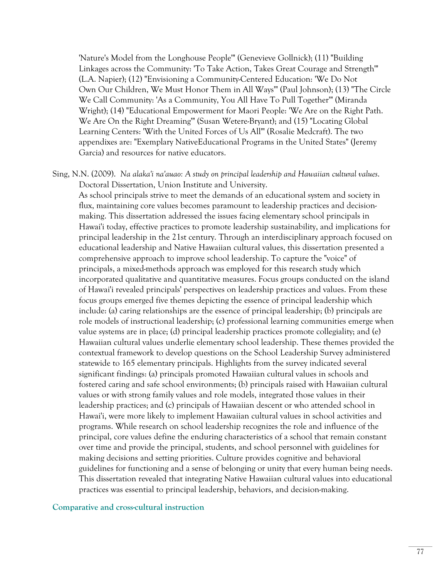'Nature's Model from the Longhouse People'" (Genevieve Gollnick); (11) "Building Linkages across the Community: 'To Take Action, Takes Great Courage and Strength'" (L.A. Napier); (12) "Envisioning a Community-Centered Education: 'We Do Not Own Our Children, We Must Honor Them in All Ways'" (Paul Johnson); (13) "The Circle We Call Community: 'As a Community, You All Have To Pull Together'" (Miranda Wright); (14) "Educational Empowerment for Maori People: 'We Are on the Right Path. We Are On the Right Dreaming'" (Susan Wetere-Bryant); and (15) "Locating Global Learning Centers: 'With the United Forces of Us All'" (Rosalie Medcraft). The two appendixes are: "Exemplary NativeEducational Programs in the United States" (Jeremy Garcia) and resources for native educators.

Sing, N.N. (2009). *Na alaka'i na'auao: A study on principal leadership and Hawaiian cultural values*. Doctoral Dissertation, Union Institute and University.

As school principals strive to meet the demands of an educational system and society in flux, maintaining core values becomes paramount to leadership practices and decisionmaking. This dissertation addressed the issues facing elementary school principals in Hawai'i today, effective practices to promote leadership sustainability, and implications for principal leadership in the 21st century. Through an interdisciplinary approach focused on educational leadership and Native Hawaiian cultural values, this dissertation presented a comprehensive approach to improve school leadership. To capture the "voice" of principals, a mixed-methods approach was employed for this research study which incorporated qualitative and quantitative measures. Focus groups conducted on the island of Hawai'i revealed principals' perspectives on leadership practices and values. From these focus groups emerged five themes depicting the essence of principal leadership which include: (a) caring relationships are the essence of principal leadership; (b) principals are role models of instructional leadership; (c) professional learning communities emerge when value systems are in place; (d) principal leadership practices promote collegiality; and (e) Hawaiian cultural values underlie elementary school leadership. These themes provided the contextual framework to develop questions on the School Leadership Survey administered statewide to 165 elementary principals. Highlights from the survey indicated several significant findings: (a) principals promoted Hawaiian cultural values in schools and fostered caring and safe school environments; (b) principals raised with Hawaiian cultural values or with strong family values and role models, integrated those values in their leadership practices; and (c) principals of Hawaiian descent or who attended school in Hawai'i, were more likely to implement Hawaiian cultural values in school activities and programs. While research on school leadership recognizes the role and influence of the principal, core values define the enduring characteristics of a school that remain constant over time and provide the principal, students, and school personnel with guidelines for making decisions and setting priorities. Culture provides cognitive and behavioral guidelines for functioning and a sense of belonging or unity that every human being needs. This dissertation revealed that integrating Native Hawaiian cultural values into educational practices was essential to principal leadership, behaviors, and decision-making.

#### **Comparative and cross-cultural instruction**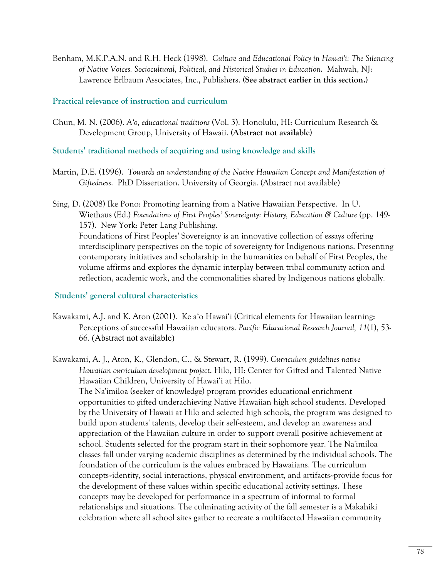Benham, M.K.P.A.N. and R.H. Heck (1998). *Culture and Educational Policy in Hawai'i: The Silencing of Native Voices. Sociocultural, Political, and Historical Studies in Education*. Mahwah, NJ: Lawrence Erlbaum Associates, Inc., Publishers. **(See abstract earlier in this section.)** 

### **Practical relevance of instruction and curriculum**

Chun, M. N. (2006). *A'o, educational traditions* (Vol. 3). Honolulu, HI: Curriculum Research & Development Group, University of Hawaii. **(Abstract not available)**

# **Students' traditional methods of acquiring and using knowledge and skills**

- Martin, D.E. (1996). *Towards an understanding of the Native Hawaiian Concept and Manifestation of Giftedness*. PhD Dissertation. University of Georgia. (Abstract not available)
- Sing, D. (2008) Ike Pono: Promoting learning from a Native Hawaiian Perspective. In U. Wiethaus (Ed.) *Foundations of First Peoples' Sovereignty: History, Education & Culture* (pp. 149- 157). New York: Peter Lang Publishing. Foundations of First Peoples' Sovereignty is an innovative collection of essays offering interdisciplinary perspectives on the topic of sovereignty for Indigenous nations. Presenting contemporary initiatives and scholarship in the humanities on behalf of First Peoples, the volume affirms and explores the dynamic interplay between tribal community action and reflection, academic work, and the commonalities shared by Indigenous nations globally.

## **Students' general cultural characteristics**

- Kawakami, A.J. and K. Aton (2001). Ke a'o Hawai'i (Critical elements for Hawaiian learning: Perceptions of successful Hawaiian educators. *Pacific Educational Research Journal, 11*(1), 53- 66. (Abstract not available)
- Kawakami, A. J., Aton, K., Glendon, C., & Stewart, R. (1999). *Curriculum guidelines native Hawaiian curriculum development project*. Hilo, HI: Center for Gifted and Talented Native Hawaiian Children, University of Hawai'i at Hilo.

The Na'imiloa (seeker of knowledge) program provides educational enrichment opportunities to gifted underachieving Native Hawaiian high school students. Developed by the University of Hawaii at Hilo and selected high schools, the program was designed to build upon students' talents, develop their self-esteem, and develop an awareness and appreciation of the Hawaiian culture in order to support overall positive achievement at school. Students selected for the program start in their sophomore year. The Na'imiloa classes fall under varying academic disciplines as determined by the individual schools. The foundation of the curriculum is the values embraced by Hawaiians. The curriculum concepts--identity, social interactions, physical environment, and artifacts--provide focus for the development of these values within specific educational activity settings. These concepts may be developed for performance in a spectrum of informal to formal relationships and situations. The culminating activity of the fall semester is a Makahiki celebration where all school sites gather to recreate a multifaceted Hawaiian community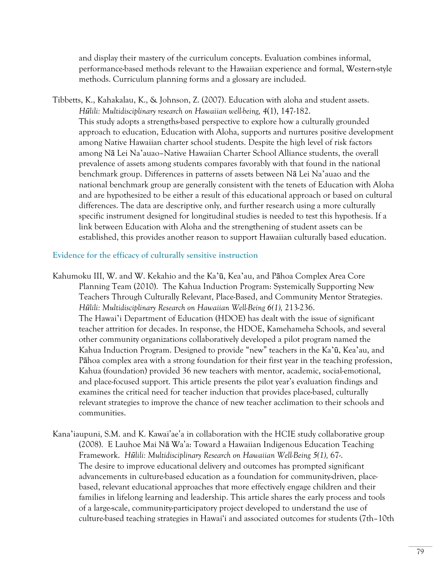and display their mastery of the curriculum concepts. Evaluation combines informal, performance-based methods relevant to the Hawaiian experience and formal, Western-style methods. Curriculum planning forms and a glossary are included.

Tibbetts, K., Kahakalau, K., & Johnson, Z. (2007). Education with aloha and student assets. *Hūlili: Multidisciplinary research on Hawaiian well-being, 4*(1), 147-182. This study adopts a strengths-based perspective to explore how a culturally grounded approach to education, Education with Aloha, supports and nurtures positive development among Native Hawaiian charter school students. Despite the high level of risk factors among Nā Lei Na'auao–Native Hawaiian Charter School Alliance students, the overall prevalence of assets among students compares favorably with that found in the national benchmark group. Differences in patterns of assets between Nā Lei Na'auao and the national benchmark group are generally consistent with the tenets of Education with Aloha and are hypothesized to be either a result of this educational approach or based on cultural differences. The data are descriptive only, and further research using a more culturally specific instrument designed for longitudinal studies is needed to test this hypothesis. If a link between Education with Aloha and the strengthening of student assets can be established, this provides another reason to support Hawaiian culturally based education.

### **Evidence for the efficacy of culturally sensitive instruction**

- Kahumoku III, W. and W. Kekahio and the Ka'ū, Kea'au, and Pāhoa Complex Area Core Planning Team (2010). The Kahua Induction Program: Systemically Supporting New Teachers Through Culturally Relevant, Place-Based, and Community Mentor Strategies. *Hūlili: Multidisciplinary Research on Hawaiian Well-Being 6(1),* 213-236. The Hawai'i Department of Education (HDOE) has dealt with the issue of significant teacher attrition for decades. In response, the HDOE, Kamehameha Schools, and several other community organizations collaboratively developed a pilot program named the Kahua Induction Program. Designed to provide "new" teachers in the Ka'ū, Kea'au, and Pāhoa complex area with a strong foundation for their first year in the teaching profession, Kahua (foundation) provided 36 new teachers with mentor, academic, social-emotional, and place-focused support. This article presents the pilot year's evaluation findings and examines the critical need for teacher induction that provides place-based, culturally relevant strategies to improve the chance of new teacher acclimation to their schools and communities.
- Kana'iaupuni, S.M. and K. Kawai'ae'a in collaboration with the HCIE study collaborative group (2008). E Lauhoe Mai Nā Wa'a: Toward a Hawaiian Indigenous Education Teaching Framework. *Hūlili: Multidisciplinary Research on Hawaiian Well-Being 5(1),* 67-. The desire to improve educational delivery and outcomes has prompted significant advancements in culture-based education as a foundation for community-driven, placebased, relevant educational approaches that more effectively engage children and their families in lifelong learning and leadership. This article shares the early process and tools of a large-scale, community-participatory project developed to understand the use of culture-based teaching strategies in Hawai'i and associated outcomes for students (7th–10th